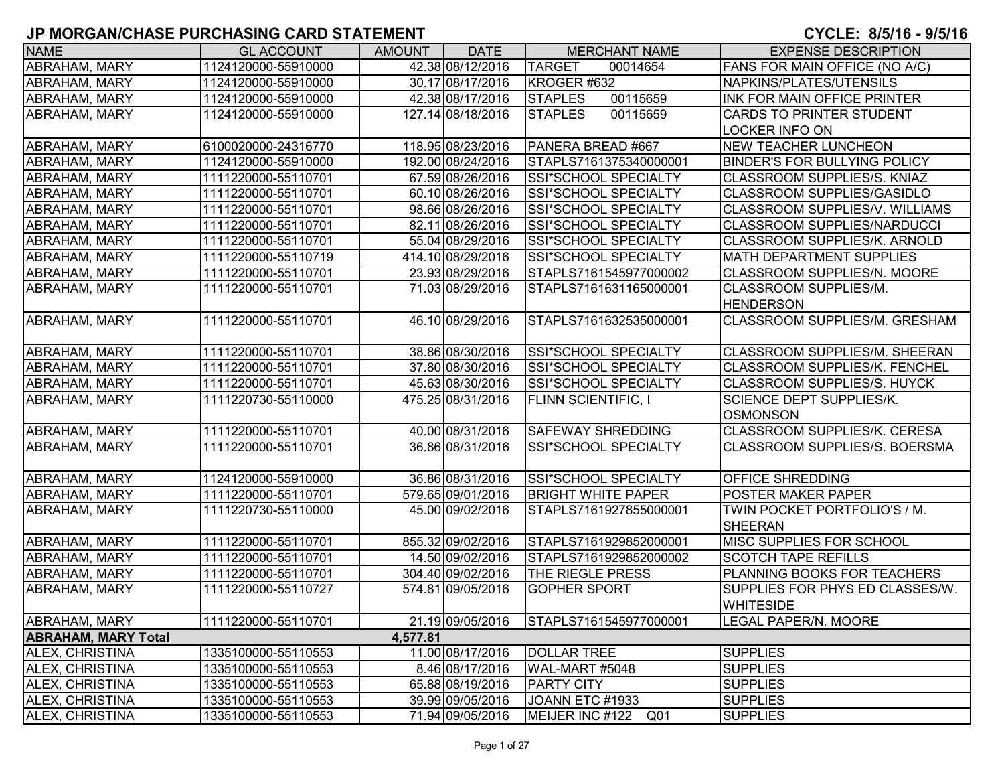| <b>NAME</b>                | <b>GL ACCOUNT</b>   | <b>AMOUNT</b> | <b>DATE</b>       | <b>MERCHANT NAME</b>        | <b>EXPENSE DESCRIPTION</b>            |
|----------------------------|---------------------|---------------|-------------------|-----------------------------|---------------------------------------|
| ABRAHAM, MARY              | 1124120000-55910000 |               | 42.38 08/12/2016  | <b>TARGET</b><br>00014654   | FANS FOR MAIN OFFICE (NO A/C)         |
| ABRAHAM, MARY              | 1124120000-55910000 |               | 30.17 08/17/2016  | KROGER #632                 | NAPKINS/PLATES/UTENSILS               |
| ABRAHAM, MARY              | 1124120000-55910000 |               | 42.38 08/17/2016  | <b>STAPLES</b><br>00115659  | INK FOR MAIN OFFICE PRINTER           |
| ABRAHAM, MARY              | 1124120000-55910000 |               | 127.14 08/18/2016 | <b>STAPLES</b><br>00115659  | <b>CARDS TO PRINTER STUDENT</b>       |
|                            |                     |               |                   |                             | LOCKER INFO ON                        |
| <b>ABRAHAM, MARY</b>       | 6100020000-24316770 |               | 118.95 08/23/2016 | PANERA BREAD #667           | <b>NEW TEACHER LUNCHEON</b>           |
| <b>ABRAHAM, MARY</b>       | 1124120000-55910000 |               | 192.00 08/24/2016 | STAPLS7161375340000001      | <b>BINDER'S FOR BULLYING POLICY</b>   |
| ABRAHAM, MARY              | 1111220000-55110701 |               | 67.59 08/26/2016  | <b>SSI*SCHOOL SPECIALTY</b> | CLASSROOM SUPPLIES/S. KNIAZ           |
| ABRAHAM, MARY              | 1111220000-55110701 |               | 60.10 08/26/2016  | SSI*SCHOOL SPECIALTY        | CLASSROOM SUPPLIES/GASIDLO            |
| ABRAHAM, MARY              | 1111220000-55110701 |               | 98.66 08/26/2016  | SSI*SCHOOL SPECIALTY        | <b>CLASSROOM SUPPLIES/V. WILLIAMS</b> |
| ABRAHAM, MARY              | 1111220000-55110701 |               | 82.11 08/26/2016  | SSI*SCHOOL SPECIALTY        | <b>CLASSROOM SUPPLIES/NARDUCCI</b>    |
| ABRAHAM, MARY              | 1111220000-55110701 |               | 55.04 08/29/2016  | SSI*SCHOOL SPECIALTY        | CLASSROOM SUPPLIES/K. ARNOLD          |
| ABRAHAM, MARY              | 1111220000-55110719 |               | 414.10 08/29/2016 | SSI*SCHOOL SPECIALTY        | <b>MATH DEPARTMENT SUPPLIES</b>       |
| <b>ABRAHAM, MARY</b>       | 1111220000-55110701 |               | 23.93 08/29/2016  | STAPLS7161545977000002      | CLASSROOM SUPPLIES/N. MOORE           |
| ABRAHAM, MARY              | 1111220000-55110701 |               | 71.03 08/29/2016  | STAPLS7161631165000001      | CLASSROOM SUPPLIES/M.                 |
|                            |                     |               |                   |                             | <b>HENDERSON</b>                      |
| <b>ABRAHAM, MARY</b>       | 1111220000-55110701 |               | 46.10 08/29/2016  | STAPLS7161632535000001      | CLASSROOM SUPPLIES/M. GRESHAM         |
|                            |                     |               |                   |                             |                                       |
| <b>ABRAHAM, MARY</b>       | 1111220000-55110701 |               | 38.86 08/30/2016  | <b>SSI*SCHOOL SPECIALTY</b> | CLASSROOM SUPPLIES/M. SHEERAN         |
| <b>ABRAHAM, MARY</b>       | 1111220000-55110701 |               | 37.80 08/30/2016  | <b>SSI*SCHOOL SPECIALTY</b> | CLASSROOM SUPPLIES/K. FENCHEL         |
| ABRAHAM, MARY              | 1111220000-55110701 |               | 45.63 08/30/2016  | SSI*SCHOOL SPECIALTY        | CLASSROOM SUPPLIES/S. HUYCK           |
| <b>ABRAHAM, MARY</b>       | 1111220730-55110000 |               | 475.25 08/31/2016 | <b>FLINN SCIENTIFIC, I</b>  | SCIENCE DEPT SUPPLIES/K.              |
|                            |                     |               |                   |                             | <b>OSMONSON</b>                       |
| ABRAHAM, MARY              | 1111220000-55110701 |               | 40.00 08/31/2016  | <b>SAFEWAY SHREDDING</b>    | CLASSROOM SUPPLIES/K. CERESA          |
| <b>ABRAHAM, MARY</b>       | 1111220000-55110701 |               | 36.86 08/31/2016  | <b>SSI*SCHOOL SPECIALTY</b> | CLASSROOM SUPPLIES/S. BOERSMA         |
|                            |                     |               |                   |                             |                                       |
| <b>ABRAHAM, MARY</b>       | 1124120000-55910000 |               | 36.86 08/31/2016  | SSI*SCHOOL SPECIALTY        | OFFICE SHREDDING                      |
| ABRAHAM, MARY              | 1111220000-55110701 |               | 579.65 09/01/2016 | <b>BRIGHT WHITE PAPER</b>   | POSTER MAKER PAPER                    |
| ABRAHAM, MARY              | 1111220730-55110000 |               | 45.00 09/02/2016  | STAPLS7161927855000001      | TWIN POCKET PORTFOLIO'S / M.          |
|                            |                     |               |                   |                             | <b>SHEERAN</b>                        |
| ABRAHAM, MARY              | 1111220000-55110701 |               | 855.32 09/02/2016 | STAPLS7161929852000001      | MISC SUPPLIES FOR SCHOOL              |
| <b>ABRAHAM, MARY</b>       | 1111220000-55110701 |               | 14.50 09/02/2016  | STAPLS7161929852000002      | <b>SCOTCH TAPE REFILLS</b>            |
| <b>ABRAHAM, MARY</b>       | 1111220000-55110701 |               | 304.40 09/02/2016 | THE RIEGLE PRESS            | PLANNING BOOKS FOR TEACHERS           |
| <b>ABRAHAM, MARY</b>       | 1111220000-55110727 |               | 574.81 09/05/2016 | <b>GOPHER SPORT</b>         | SUPPLIES FOR PHYS ED CLASSES/W.       |
|                            |                     |               |                   |                             | <b>WHITESIDE</b>                      |
| <b>ABRAHAM, MARY</b>       | 1111220000-55110701 |               | 21.19 09/05/2016  | STAPLS7161545977000001      | <b>LEGAL PAPER/N. MOORE</b>           |
| <b>ABRAHAM, MARY Total</b> |                     | 4,577.81      |                   |                             |                                       |
| <b>ALEX, CHRISTINA</b>     | 1335100000-55110553 |               | 11.00 08/17/2016  | <b>DOLLAR TREE</b>          | <b>SUPPLIES</b>                       |
| <b>ALEX, CHRISTINA</b>     | 1335100000-55110553 |               | 8.46 08/17/2016   | WAL-MART #5048              | <b>SUPPLIES</b>                       |
| <b>ALEX, CHRISTINA</b>     | 1335100000-55110553 |               | 65.88 08/19/2016  | <b>PARTY CITY</b>           | <b>SUPPLIES</b>                       |
| ALEX, CHRISTINA            | 1335100000-55110553 |               | 39.99 09/05/2016  | JOANN ETC #1933             | <b>SUPPLIES</b>                       |
| ALEX, CHRISTINA            | 1335100000-55110553 |               | 71.94 09/05/2016  | MEIJER INC #122 Q01         | <b>SUPPLIES</b>                       |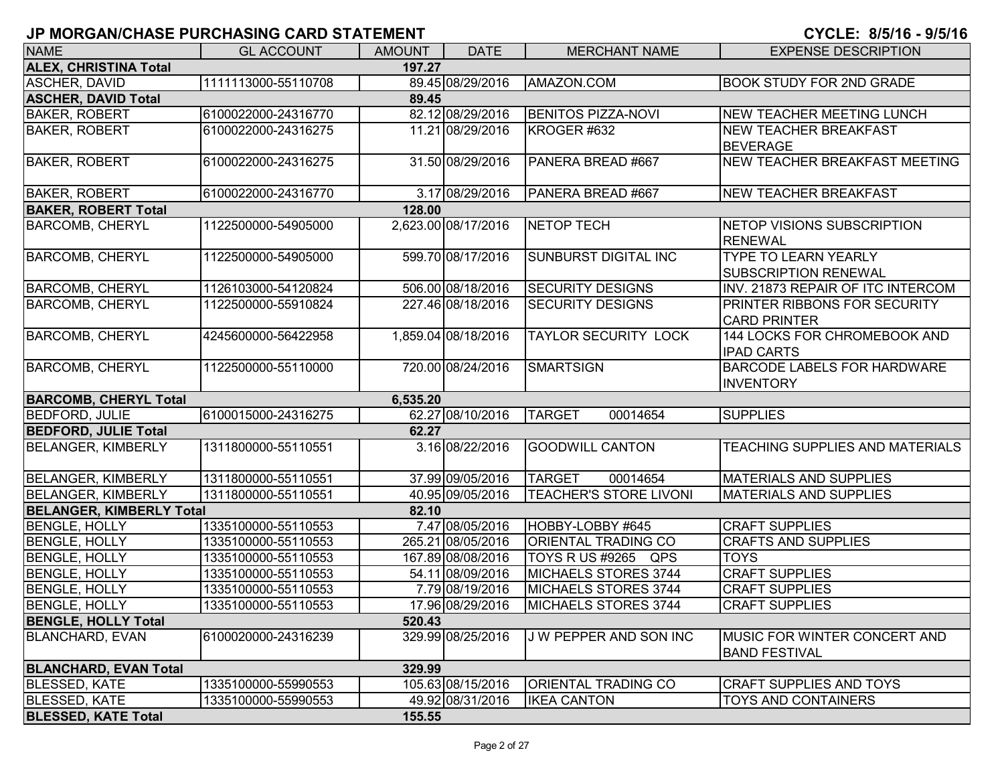| <b>NAME</b>                            | <b>GL ACCOUNT</b>   | <b>AMOUNT</b> | <b>DATE</b>         | <b>MERCHANT NAME</b>          | <b>EXPENSE DESCRIPTION</b>         |  |  |  |  |
|----------------------------------------|---------------------|---------------|---------------------|-------------------------------|------------------------------------|--|--|--|--|
| <b>ALEX, CHRISTINA Total</b><br>197.27 |                     |               |                     |                               |                                    |  |  |  |  |
| <b>ASCHER, DAVID</b>                   | 1111113000-55110708 |               | 89.45 08/29/2016    | AMAZON.COM                    | <b>BOOK STUDY FOR 2ND GRADE</b>    |  |  |  |  |
| <b>ASCHER, DAVID Total</b>             |                     | 89.45         |                     |                               |                                    |  |  |  |  |
| <b>BAKER, ROBERT</b>                   | 6100022000-24316770 |               | 82.12 08/29/2016    | <b>BENITOS PIZZA-NOVI</b>     | <b>NEW TEACHER MEETING LUNCH</b>   |  |  |  |  |
| <b>BAKER, ROBERT</b>                   | 6100022000-24316275 |               | 11.21 08/29/2016    | KROGER #632                   | <b>NEW TEACHER BREAKFAST</b>       |  |  |  |  |
|                                        |                     |               |                     |                               | <b>BEVERAGE</b>                    |  |  |  |  |
| <b>BAKER, ROBERT</b>                   | 6100022000-24316275 |               | 31.50 08/29/2016    | PANERA BREAD #667             | NEW TEACHER BREAKFAST MEETING      |  |  |  |  |
| <b>BAKER, ROBERT</b>                   | 6100022000-24316770 |               | 3.17 08/29/2016     | PANERA BREAD #667             | <b>NEW TEACHER BREAKFAST</b>       |  |  |  |  |
| <b>BAKER, ROBERT Total</b>             |                     | 128.00        |                     |                               |                                    |  |  |  |  |
| <b>BARCOMB, CHERYL</b>                 | 1122500000-54905000 |               | 2,623.00 08/17/2016 | <b>NETOP TECH</b>             | NETOP VISIONS SUBSCRIPTION         |  |  |  |  |
|                                        |                     |               |                     |                               | <b>RENEWAL</b>                     |  |  |  |  |
| <b>BARCOMB, CHERYL</b>                 | 1122500000-54905000 |               | 599.70 08/17/2016   | SUNBURST DIGITAL INC          | <b>TYPE TO LEARN YEARLY</b>        |  |  |  |  |
|                                        |                     |               |                     |                               | <b>SUBSCRIPTION RENEWAL</b>        |  |  |  |  |
| <b>BARCOMB, CHERYL</b>                 | 1126103000-54120824 |               | 506.00 08/18/2016   | <b>SECURITY DESIGNS</b>       | INV. 21873 REPAIR OF ITC INTERCOM  |  |  |  |  |
| <b>BARCOMB, CHERYL</b>                 | 1122500000-55910824 |               | 227.46 08/18/2016   | <b>SECURITY DESIGNS</b>       | PRINTER RIBBONS FOR SECURITY       |  |  |  |  |
|                                        |                     |               |                     |                               | <b>CARD PRINTER</b>                |  |  |  |  |
| <b>BARCOMB, CHERYL</b>                 | 4245600000-56422958 |               | 1,859.04 08/18/2016 | <b>TAYLOR SECURITY LOCK</b>   | 144 LOCKS FOR CHROMEBOOK AND       |  |  |  |  |
|                                        |                     |               |                     |                               | <b>IPAD CARTS</b>                  |  |  |  |  |
| <b>BARCOMB, CHERYL</b>                 | 1122500000-55110000 |               | 720.00 08/24/2016   | <b>SMARTSIGN</b>              | <b>BARCODE LABELS FOR HARDWARE</b> |  |  |  |  |
|                                        |                     |               |                     |                               | <b>INVENTORY</b>                   |  |  |  |  |
| <b>BARCOMB, CHERYL Total</b>           |                     | 6,535.20      |                     |                               |                                    |  |  |  |  |
| <b>BEDFORD, JULIE</b>                  | 6100015000-24316275 |               | 62.27 08/10/2016    | <b>TARGET</b><br>00014654     | <b>SUPPLIES</b>                    |  |  |  |  |
| <b>BEDFORD, JULIE Total</b>            |                     | 62.27         |                     |                               |                                    |  |  |  |  |
| <b>BELANGER, KIMBERLY</b>              | 1311800000-55110551 |               | 3.16 08/22/2016     | <b>GOODWILL CANTON</b>        | TEACHING SUPPLIES AND MATERIALS    |  |  |  |  |
| <b>BELANGER, KIMBERLY</b>              | 1311800000-55110551 |               | 37.99 09/05/2016    | <b>TARGET</b><br>00014654     | <b>MATERIALS AND SUPPLIES</b>      |  |  |  |  |
| <b>BELANGER, KIMBERLY</b>              | 1311800000-55110551 |               | 40.95 09/05/2016    | <b>TEACHER'S STORE LIVONI</b> | <b>MATERIALS AND SUPPLIES</b>      |  |  |  |  |
| <b>BELANGER, KIMBERLY Total</b>        |                     | 82.10         |                     |                               |                                    |  |  |  |  |
| <b>BENGLE, HOLLY</b>                   | 1335100000-55110553 |               | 7.47 08/05/2016     | HOBBY-LOBBY #645              | <b>CRAFT SUPPLIES</b>              |  |  |  |  |
| <b>BENGLE, HOLLY</b>                   | 1335100000-55110553 |               | 265.21 08/05/2016   | ORIENTAL TRADING CO           | <b>CRAFTS AND SUPPLIES</b>         |  |  |  |  |
| <b>BENGLE, HOLLY</b>                   | 1335100000-55110553 |               | 167.89 08/08/2016   | TOYS R US #9265 QPS           | <b>TOYS</b>                        |  |  |  |  |
| <b>BENGLE, HOLLY</b>                   | 1335100000-55110553 |               | 54.11 08/09/2016    | MICHAELS STORES 3744          | <b>CRAFT SUPPLIES</b>              |  |  |  |  |
| <b>BENGLE, HOLLY</b>                   | 1335100000-55110553 |               | 7.79 08/19/2016     | MICHAELS STORES 3744          | <b>CRAFT SUPPLIES</b>              |  |  |  |  |
| <b>BENGLE, HOLLY</b>                   | 1335100000-55110553 |               | 17.96 08/29/2016    | MICHAELS STORES 3744          | <b>CRAFT SUPPLIES</b>              |  |  |  |  |
| <b>BENGLE, HOLLY Total</b>             |                     | 520.43        |                     |                               |                                    |  |  |  |  |
| <b>BLANCHARD, EVAN</b>                 | 6100020000-24316239 |               | 329.99 08/25/2016   | J W PEPPER AND SON INC        | MUSIC FOR WINTER CONCERT AND       |  |  |  |  |
|                                        |                     |               |                     |                               | <b>BAND FESTIVAL</b>               |  |  |  |  |
| <b>BLANCHARD, EVAN Total</b>           |                     | 329.99        |                     |                               |                                    |  |  |  |  |
| <b>BLESSED, KATE</b>                   | 1335100000-55990553 |               | 105.63 08/15/2016   | <b>ORIENTAL TRADING CO</b>    | <b>CRAFT SUPPLIES AND TOYS</b>     |  |  |  |  |
| <b>BLESSED, KATE</b>                   | 1335100000-55990553 |               | 49.92 08/31/2016    | <b>IKEA CANTON</b>            | <b>TOYS AND CONTAINERS</b>         |  |  |  |  |
| <b>BLESSED, KATE Total</b>             |                     | 155.55        |                     |                               |                                    |  |  |  |  |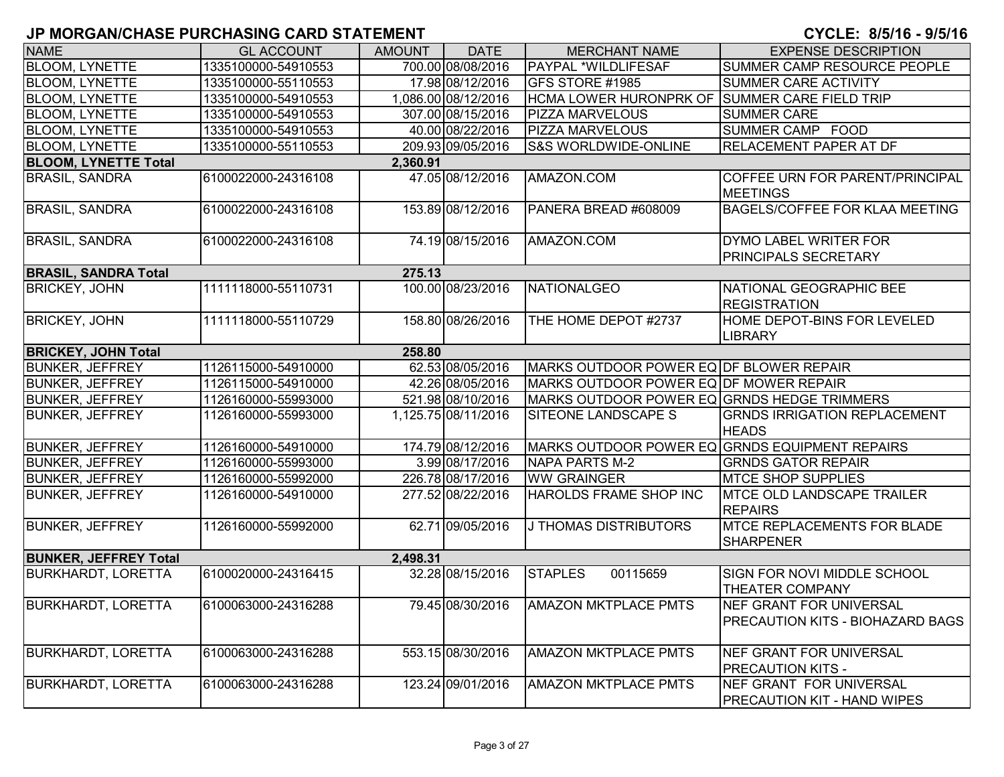| <b>NAME</b>                  | <b>GL ACCOUNT</b>   | <b>AMOUNT</b> | <b>DATE</b>         | <b>MERCHANT NAME</b>                           | <b>EXPENSE DESCRIPTION</b>                                          |  |  |  |  |
|------------------------------|---------------------|---------------|---------------------|------------------------------------------------|---------------------------------------------------------------------|--|--|--|--|
| <b>BLOOM, LYNETTE</b>        | 1335100000-54910553 |               | 700.00 08/08/2016   | <b>PAYPAL *WILDLIFESAF</b>                     | SUMMER CAMP RESOURCE PEOPLE                                         |  |  |  |  |
| <b>BLOOM, LYNETTE</b>        | 1335100000-55110553 |               | 17.98 08/12/2016    | GFS STORE #1985                                | SUMMER CARE ACTIVITY                                                |  |  |  |  |
| <b>BLOOM, LYNETTE</b>        | 1335100000-54910553 |               | 1,086.00 08/12/2016 | HCMA LOWER HURONPRK OF SUMMER CARE FIELD TRIP  |                                                                     |  |  |  |  |
| <b>BLOOM, LYNETTE</b>        | 1335100000-54910553 |               | 307.00 08/15/2016   | <b>PIZZA MARVELOUS</b>                         | <b>SUMMER CARE</b>                                                  |  |  |  |  |
| <b>BLOOM, LYNETTE</b>        | 1335100000-54910553 |               | 40.00 08/22/2016    | <b>PIZZA MARVELOUS</b>                         | SUMMER CAMP FOOD                                                    |  |  |  |  |
| <b>BLOOM, LYNETTE</b>        | 1335100000-55110553 |               | 209.93 09/05/2016   | <b>S&amp;S WORLDWIDE-ONLINE</b>                | <b>RELACEMENT PAPER AT DF</b>                                       |  |  |  |  |
| <b>BLOOM, LYNETTE Total</b>  |                     | 2,360.91      |                     |                                                |                                                                     |  |  |  |  |
| <b>BRASIL, SANDRA</b>        | 6100022000-24316108 |               | 47.05 08/12/2016    | AMAZON.COM                                     | COFFEE URN FOR PARENT/PRINCIPAL<br><b>MEETINGS</b>                  |  |  |  |  |
| <b>BRASIL, SANDRA</b>        | 6100022000-24316108 |               | 153.89 08/12/2016   | PANERA BREAD #608009                           | <b>BAGELS/COFFEE FOR KLAA MEETING</b>                               |  |  |  |  |
| <b>BRASIL, SANDRA</b>        | 6100022000-24316108 |               | 74.19 08/15/2016    | AMAZON.COM                                     | DYMO LABEL WRITER FOR<br><b>PRINCIPALS SECRETARY</b>                |  |  |  |  |
| <b>BRASIL, SANDRA Total</b>  |                     | 275.13        |                     |                                                |                                                                     |  |  |  |  |
| <b>BRICKEY, JOHN</b>         | 1111118000-55110731 |               | 100.00 08/23/2016   | NATIONALGEO                                    | NATIONAL GEOGRAPHIC BEE<br><b>REGISTRATION</b>                      |  |  |  |  |
| <b>BRICKEY, JOHN</b>         | 1111118000-55110729 |               | 158.80 08/26/2016   | THE HOME DEPOT #2737                           | HOME DEPOT-BINS FOR LEVELED<br><b>LIBRARY</b>                       |  |  |  |  |
| <b>BRICKEY, JOHN Total</b>   | 258.80              |               |                     |                                                |                                                                     |  |  |  |  |
| <b>BUNKER, JEFFREY</b>       | 1126115000-54910000 |               | 62.53 08/05/2016    | MARKS OUTDOOR POWER EQ DF BLOWER REPAIR        |                                                                     |  |  |  |  |
| <b>BUNKER, JEFFREY</b>       | 1126115000-54910000 |               | 42.26 08/05/2016    | MARKS OUTDOOR POWER EQ DF MOWER REPAIR         |                                                                     |  |  |  |  |
| <b>BUNKER, JEFFREY</b>       | 1126160000-55993000 |               | 521.98 08/10/2016   | MARKS OUTDOOR POWER EQ GRNDS HEDGE TRIMMERS    |                                                                     |  |  |  |  |
| <b>BUNKER, JEFFREY</b>       | 1126160000-55993000 |               | 1,125.75 08/11/2016 | SITEONE LANDSCAPE S                            | <b>GRNDS IRRIGATION REPLACEMENT</b><br><b>HEADS</b>                 |  |  |  |  |
| <b>BUNKER, JEFFREY</b>       | 1126160000-54910000 |               | 174.79 08/12/2016   | MARKS OUTDOOR POWER EQ GRNDS EQUIPMENT REPAIRS |                                                                     |  |  |  |  |
| <b>BUNKER, JEFFREY</b>       | 1126160000-55993000 |               | 3.99 08/17/2016     | NAPA PARTS M-2                                 | <b>GRNDS GATOR REPAIR</b>                                           |  |  |  |  |
| <b>BUNKER, JEFFREY</b>       | 1126160000-55992000 |               | 226.78 08/17/2016   | <b>WW GRAINGER</b>                             | <b>MTCE SHOP SUPPLIES</b>                                           |  |  |  |  |
| <b>BUNKER, JEFFREY</b>       | 1126160000-54910000 |               | 277.52 08/22/2016   | HAROLDS FRAME SHOP INC                         | <b>IMTCE OLD LANDSCAPE TRAILER</b><br><b>REPAIRS</b>                |  |  |  |  |
| <b>BUNKER, JEFFREY</b>       | 1126160000-55992000 |               | 62.71 09/05/2016    | J THOMAS DISTRIBUTORS                          | <b>IMTCE REPLACEMENTS FOR BLADE</b><br><b>SHARPENER</b>             |  |  |  |  |
| <b>BUNKER, JEFFREY Total</b> |                     | 2,498.31      |                     |                                                |                                                                     |  |  |  |  |
| <b>BURKHARDT, LORETTA</b>    | 6100020000-24316415 |               | 32.28 08/15/2016    | 00115659<br><b>STAPLES</b>                     | <b>SIGN FOR NOVI MIDDLE SCHOOL</b><br><b>THEATER COMPANY</b>        |  |  |  |  |
| <b>BURKHARDT, LORETTA</b>    | 6100063000-24316288 |               | 79.45 08/30/2016    | <b>AMAZON MKTPLACE PMTS</b>                    | INEF GRANT FOR UNIVERSAL<br><b>PRECAUTION KITS - BIOHAZARD BAGS</b> |  |  |  |  |
| <b>BURKHARDT, LORETTA</b>    | 6100063000-24316288 |               | 553.15 08/30/2016   | <b>AMAZON MKTPLACE PMTS</b>                    | NEF GRANT FOR UNIVERSAL<br><b>PRECAUTION KITS -</b>                 |  |  |  |  |
| <b>BURKHARDT, LORETTA</b>    | 6100063000-24316288 |               | 123.24 09/01/2016   | <b>AMAZON MKTPLACE PMTS</b>                    | NEF GRANT FOR UNIVERSAL<br>IPRECAUTION KIT - HAND WIPES             |  |  |  |  |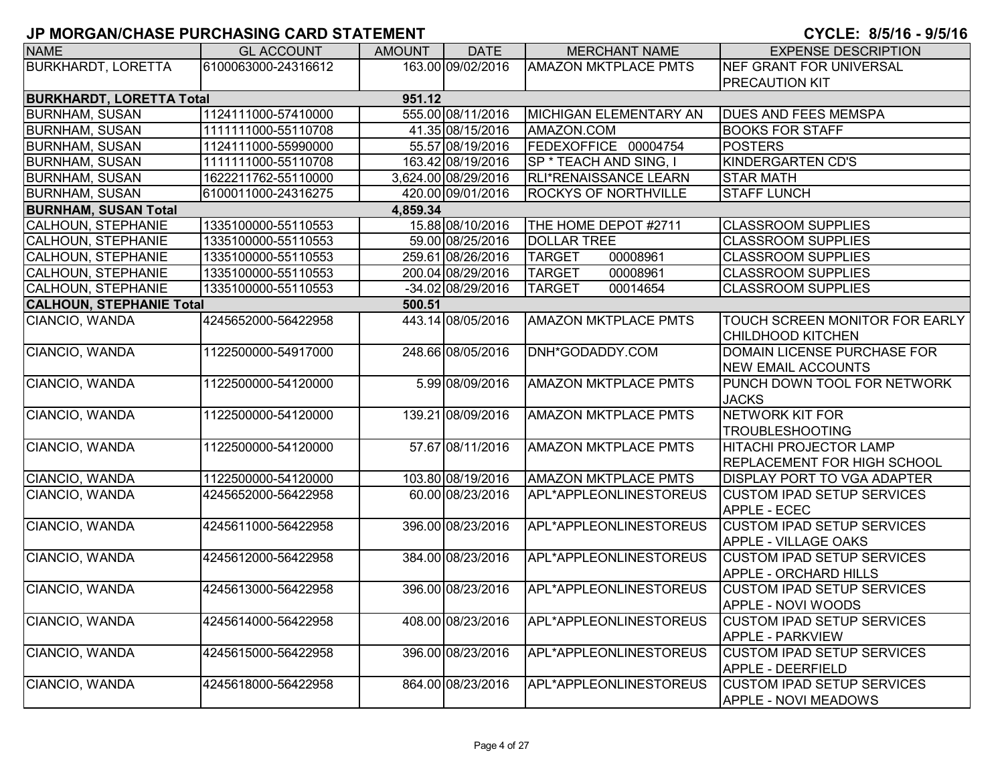| <b>NAME</b>                     | <b>GL ACCOUNT</b>   | <b>AMOUNT</b> | <b>DATE</b>         | <b>MERCHANT NAME</b>        | <b>EXPENSE DESCRIPTION</b>         |
|---------------------------------|---------------------|---------------|---------------------|-----------------------------|------------------------------------|
| <b>BURKHARDT, LORETTA</b>       | 6100063000-24316612 |               | 163.00 09/02/2016   | <b>AMAZON MKTPLACE PMTS</b> | <b>NEF GRANT FOR UNIVERSAL</b>     |
|                                 |                     |               |                     |                             | <b>PRECAUTION KIT</b>              |
| <b>BURKHARDT, LORETTA Total</b> |                     | 951.12        |                     |                             |                                    |
| <b>BURNHAM, SUSAN</b>           | 1124111000-57410000 |               | 555.00 08/11/2016   | MICHIGAN ELEMENTARY AN      | <b>DUES AND FEES MEMSPA</b>        |
| <b>BURNHAM, SUSAN</b>           | 1111111000-55110708 |               | 41.35 08/15/2016    | AMAZON.COM                  | <b>BOOKS FOR STAFF</b>             |
| <b>BURNHAM, SUSAN</b>           | 1124111000-55990000 |               | 55.57 08/19/2016    | FEDEXOFFICE 00004754        | <b>POSTERS</b>                     |
| <b>BURNHAM, SUSAN</b>           | 1111111000-55110708 |               | 163.42 08/19/2016   | SP * TEACH AND SING, I      | <b>KINDERGARTEN CD'S</b>           |
| <b>BURNHAM, SUSAN</b>           | 1622211762-55110000 |               | 3,624.00 08/29/2016 | RLI*RENAISSANCE LEARN       | <b>STAR MATH</b>                   |
| <b>BURNHAM, SUSAN</b>           | 6100011000-24316275 |               | 420.00 09/01/2016   | ROCKYS OF NORTHVILLE        | <b>STAFF LUNCH</b>                 |
| <b>BURNHAM, SUSAN Total</b>     |                     | 4,859.34      |                     |                             |                                    |
| <b>CALHOUN, STEPHANIE</b>       | 1335100000-55110553 |               | 15.88 08/10/2016    | THE HOME DEPOT #2711        | <b>CLASSROOM SUPPLIES</b>          |
| <b>CALHOUN, STEPHANIE</b>       | 1335100000-55110553 |               | 59.00 08/25/2016    | <b>DOLLAR TREE</b>          | <b>CLASSROOM SUPPLIES</b>          |
| CALHOUN, STEPHANIE              | 1335100000-55110553 |               | 259.61 08/26/2016   | <b>TARGET</b><br>00008961   | <b>CLASSROOM SUPPLIES</b>          |
| <b>CALHOUN, STEPHANIE</b>       | 1335100000-55110553 |               | 200.04 08/29/2016   | <b>TARGET</b><br>00008961   | <b>CLASSROOM SUPPLIES</b>          |
| <b>CALHOUN, STEPHANIE</b>       | 1335100000-55110553 |               | -34.02 08/29/2016   | 00014654<br><b>TARGET</b>   | <b>CLASSROOM SUPPLIES</b>          |
| <b>CALHOUN, STEPHANIE Total</b> |                     | 500.51        |                     |                             |                                    |
| CIANCIO, WANDA                  | 4245652000-56422958 |               | 443.14 08/05/2016   | <b>AMAZON MKTPLACE PMTS</b> | TOUCH SCREEN MONITOR FOR EARLY     |
|                                 |                     |               |                     |                             | <b>CHILDHOOD KITCHEN</b>           |
| CIANCIO, WANDA                  | 1122500000-54917000 |               | 248.66 08/05/2016   | DNH*GODADDY.COM             | <b>DOMAIN LICENSE PURCHASE FOR</b> |
|                                 |                     |               |                     |                             | <b>NEW EMAIL ACCOUNTS</b>          |
| CIANCIO, WANDA                  | 1122500000-54120000 |               | 5.99 08/09/2016     | <b>AMAZON MKTPLACE PMTS</b> | PUNCH DOWN TOOL FOR NETWORK        |
|                                 |                     |               |                     |                             | <b>JACKS</b>                       |
| CIANCIO, WANDA                  | 1122500000-54120000 |               | 139.21 08/09/2016   | <b>AMAZON MKTPLACE PMTS</b> | <b>NETWORK KIT FOR</b>             |
|                                 |                     |               |                     |                             | <b>TROUBLESHOOTING</b>             |
| CIANCIO, WANDA                  | 1122500000-54120000 |               | 57.67 08/11/2016    | <b>AMAZON MKTPLACE PMTS</b> | HITACHI PROJECTOR LAMP             |
|                                 |                     |               |                     |                             | <b>REPLACEMENT FOR HIGH SCHOOL</b> |
| CIANCIO, WANDA                  | 1122500000-54120000 |               | 103.80 08/19/2016   | <b>AMAZON MKTPLACE PMTS</b> | <b>DISPLAY PORT TO VGA ADAPTER</b> |
| CIANCIO, WANDA                  | 4245652000-56422958 |               | 60.00 08/23/2016    | APL*APPLEONLINESTOREUS      | <b>CUSTOM IPAD SETUP SERVICES</b>  |
|                                 |                     |               |                     |                             | <b>APPLE - ECEC</b>                |
| CIANCIO, WANDA                  | 4245611000-56422958 |               | 396.00 08/23/2016   | APL*APPLEONLINESTOREUS      | <b>CUSTOM IPAD SETUP SERVICES</b>  |
|                                 |                     |               |                     |                             | <b>APPLE - VILLAGE OAKS</b>        |
| CIANCIO, WANDA                  | 4245612000-56422958 |               | 384.00 08/23/2016   | APL*APPLEONLINESTOREUS      | <b>CUSTOM IPAD SETUP SERVICES</b>  |
|                                 |                     |               |                     |                             | <b>APPLE - ORCHARD HILLS</b>       |
| CIANCIO, WANDA                  | 4245613000-56422958 |               | 396.00 08/23/2016   | APL*APPLEONLINESTOREUS      | <b>CUSTOM IPAD SETUP SERVICES</b>  |
|                                 |                     |               |                     |                             | <b>APPLE - NOVI WOODS</b>          |
| CIANCIO, WANDA                  | 4245614000-56422958 |               | 408.00 08/23/2016   | APL*APPLEONLINESTOREUS      | <b>CUSTOM IPAD SETUP SERVICES</b>  |
|                                 |                     |               |                     |                             | <b>APPLE - PARKVIEW</b>            |
| CIANCIO, WANDA                  | 4245615000-56422958 |               | 396.00 08/23/2016   | APL*APPLEONLINESTOREUS      | <b>CUSTOM IPAD SETUP SERVICES</b>  |
|                                 |                     |               |                     |                             | <b>APPLE - DEERFIELD</b>           |
| CIANCIO, WANDA                  | 4245618000-56422958 |               | 864.00 08/23/2016   | APL*APPLEONLINESTOREUS      | <b>CUSTOM IPAD SETUP SERVICES</b>  |
|                                 |                     |               |                     |                             | <b>APPLE - NOVI MEADOWS</b>        |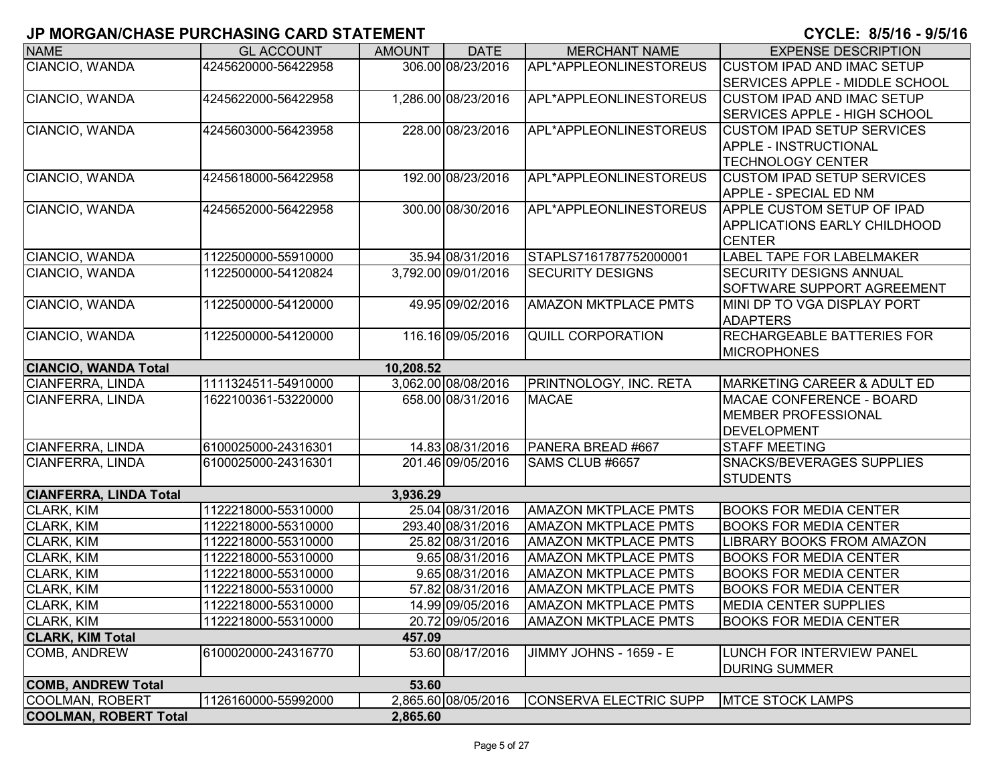| <b>NAME</b>                   | <b>GL ACCOUNT</b>   | <b>AMOUNT</b> | <b>DATE</b>         | <b>MERCHANT NAME</b>        | <b>EXPENSE DESCRIPTION</b>             |
|-------------------------------|---------------------|---------------|---------------------|-----------------------------|----------------------------------------|
| CIANCIO, WANDA                | 4245620000-56422958 |               | 306.00 08/23/2016   | APL*APPLEONLINESTOREUS      | <b>CUSTOM IPAD AND IMAC SETUP</b>      |
|                               |                     |               |                     |                             | SERVICES APPLE - MIDDLE SCHOOL         |
| CIANCIO, WANDA                | 4245622000-56422958 |               | 1,286.00 08/23/2016 | APL*APPLEONLINESTOREUS      | <b>CUSTOM IPAD AND IMAC SETUP</b>      |
|                               |                     |               |                     |                             | <b>SERVICES APPLE - HIGH SCHOOL</b>    |
| CIANCIO, WANDA                | 4245603000-56423958 |               | 228.00 08/23/2016   | APL*APPLEONLINESTOREUS      | <b>CUSTOM IPAD SETUP SERVICES</b>      |
|                               |                     |               |                     |                             | <b>APPLE - INSTRUCTIONAL</b>           |
|                               |                     |               |                     |                             | <b>TECHNOLOGY CENTER</b>               |
| CIANCIO, WANDA                | 4245618000-56422958 |               | 192.00 08/23/2016   | APL*APPLEONLINESTOREUS      | <b>CUSTOM IPAD SETUP SERVICES</b>      |
|                               |                     |               |                     |                             | APPLE - SPECIAL ED NM                  |
| CIANCIO, WANDA                | 4245652000-56422958 |               | 300.00 08/30/2016   | APL*APPLEONLINESTOREUS      | <b>APPLE CUSTOM SETUP OF IPAD</b>      |
|                               |                     |               |                     |                             | <b>APPLICATIONS EARLY CHILDHOOD</b>    |
|                               |                     |               |                     |                             | <b>CENTER</b>                          |
| CIANCIO, WANDA                | 1122500000-55910000 |               | 35.94 08/31/2016    | STAPLS7161787752000001      | LABEL TAPE FOR LABELMAKER              |
| CIANCIO, WANDA                | 1122500000-54120824 |               | 3,792.00 09/01/2016 | <b>SECURITY DESIGNS</b>     | <b>SECURITY DESIGNS ANNUAL</b>         |
|                               |                     |               |                     |                             | SOFTWARE SUPPORT AGREEMENT             |
| CIANCIO, WANDA                | 1122500000-54120000 |               | 49.95 09/02/2016    | <b>AMAZON MKTPLACE PMTS</b> | MINI DP TO VGA DISPLAY PORT            |
|                               |                     |               |                     |                             | <b>ADAPTERS</b>                        |
| CIANCIO, WANDA                | 1122500000-54120000 |               | 116.16 09/05/2016   | <b>QUILL CORPORATION</b>    | <b>RECHARGEABLE BATTERIES FOR</b>      |
|                               |                     |               |                     |                             | <b>MICROPHONES</b>                     |
| <b>CIANCIO, WANDA Total</b>   |                     | 10,208.52     |                     |                             |                                        |
| CIANFERRA, LINDA              | 1111324511-54910000 |               | 3,062.00 08/08/2016 | PRINTNOLOGY, INC. RETA      | <b>MARKETING CAREER &amp; ADULT ED</b> |
| <b>CIANFERRA, LINDA</b>       | 1622100361-53220000 |               | 658.00 08/31/2016   | <b>MACAE</b>                | MACAE CONFERENCE - BOARD               |
|                               |                     |               |                     |                             | <b>MEMBER PROFESSIONAL</b>             |
|                               |                     |               |                     |                             | <b>DEVELOPMENT</b>                     |
| CIANFERRA, LINDA              | 6100025000-24316301 |               | 14.83 08/31/2016    | PANERA BREAD #667           | <b>STAFF MEETING</b>                   |
| <b>CIANFERRA, LINDA</b>       | 6100025000-24316301 |               | 201.46 09/05/2016   | SAMS CLUB #6657             | <b>SNACKS/BEVERAGES SUPPLIES</b>       |
|                               |                     |               |                     |                             | <b>STUDENTS</b>                        |
| <b>CIANFERRA, LINDA Total</b> |                     | 3,936.29      |                     |                             |                                        |
| CLARK, KIM                    | 1122218000-55310000 |               | 25.04 08/31/2016    | <b>AMAZON MKTPLACE PMTS</b> | <b>BOOKS FOR MEDIA CENTER</b>          |
| CLARK, KIM                    | 1122218000-55310000 |               | 293.40 08/31/2016   | <b>AMAZON MKTPLACE PMTS</b> | <b>BOOKS FOR MEDIA CENTER</b>          |
| <b>CLARK, KIM</b>             | 1122218000-55310000 |               | 25.82 08/31/2016    | <b>AMAZON MKTPLACE PMTS</b> | <b>LIBRARY BOOKS FROM AMAZON</b>       |
| <b>CLARK, KIM</b>             | 1122218000-55310000 |               | 9.65 08/31/2016     | <b>AMAZON MKTPLACE PMTS</b> | <b>BOOKS FOR MEDIA CENTER</b>          |
| <b>CLARK, KIM</b>             | 1122218000-55310000 |               | 9.65 08/31/2016     | <b>AMAZON MKTPLACE PMTS</b> | <b>BOOKS FOR MEDIA CENTER</b>          |
| <b>CLARK, KIM</b>             | 1122218000-55310000 |               | 57.82 08/31/2016    | <b>AMAZON MKTPLACE PMTS</b> | <b>BOOKS FOR MEDIA CENTER</b>          |
| <b>CLARK, KIM</b>             | 1122218000-55310000 |               | 14.99 09/05/2016    | <b>AMAZON MKTPLACE PMTS</b> | <b>MEDIA CENTER SUPPLIES</b>           |
| CLARK, KIM                    | 1122218000-55310000 |               | 20.72 09/05/2016    | <b>AMAZON MKTPLACE PMTS</b> | <b>BOOKS FOR MEDIA CENTER</b>          |
| <b>CLARK, KIM Total</b>       |                     | 457.09        |                     |                             |                                        |
| COMB, ANDREW                  | 6100020000-24316770 |               | 53.60 08/17/2016    | JIMMY JOHNS - 1659 - E      | LUNCH FOR INTERVIEW PANEL              |
|                               |                     |               |                     |                             | <b>DURING SUMMER</b>                   |
| <b>COMB, ANDREW Total</b>     |                     | 53.60         |                     |                             |                                        |
| COOLMAN, ROBERT               | 1126160000-55992000 |               | 2,865.60 08/05/2016 | CONSERVA ELECTRIC SUPP      | <b>MTCE STOCK LAMPS</b>                |
| <b>COOLMAN, ROBERT Total</b>  |                     | 2,865.60      |                     |                             |                                        |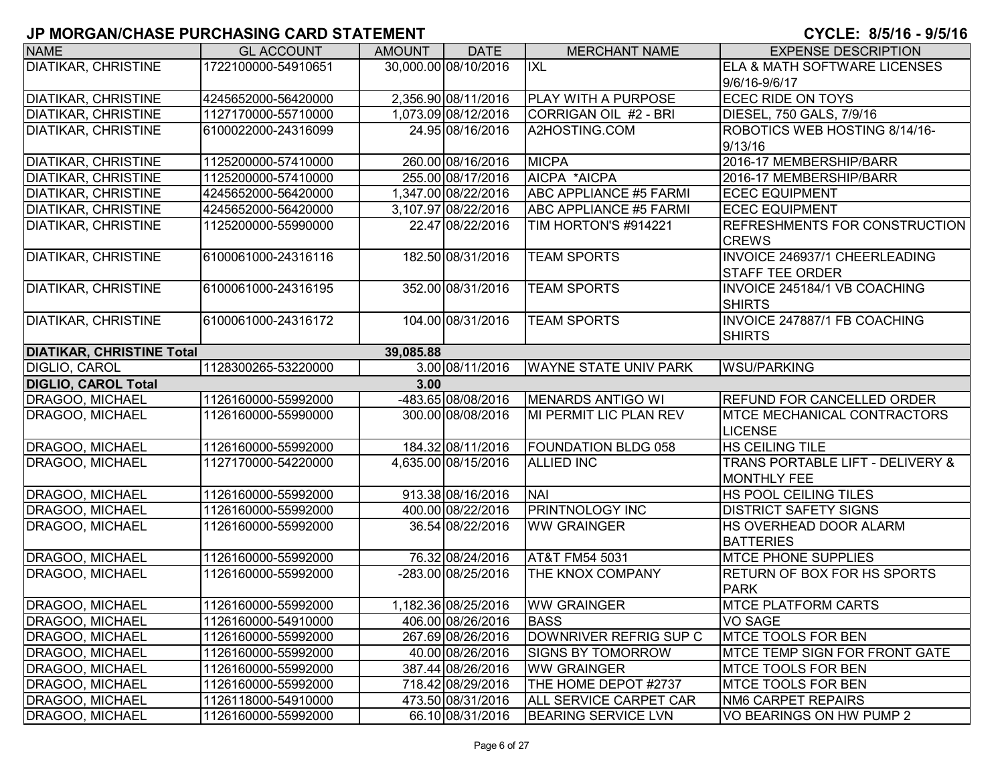| <b>NAME</b>                                   | <b>GL ACCOUNT</b>   | <b>AMOUNT</b> | <b>DATE</b>          | <b>MERCHANT NAME</b>          | <b>EXPENSE DESCRIPTION</b>                                        |  |  |  |  |
|-----------------------------------------------|---------------------|---------------|----------------------|-------------------------------|-------------------------------------------------------------------|--|--|--|--|
| <b>DIATIKAR, CHRISTINE</b>                    | 1722100000-54910651 |               | 30,000.00 08/10/2016 | <b>IXL</b>                    | <b>ELA &amp; MATH SOFTWARE LICENSES</b>                           |  |  |  |  |
|                                               |                     |               |                      |                               | 9/6/16-9/6/17                                                     |  |  |  |  |
| <b>DIATIKAR, CHRISTINE</b>                    | 4245652000-56420000 |               | 2,356.90 08/11/2016  | <b>PLAY WITH A PURPOSE</b>    | <b>ECEC RIDE ON TOYS</b>                                          |  |  |  |  |
| <b>DIATIKAR, CHRISTINE</b>                    | 1127170000-55710000 |               | 1,073.09 08/12/2016  | CORRIGAN OIL #2 - BRI         | DIESEL, 750 GALS, 7/9/16                                          |  |  |  |  |
| <b>DIATIKAR, CHRISTINE</b>                    | 6100022000-24316099 |               | 24.95 08/16/2016     | A2HOSTING.COM                 | ROBOTICS WEB HOSTING 8/14/16-                                     |  |  |  |  |
|                                               |                     |               |                      |                               | 9/13/16                                                           |  |  |  |  |
| <b>DIATIKAR, CHRISTINE</b>                    | 1125200000-57410000 |               | 260.00 08/16/2016    | <b>MICPA</b>                  | 2016-17 MEMBERSHIP/BARR                                           |  |  |  |  |
| <b>DIATIKAR, CHRISTINE</b>                    | 1125200000-57410000 |               | 255.00 08/17/2016    | AICPA *AICPA                  | 2016-17 MEMBERSHIP/BARR                                           |  |  |  |  |
| <b>DIATIKAR, CHRISTINE</b>                    | 4245652000-56420000 |               | 1,347.00 08/22/2016  | <b>ABC APPLIANCE #5 FARMI</b> | <b>ECEC EQUIPMENT</b>                                             |  |  |  |  |
| DIATIKAR, CHRISTINE                           | 4245652000-56420000 |               | 3,107.97 08/22/2016  | <b>ABC APPLIANCE #5 FARMI</b> | <b>ECEC EQUIPMENT</b>                                             |  |  |  |  |
| DIATIKAR, CHRISTINE                           | 1125200000-55990000 |               | 22.47 08/22/2016     | TIM HORTON'S #914221          | <b>REFRESHMENTS FOR CONSTRUCTION</b><br><b>CREWS</b>              |  |  |  |  |
| <b>DIATIKAR, CHRISTINE</b>                    | 6100061000-24316116 |               | 182.50 08/31/2016    | <b>TEAM SPORTS</b>            | <b>INVOICE 246937/1 CHEERLEADING</b><br><b>STAFF TEE ORDER</b>    |  |  |  |  |
| <b>DIATIKAR, CHRISTINE</b>                    | 6100061000-24316195 |               | 352.00 08/31/2016    | <b>TEAM SPORTS</b>            | <b>INVOICE 245184/1 VB COACHING</b><br><b>SHIRTS</b>              |  |  |  |  |
| <b>DIATIKAR, CHRISTINE</b>                    | 6100061000-24316172 |               | 104.00 08/31/2016    | <b>TEAM SPORTS</b>            | <b>INVOICE 247887/1 FB COACHING</b>                               |  |  |  |  |
|                                               |                     |               |                      |                               | <b>SHIRTS</b>                                                     |  |  |  |  |
| <b>DIATIKAR, CHRISTINE Total</b><br>39,085.88 |                     |               |                      |                               |                                                                   |  |  |  |  |
| DIGLIO, CAROL                                 | 1128300265-53220000 |               | 3.00 08/11/2016      | <b>WAYNE STATE UNIV PARK</b>  | <b>WSU/PARKING</b>                                                |  |  |  |  |
| <b>DIGLIO, CAROL Total</b>                    |                     | 3.00          |                      |                               |                                                                   |  |  |  |  |
| DRAGOO, MICHAEL                               | 1126160000-55992000 |               | -483.65 08/08/2016   | MENARDS ANTIGO WI             | <b>REFUND FOR CANCELLED ORDER</b>                                 |  |  |  |  |
| DRAGOO, MICHAEL                               | 1126160000-55990000 |               | 300.00 08/08/2016    | MI PERMIT LIC PLAN REV        | <b>IMTCE MECHANICAL CONTRACTORS</b><br><b>LICENSE</b>             |  |  |  |  |
| DRAGOO, MICHAEL                               | 1126160000-55992000 |               | 184.32 08/11/2016    | <b>FOUNDATION BLDG 058</b>    | <b>HS CEILING TILE</b>                                            |  |  |  |  |
| DRAGOO, MICHAEL                               | 1127170000-54220000 |               | 4,635.00 08/15/2016  | <b>ALLIED INC</b>             | <b>TRANS PORTABLE LIFT - DELIVERY &amp;</b><br><b>MONTHLY FEE</b> |  |  |  |  |
| DRAGOO, MICHAEL                               | 1126160000-55992000 |               | 913.38 08/16/2016    | <b>NAI</b>                    | <b>HS POOL CEILING TILES</b>                                      |  |  |  |  |
| DRAGOO, MICHAEL                               | 1126160000-55992000 |               | 400.00 08/22/2016    | <b>PRINTNOLOGY INC</b>        | <b>DISTRICT SAFETY SIGNS</b>                                      |  |  |  |  |
| DRAGOO, MICHAEL                               | 1126160000-55992000 |               | 36.54 08/22/2016     | <b>WW GRAINGER</b>            | HS OVERHEAD DOOR ALARM<br><b>BATTERIES</b>                        |  |  |  |  |
| DRAGOO, MICHAEL                               | 1126160000-55992000 |               | 76.32 08/24/2016     | AT&T FM54 5031                | <b>MTCE PHONE SUPPLIES</b>                                        |  |  |  |  |
| DRAGOO, MICHAEL                               | 1126160000-55992000 |               | -283.00 08/25/2016   | THE KNOX COMPANY              | <b>RETURN OF BOX FOR HS SPORTS</b>                                |  |  |  |  |
|                                               |                     |               |                      |                               | <b>PARK</b>                                                       |  |  |  |  |
| DRAGOO, MICHAEL                               | 1126160000-55992000 |               | 1,182.36 08/25/2016  | <b>WW GRAINGER</b>            | <b>MTCE PLATFORM CARTS</b>                                        |  |  |  |  |
| DRAGOO, MICHAEL                               | 1126160000-54910000 |               | 406.00 08/26/2016    | <b>BASS</b>                   | <b>VO SAGE</b>                                                    |  |  |  |  |
| DRAGOO, MICHAEL                               | 1126160000-55992000 |               | 267.69 08/26/2016    | DOWNRIVER REFRIG SUP C        | <b>MTCE TOOLS FOR BEN</b>                                         |  |  |  |  |
| DRAGOO, MICHAEL                               | 1126160000-55992000 |               | 40.00 08/26/2016     | <b>SIGNS BY TOMORROW</b>      | <b>IMTCE TEMP SIGN FOR FRONT GATE</b>                             |  |  |  |  |
| DRAGOO, MICHAEL                               | 1126160000-55992000 |               | 387.44 08/26/2016    | <b>WW GRAINGER</b>            | <b>MTCE TOOLS FOR BEN</b>                                         |  |  |  |  |
| <b>DRAGOO, MICHAEL</b>                        | 1126160000-55992000 |               | 718.42 08/29/2016    | THE HOME DEPOT #2737          | <b>MTCE TOOLS FOR BEN</b>                                         |  |  |  |  |
| DRAGOO, MICHAEL                               | 1126118000-54910000 |               | 473.50 08/31/2016    | ALL SERVICE CARPET CAR        | NM6 CARPET REPAIRS                                                |  |  |  |  |
| <b>DRAGOO, MICHAEL</b>                        | 1126160000-55992000 |               | 66.10 08/31/2016     | <b>BEARING SERVICE LVN</b>    | VO BEARINGS ON HW PUMP 2                                          |  |  |  |  |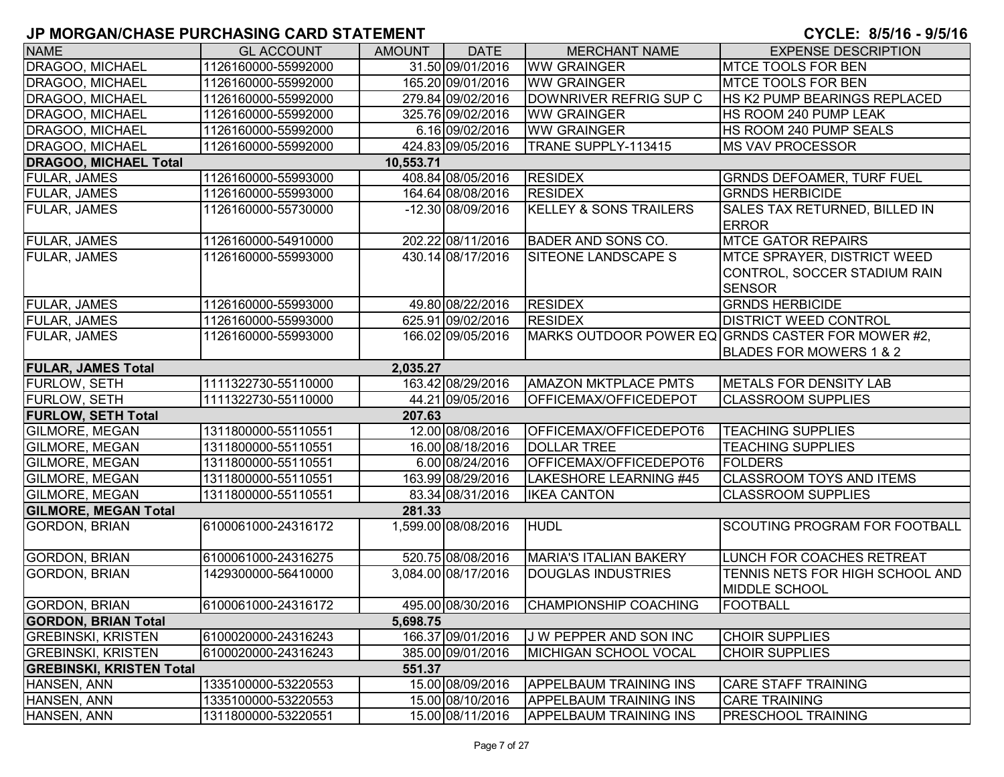| <b>NAME</b>                     | <b>GL ACCOUNT</b>   | <b>AMOUNT</b> | <b>DATE</b>         | <b>MERCHANT NAME</b>              | <b>EXPENSE DESCRIPTION</b>                                                          |
|---------------------------------|---------------------|---------------|---------------------|-----------------------------------|-------------------------------------------------------------------------------------|
| DRAGOO, MICHAEL                 | 1126160000-55992000 |               | 31.50 09/01/2016    | <b>WW GRAINGER</b>                | <b>MTCE TOOLS FOR BEN</b>                                                           |
| DRAGOO, MICHAEL                 | 1126160000-55992000 |               | 165.20 09/01/2016   | <b>WW GRAINGER</b>                | <b>MTCE TOOLS FOR BEN</b>                                                           |
| DRAGOO, MICHAEL                 | 1126160000-55992000 |               | 279.84 09/02/2016   | DOWNRIVER REFRIG SUP C            | HS K2 PUMP BEARINGS REPLACED                                                        |
| <b>DRAGOO, MICHAEL</b>          | 1126160000-55992000 |               | 325.76 09/02/2016   | <b>WW GRAINGER</b>                | HS ROOM 240 PUMP LEAK                                                               |
| DRAGOO, MICHAEL                 | 1126160000-55992000 |               | 6.16 09/02/2016     | <b>WW GRAINGER</b>                | HS ROOM 240 PUMP SEALS                                                              |
| DRAGOO, MICHAEL                 | 1126160000-55992000 |               | 424.83 09/05/2016   | TRANE SUPPLY-113415               | <b>MS VAV PROCESSOR</b>                                                             |
| <b>DRAGOO, MICHAEL Total</b>    |                     | 10,553.71     |                     |                                   |                                                                                     |
| FULAR, JAMES                    | 1126160000-55993000 |               | 408.84 08/05/2016   | <b>RESIDEX</b>                    | <b>GRNDS DEFOAMER, TURF FUEL</b>                                                    |
| FULAR, JAMES                    | 1126160000-55993000 |               | 164.64 08/08/2016   | <b>RESIDEX</b>                    | <b>GRNDS HERBICIDE</b>                                                              |
| <b>FULAR, JAMES</b>             | 1126160000-55730000 |               | -12.30 08/09/2016   | <b>KELLEY &amp; SONS TRAILERS</b> | SALES TAX RETURNED, BILLED IN<br><b>ERROR</b>                                       |
| <b>FULAR, JAMES</b>             | 1126160000-54910000 |               | 202.22 08/11/2016   | <b>BADER AND SONS CO.</b>         | <b>MTCE GATOR REPAIRS</b>                                                           |
| <b>FULAR, JAMES</b>             | 1126160000-55993000 |               | 430.14 08/17/2016   | SITEONE LANDSCAPE S               | <b>MTCE SPRAYER, DISTRICT WEED</b><br>CONTROL, SOCCER STADIUM RAIN<br><b>SENSOR</b> |
| <b>FULAR, JAMES</b>             | 1126160000-55993000 |               | 49.80 08/22/2016    | <b>RESIDEX</b>                    | <b>GRNDS HERBICIDE</b>                                                              |
| <b>FULAR, JAMES</b>             | 1126160000-55993000 |               | 625.91 09/02/2016   | <b>RESIDEX</b>                    | <b>DISTRICT WEED CONTROL</b>                                                        |
| <b>FULAR, JAMES</b>             | 1126160000-55993000 |               | 166.02 09/05/2016   |                                   | MARKS OUTDOOR POWER EQ GRNDS CASTER FOR MOWER #2,<br>BLADES FOR MOWERS 1 & 2        |
| <b>FULAR, JAMES Total</b>       |                     | 2.035.27      |                     |                                   |                                                                                     |
| <b>FURLOW, SETH</b>             | 1111322730-55110000 |               | 163.42 08/29/2016   | <b>AMAZON MKTPLACE PMTS</b>       | METALS FOR DENSITY LAB                                                              |
| <b>FURLOW, SETH</b>             | 1111322730-55110000 |               | 44.21 09/05/2016    | OFFICEMAX/OFFICEDEPOT             | <b>CLASSROOM SUPPLIES</b>                                                           |
| <b>FURLOW, SETH Total</b>       |                     | 207.63        |                     |                                   |                                                                                     |
| GILMORE, MEGAN                  | 1311800000-55110551 |               | 12.00 08/08/2016    | OFFICEMAX/OFFICEDEPOT6            | <b>TEACHING SUPPLIES</b>                                                            |
| GILMORE, MEGAN                  | 1311800000-55110551 |               | 16.00 08/18/2016    | <b>DOLLAR TREE</b>                | <b>TEACHING SUPPLIES</b>                                                            |
| GILMORE, MEGAN                  | 1311800000-55110551 |               | 6.00 08/24/2016     | OFFICEMAX/OFFICEDEPOT6            | <b>FOLDERS</b>                                                                      |
| <b>GILMORE, MEGAN</b>           | 1311800000-55110551 |               | 163.99 08/29/2016   | LAKESHORE LEARNING #45            | <b>CLASSROOM TOYS AND ITEMS</b>                                                     |
| <b>GILMORE, MEGAN</b>           | 1311800000-55110551 |               | 83.34 08/31/2016    | <b>IKEA CANTON</b>                | <b>CLASSROOM SUPPLIES</b>                                                           |
| <b>GILMORE, MEGAN Total</b>     |                     | 281.33        |                     |                                   |                                                                                     |
| <b>GORDON, BRIAN</b>            | 6100061000-24316172 |               | 1,599.00 08/08/2016 | <b>HUDL</b>                       | <b>SCOUTING PROGRAM FOR FOOTBALL</b>                                                |
| <b>GORDON, BRIAN</b>            | 6100061000-24316275 |               | 520.75 08/08/2016   | <b>MARIA'S ITALIAN BAKERY</b>     | LUNCH FOR COACHES RETREAT                                                           |
| <b>GORDON, BRIAN</b>            | 1429300000-56410000 |               | 3,084.00 08/17/2016 | <b>DOUGLAS INDUSTRIES</b>         | TENNIS NETS FOR HIGH SCHOOL AND<br><b>MIDDLE SCHOOL</b>                             |
| <b>GORDON, BRIAN</b>            | 6100061000-24316172 |               | 495.00 08/30/2016   | <b>CHAMPIONSHIP COACHING</b>      | <b>FOOTBALL</b>                                                                     |
| <b>GORDON, BRIAN Total</b>      |                     | 5,698.75      |                     |                                   |                                                                                     |
| <b>GREBINSKI, KRISTEN</b>       | 6100020000-24316243 |               | 166.37 09/01/2016   | J W PEPPER AND SON INC            | <b>CHOIR SUPPLIES</b>                                                               |
| <b>GREBINSKI, KRISTEN</b>       | 6100020000-24316243 |               | 385.00 09/01/2016   | MICHIGAN SCHOOL VOCAL             | <b>CHOIR SUPPLIES</b>                                                               |
| <b>GREBINSKI, KRISTEN Total</b> |                     | 551.37        |                     |                                   |                                                                                     |
| HANSEN, ANN                     | 1335100000-53220553 |               | 15.00 08/09/2016    | <b>APPELBAUM TRAINING INS</b>     | <b>CARE STAFF TRAINING</b>                                                          |
| HANSEN, ANN                     | 1335100000-53220553 |               | 15.00 08/10/2016    | <b>APPELBAUM TRAINING INS</b>     | <b>CARE TRAINING</b>                                                                |
| HANSEN, ANN                     | 1311800000-53220551 |               | 15.00 08/11/2016    | <b>APPELBAUM TRAINING INS</b>     | <b>PRESCHOOL TRAINING</b>                                                           |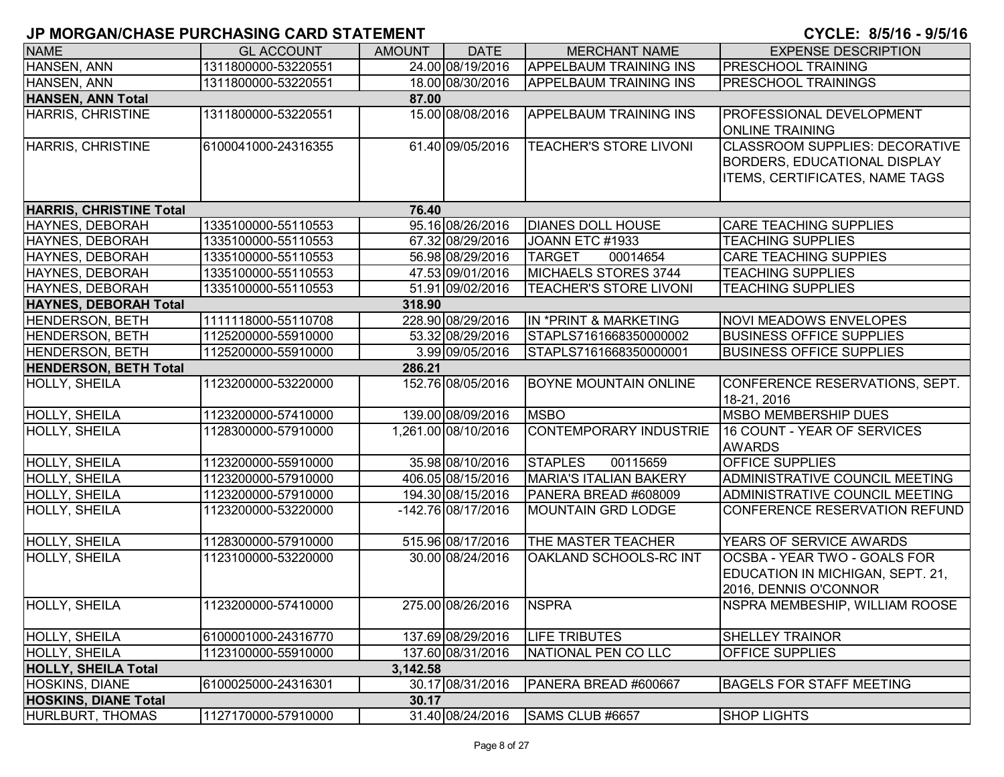| <b>NAME</b>                    | <b>GL ACCOUNT</b>   | <b>AMOUNT</b> | <b>DATE</b>         | <b>MERCHANT NAME</b>          | <b>EXPENSE DESCRIPTION</b>            |
|--------------------------------|---------------------|---------------|---------------------|-------------------------------|---------------------------------------|
| HANSEN, ANN                    | 1311800000-53220551 |               | 24.00 08/19/2016    | <b>APPELBAUM TRAINING INS</b> | <b>PRESCHOOL TRAINING</b>             |
| HANSEN, ANN                    | 1311800000-53220551 |               | 18.00 08/30/2016    | <b>APPELBAUM TRAINING INS</b> | <b>PRESCHOOL TRAININGS</b>            |
| <b>HANSEN, ANN Total</b>       |                     | 87.00         |                     |                               |                                       |
| <b>HARRIS, CHRISTINE</b>       | 1311800000-53220551 |               | 15.00 08/08/2016    | <b>APPELBAUM TRAINING INS</b> | <b>PROFESSIONAL DEVELOPMENT</b>       |
|                                |                     |               |                     |                               | <b>ONLINE TRAINING</b>                |
| HARRIS, CHRISTINE              | 6100041000-24316355 |               | 61.40 09/05/2016    | <b>TEACHER'S STORE LIVONI</b> | <b>CLASSROOM SUPPLIES: DECORATIVE</b> |
|                                |                     |               |                     |                               | <b>BORDERS, EDUCATIONAL DISPLAY</b>   |
|                                |                     |               |                     |                               | <b>ITEMS, CERTIFICATES, NAME TAGS</b> |
|                                |                     |               |                     |                               |                                       |
| <b>HARRIS, CHRISTINE Total</b> |                     | 76.40         |                     |                               |                                       |
| HAYNES, DEBORAH                | 1335100000-55110553 |               | 95.16 08/26/2016    | <b>DIANES DOLL HOUSE</b>      | <b>CARE TEACHING SUPPLIES</b>         |
| HAYNES, DEBORAH                | 1335100000-55110553 |               | 67.32 08/29/2016    | JOANN ETC #1933               | <b>TEACHING SUPPLIES</b>              |
| HAYNES, DEBORAH                | 1335100000-55110553 |               | 56.98 08/29/2016    | <b>TARGET</b><br>00014654     | <b>CARE TEACHING SUPPIES</b>          |
| HAYNES, DEBORAH                | 1335100000-55110553 |               | 47.53 09/01/2016    | MICHAELS STORES 3744          | <b>TEACHING SUPPLIES</b>              |
| HAYNES, DEBORAH                | 1335100000-55110553 |               | 51.91 09/02/2016    | <b>TEACHER'S STORE LIVONI</b> | <b>TEACHING SUPPLIES</b>              |
| <b>HAYNES, DEBORAH Total</b>   |                     | 318.90        |                     |                               |                                       |
| HENDERSON, BETH                | 1111118000-55110708 |               | 228.90 08/29/2016   | IN *PRINT & MARKETING         | <b>NOVI MEADOWS ENVELOPES</b>         |
| HENDERSON, BETH                | 1125200000-55910000 |               | 53.32 08/29/2016    | STAPLS7161668350000002        | <b>BUSINESS OFFICE SUPPLIES</b>       |
| <b>HENDERSON, BETH</b>         | 1125200000-55910000 |               | 3.99 09/05/2016     | STAPLS7161668350000001        | <b>BUSINESS OFFICE SUPPLIES</b>       |
| <b>HENDERSON, BETH Total</b>   |                     | 286.21        |                     |                               |                                       |
| HOLLY, SHEILA                  | 1123200000-53220000 |               | 152.76 08/05/2016   | <b>BOYNE MOUNTAIN ONLINE</b>  | CONFERENCE RESERVATIONS, SEPT.        |
|                                |                     |               |                     |                               | 18-21, 2016                           |
| HOLLY, SHEILA                  | 1123200000-57410000 |               | 139.00 08/09/2016   | <b>MSBO</b>                   | <b>MSBO MEMBERSHIP DUES</b>           |
| HOLLY, SHEILA                  | 1128300000-57910000 |               | 1,261.00 08/10/2016 | <b>CONTEMPORARY INDUSTRIE</b> | 16 COUNT - YEAR OF SERVICES           |
|                                |                     |               |                     |                               | <b>AWARDS</b>                         |
| <b>HOLLY, SHEILA</b>           | 1123200000-55910000 |               | 35.98 08/10/2016    | <b>STAPLES</b><br>00115659    | <b>OFFICE SUPPLIES</b>                |
| <b>HOLLY, SHEILA</b>           | 1123200000-57910000 |               | 406.05 08/15/2016   | <b>MARIA'S ITALIAN BAKERY</b> | ADMINISTRATIVE COUNCIL MEETING        |
| HOLLY, SHEILA                  | 1123200000-57910000 |               | 194.30 08/15/2016   | PANERA BREAD #608009          | <b>ADMINISTRATIVE COUNCIL MEETING</b> |
| <b>HOLLY, SHEILA</b>           | 1123200000-53220000 |               | -142.76 08/17/2016  | <b>MOUNTAIN GRD LODGE</b>     | CONFERENCE RESERVATION REFUND         |
| <b>HOLLY, SHEILA</b>           | 1128300000-57910000 |               | 515.96 08/17/2016   | THE MASTER TEACHER            | YEARS OF SERVICE AWARDS               |
| <b>HOLLY, SHEILA</b>           | 1123100000-53220000 |               | 30.00 08/24/2016    | OAKLAND SCHOOLS-RC INT        | OCSBA - YEAR TWO - GOALS FOR          |
|                                |                     |               |                     |                               | EDUCATION IN MICHIGAN, SEPT. 21,      |
|                                |                     |               |                     |                               | 2016, DENNIS O'CONNOR                 |
| <b>HOLLY, SHEILA</b>           | 1123200000-57410000 |               | 275.00 08/26/2016   | <b>NSPRA</b>                  | NSPRA MEMBESHIP, WILLIAM ROOSE        |
|                                |                     |               |                     |                               |                                       |
| <b>HOLLY, SHEILA</b>           | 6100001000-24316770 |               | 137.69 08/29/2016   | <b>LIFE TRIBUTES</b>          | <b>SHELLEY TRAINOR</b>                |
| HOLLY, SHEILA                  | 1123100000-55910000 |               | 137.60 08/31/2016   | NATIONAL PEN CO LLC           | <b>OFFICE SUPPLIES</b>                |
| <b>HOLLY, SHEILA Total</b>     |                     | 3,142.58      |                     |                               |                                       |
| <b>HOSKINS, DIANE</b>          | 6100025000-24316301 |               | 30.17 08/31/2016    | PANERA BREAD #600667          | <b>BAGELS FOR STAFF MEETING</b>       |
| <b>HOSKINS, DIANE Total</b>    |                     | 30.17         |                     |                               |                                       |
| HURLBURT, THOMAS               | 1127170000-57910000 |               | 31.40 08/24/2016    | SAMS CLUB #6657               | <b>SHOP LIGHTS</b>                    |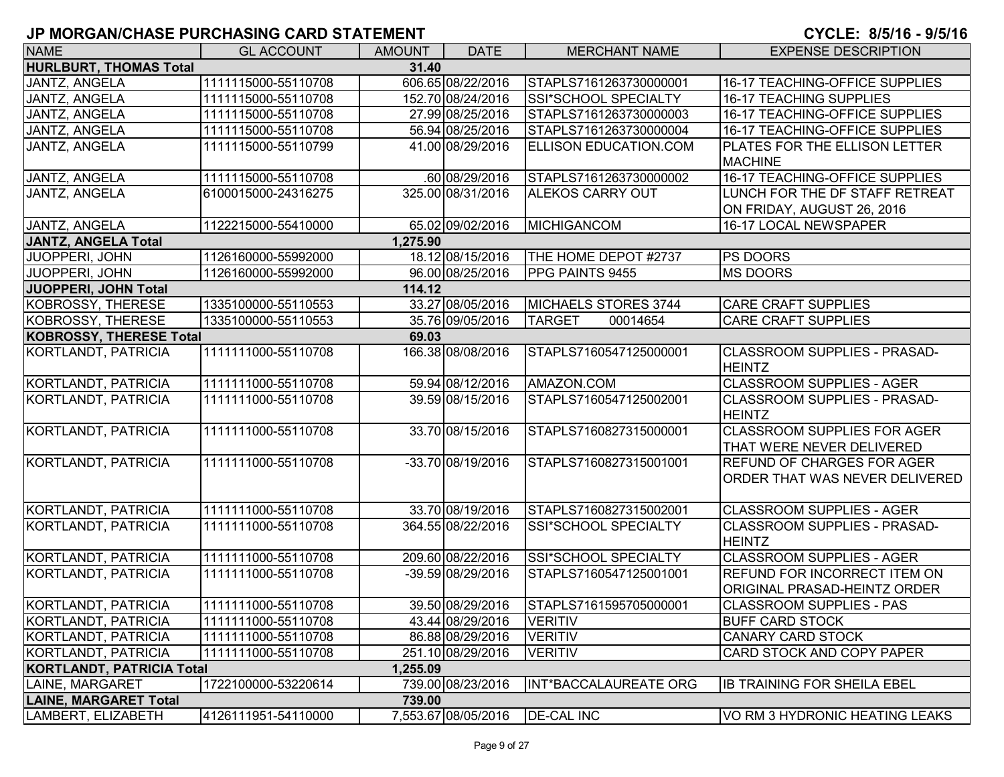| <b>NAME</b>                      | <b>GL ACCOUNT</b>   | <b>AMOUNT</b> | <b>DATE</b>         | <b>MERCHANT NAME</b>         | <b>EXPENSE DESCRIPTION</b>            |
|----------------------------------|---------------------|---------------|---------------------|------------------------------|---------------------------------------|
| <b>HURLBURT, THOMAS Total</b>    |                     | 31.40         |                     |                              |                                       |
| JANTZ, ANGELA                    | 1111115000-55110708 |               | 606.65 08/22/2016   | STAPLS7161263730000001       | 16-17 TEACHING-OFFICE SUPPLIES        |
| JANTZ, ANGELA                    | 1111115000-55110708 |               | 152.70 08/24/2016   | SSI*SCHOOL SPECIALTY         | <b>16-17 TEACHING SUPPLIES</b>        |
| JANTZ, ANGELA                    | 1111115000-55110708 |               | 27.99 08/25/2016    | STAPLS7161263730000003       | 16-17 TEACHING-OFFICE SUPPLIES        |
| JANTZ, ANGELA                    | 1111115000-55110708 |               | 56.94 08/25/2016    | STAPLS7161263730000004       | 16-17 TEACHING-OFFICE SUPPLIES        |
| JANTZ, ANGELA                    | 1111115000-55110799 |               | 41.00 08/29/2016    | <b>ELLISON EDUCATION.COM</b> | PLATES FOR THE ELLISON LETTER         |
|                                  |                     |               |                     |                              | <b>MACHINE</b>                        |
| <b>JANTZ, ANGELA</b>             | 1111115000-55110708 |               | $.60\,08/29/2016$   | STAPLS7161263730000002       | <b>16-17 TEACHING-OFFICE SUPPLIES</b> |
| JANTZ, ANGELA                    | 6100015000-24316275 |               | 325.00 08/31/2016   | <b>ALEKOS CARRY OUT</b>      | LUNCH FOR THE DF STAFF RETREAT        |
|                                  |                     |               |                     |                              | ON FRIDAY, AUGUST 26, 2016            |
| JANTZ, ANGELA                    | 1122215000-55410000 |               | 65.02 09/02/2016    | <b>MICHIGANCOM</b>           | 16-17 LOCAL NEWSPAPER                 |
| <b>JANTZ, ANGELA Total</b>       |                     | 1,275.90      |                     |                              |                                       |
| <b>JUOPPERI, JOHN</b>            | 1126160000-55992000 |               | 18.12 08/15/2016    | THE HOME DEPOT #2737         | PS DOORS                              |
| <b>JUOPPERI, JOHN</b>            | 1126160000-55992000 |               | 96.00 08/25/2016    | <b>PPG PAINTS 9455</b>       | <b>MS DOORS</b>                       |
| JUOPPERI, JOHN Total             |                     | 114.12        |                     |                              |                                       |
| KOBROSSY, THERESE                | 1335100000-55110553 |               | 33.27 08/05/2016    | MICHAELS STORES 3744         | <b>CARE CRAFT SUPPLIES</b>            |
| <b>KOBROSSY, THERESE</b>         | 1335100000-55110553 |               | 35.76 09/05/2016    | <b>TARGET</b><br>00014654    | <b>CARE CRAFT SUPPLIES</b>            |
| <b>KOBROSSY, THERESE Total</b>   |                     | 69.03         |                     |                              |                                       |
| KORTLANDT, PATRICIA              | 1111111000-55110708 |               | 166.38 08/08/2016   | STAPLS7160547125000001       | <b>CLASSROOM SUPPLIES - PRASAD-</b>   |
|                                  |                     |               |                     |                              | <b>HEINTZ</b>                         |
| KORTLANDT, PATRICIA              | 1111111000-55110708 |               | 59.94 08/12/2016    | AMAZON.COM                   | <b>CLASSROOM SUPPLIES - AGER</b>      |
| <b>KORTLANDT, PATRICIA</b>       | 1111111000-55110708 |               | 39.59 08/15/2016    | STAPLS7160547125002001       | <b>CLASSROOM SUPPLIES - PRASAD-</b>   |
|                                  |                     |               |                     |                              | <b>HEINTZ</b>                         |
| KORTLANDT, PATRICIA              | 1111111000-55110708 |               | 33.70 08/15/2016    | STAPLS7160827315000001       | <b>CLASSROOM SUPPLIES FOR AGER</b>    |
|                                  |                     |               |                     |                              | THAT WERE NEVER DELIVERED             |
| KORTLANDT, PATRICIA              | 1111111000-55110708 |               | -33.70 08/19/2016   | STAPLS7160827315001001       | REFUND OF CHARGES FOR AGER            |
|                                  |                     |               |                     |                              | ORDER THAT WAS NEVER DELIVERED        |
|                                  |                     |               |                     |                              |                                       |
| KORTLANDT, PATRICIA              | 1111111000-55110708 |               | 33.70 08/19/2016    | STAPLS7160827315002001       | <b>CLASSROOM SUPPLIES - AGER</b>      |
| KORTLANDT, PATRICIA              | 1111111000-55110708 |               | 364.55 08/22/2016   | SSI*SCHOOL SPECIALTY         | <b>CLASSROOM SUPPLIES - PRASAD-</b>   |
|                                  |                     |               |                     |                              | <b>HEINTZ</b>                         |
| KORTLANDT, PATRICIA              | 1111111000-55110708 |               | 209.60 08/22/2016   | SSI*SCHOOL SPECIALTY         | <b>CLASSROOM SUPPLIES - AGER</b>      |
| KORTLANDT, PATRICIA              | 1111111000-55110708 |               | -39.59 08/29/2016   | STAPLS7160547125001001       | REFUND FOR INCORRECT ITEM ON          |
|                                  |                     |               |                     |                              | ORIGINAL PRASAD-HEINTZ ORDER          |
| KORTLANDT, PATRICIA              | 1111111000-55110708 |               | 39.50 08/29/2016    | STAPLS7161595705000001       | <b>CLASSROOM SUPPLIES - PAS</b>       |
| KORTLANDT, PATRICIA              | 1111111000-55110708 |               | 43.44 08/29/2016    | <b>VERITIV</b>               | <b>BUFF CARD STOCK</b>                |
| KORTLANDT, PATRICIA              | 1111111000-55110708 |               | 86.88 08/29/2016    | <b>VERITIV</b>               | CANARY CARD STOCK                     |
| KORTLANDT, PATRICIA              | 1111111000-55110708 |               | 251.10 08/29/2016   | <b>VERITIV</b>               | CARD STOCK AND COPY PAPER             |
| <b>KORTLANDT, PATRICIA Total</b> |                     | 1,255.09      |                     |                              |                                       |
| <b>LAINE, MARGARET</b>           | 1722100000-53220614 |               | 739.00 08/23/2016   | INT*BACCALAUREATE ORG        | <b>IB TRAINING FOR SHEILA EBEL</b>    |
| <b>LAINE, MARGARET Total</b>     |                     | 739.00        |                     |                              |                                       |
| LAMBERT, ELIZABETH               | 4126111951-54110000 |               | 7,553.67 08/05/2016 | <b>DE-CAL INC</b>            | VO RM 3 HYDRONIC HEATING LEAKS        |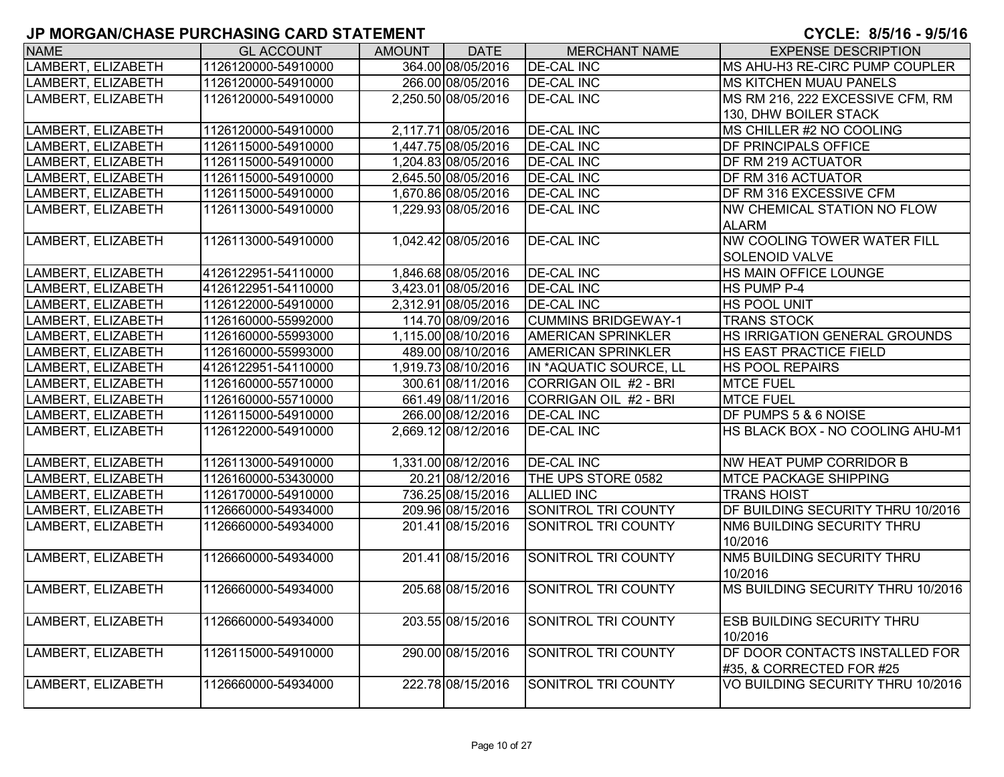| <b>NAME</b>        | <b>GL ACCOUNT</b>   | AMOUNT | <b>DATE</b>         | <b>MERCHANT NAME</b>         | <b>EXPENSE DESCRIPTION</b>         |
|--------------------|---------------------|--------|---------------------|------------------------------|------------------------------------|
| LAMBERT, ELIZABETH | 1126120000-54910000 |        | 364.00 08/05/2016   | <b>DE-CAL INC</b>            | MS AHU-H3 RE-CIRC PUMP COUPLER     |
| LAMBERT, ELIZABETH | 1126120000-54910000 |        | 266.00 08/05/2016   | <b>DE-CAL INC</b>            | <b>MS KITCHEN MUAU PANELS</b>      |
| LAMBERT, ELIZABETH | 1126120000-54910000 |        | 2,250.50 08/05/2016 | <b>DE-CAL INC</b>            | MS RM 216, 222 EXCESSIVE CFM, RM   |
|                    |                     |        |                     |                              | 130, DHW BOILER STACK              |
| LAMBERT, ELIZABETH | 1126120000-54910000 |        | 2,117.71 08/05/2016 | <b>DE-CAL INC</b>            | MS CHILLER #2 NO COOLING           |
| LAMBERT, ELIZABETH | 1126115000-54910000 |        | 1,447.75 08/05/2016 | <b>DE-CAL INC</b>            | <b>DF PRINCIPALS OFFICE</b>        |
| LAMBERT, ELIZABETH | 1126115000-54910000 |        | 1,204.83 08/05/2016 | <b>DE-CAL INC</b>            | <b>DF RM 219 ACTUATOR</b>          |
| LAMBERT, ELIZABETH | 1126115000-54910000 |        | 2,645.50 08/05/2016 | <b>DE-CAL INC</b>            | DF RM 316 ACTUATOR                 |
| LAMBERT, ELIZABETH | 1126115000-54910000 |        | 1,670.86 08/05/2016 | <b>DE-CAL INC</b>            | DF RM 316 EXCESSIVE CFM            |
| LAMBERT, ELIZABETH | 1126113000-54910000 |        | 1,229.93 08/05/2016 | <b>DE-CAL INC</b>            | NW CHEMICAL STATION NO FLOW        |
|                    |                     |        |                     |                              | <b>ALARM</b>                       |
| LAMBERT, ELIZABETH | 1126113000-54910000 |        | 1,042.42 08/05/2016 | <b>DE-CAL INC</b>            | <b>NW COOLING TOWER WATER FILL</b> |
|                    |                     |        |                     |                              | <b>SOLENOID VALVE</b>              |
| LAMBERT, ELIZABETH | 4126122951-54110000 |        | 1,846.68 08/05/2016 | <b>DE-CAL INC</b>            | HS MAIN OFFICE LOUNGE              |
| LAMBERT, ELIZABETH | 4126122951-54110000 |        | 3,423.01 08/05/2016 | <b>DE-CAL INC</b>            | HS PUMP P-4                        |
| LAMBERT, ELIZABETH | 1126122000-54910000 |        | 2,312.91 08/05/2016 | <b>DE-CAL INC</b>            | HS POOL UNIT                       |
| LAMBERT, ELIZABETH | 1126160000-55992000 |        | 114.70 08/09/2016   | <b>CUMMINS BRIDGEWAY-1</b>   | <b>TRANS STOCK</b>                 |
| LAMBERT, ELIZABETH | 1126160000-55993000 |        | 1,115.00 08/10/2016 | <b>AMERICAN SPRINKLER</b>    | HS IRRIGATION GENERAL GROUNDS      |
| LAMBERT, ELIZABETH | 1126160000-55993000 |        | 489.00 08/10/2016   | <b>AMERICAN SPRINKLER</b>    | <b>HS EAST PRACTICE FIELD</b>      |
| LAMBERT, ELIZABETH | 4126122951-54110000 |        | 1,919.73 08/10/2016 | IN *AQUATIC SOURCE, LL       | <b>HS POOL REPAIRS</b>             |
| LAMBERT, ELIZABETH | 1126160000-55710000 |        | 300.61 08/11/2016   | CORRIGAN OIL #2 - BRI        | <b>MTCE FUEL</b>                   |
| LAMBERT, ELIZABETH | 1126160000-55710000 |        | 661.49 08/11/2016   | <b>CORRIGAN OIL #2 - BRI</b> | <b>MTCE FUEL</b>                   |
| LAMBERT, ELIZABETH | 1126115000-54910000 |        | 266.00 08/12/2016   | <b>DE-CAL INC</b>            | DF PUMPS 5 & 6 NOISE               |
| LAMBERT, ELIZABETH | 1126122000-54910000 |        | 2,669.12 08/12/2016 | <b>DE-CAL INC</b>            | HS BLACK BOX - NO COOLING AHU-M1   |
| LAMBERT, ELIZABETH | 1126113000-54910000 |        | 1,331.00 08/12/2016 | <b>DE-CAL INC</b>            | NW HEAT PUMP CORRIDOR B            |
| LAMBERT, ELIZABETH | 1126160000-53430000 |        | 20.21 08/12/2016    | THE UPS STORE 0582           | <b>MTCE PACKAGE SHIPPING</b>       |
| LAMBERT, ELIZABETH | 1126170000-54910000 |        | 736.25 08/15/2016   | <b>ALLIED INC</b>            | <b>TRANS HOIST</b>                 |
| LAMBERT, ELIZABETH | 1126660000-54934000 |        | 209.96 08/15/2016   | <b>SONITROL TRI COUNTY</b>   | DF BUILDING SECURITY THRU 10/2016  |
| LAMBERT, ELIZABETH | 1126660000-54934000 |        | 201.41 08/15/2016   | SONITROL TRI COUNTY          | NM6 BUILDING SECURITY THRU         |
|                    |                     |        |                     |                              | 10/2016                            |
| LAMBERT, ELIZABETH | 1126660000-54934000 |        | 201.41 08/15/2016   | SONITROL TRI COUNTY          | NM5 BUILDING SECURITY THRU         |
|                    |                     |        |                     |                              | 10/2016                            |
| LAMBERT, ELIZABETH | 1126660000-54934000 |        | 205.68 08/15/2016   | <b>SONITROL TRI COUNTY</b>   | MS BUILDING SECURITY THRU 10/2016  |
|                    |                     |        |                     |                              |                                    |
| LAMBERT, ELIZABETH | 1126660000-54934000 |        | 203.55 08/15/2016   | SONITROL TRI COUNTY          | <b>ESB BUILDING SECURITY THRU</b>  |
|                    |                     |        |                     |                              | 10/2016                            |
| LAMBERT, ELIZABETH | 1126115000-54910000 |        | 290.00 08/15/2016   | SONITROL TRI COUNTY          | DF DOOR CONTACTS INSTALLED FOR     |
|                    |                     |        |                     |                              | #35, & CORRECTED FOR #25           |
| LAMBERT, ELIZABETH | 1126660000-54934000 |        | 222.78 08/15/2016   | <b>SONITROL TRI COUNTY</b>   | VO BUILDING SECURITY THRU 10/2016  |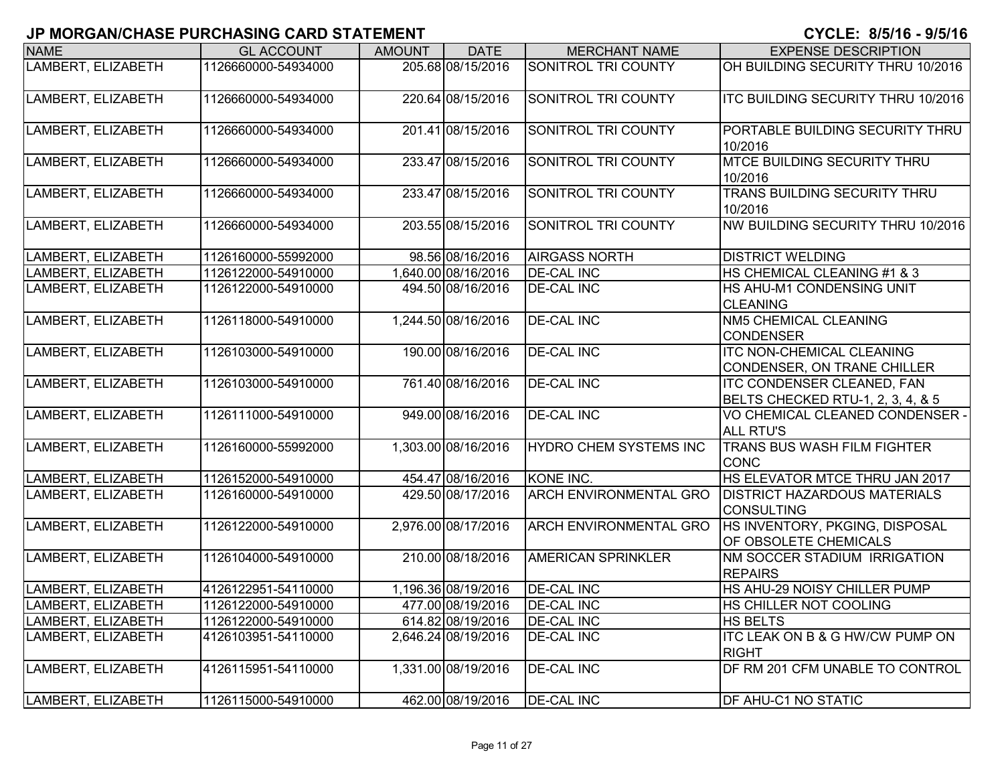# **JP MORGAN/CHASE PURCHASING CARD STATEMENT CYCLE: 8/5/16 - 9/5/1**

| <b>NAME</b>        | <b>GL ACCOUNT</b>   | <b>AMOUNT</b> | <b>DATE</b>         | <b>MERCHANT NAME</b>          | <b>EXPENSE DESCRIPTION</b>                                             |
|--------------------|---------------------|---------------|---------------------|-------------------------------|------------------------------------------------------------------------|
| LAMBERT, ELIZABETH | 1126660000-54934000 |               | 205.68 08/15/2016   | <b>SONITROL TRI COUNTY</b>    | OH BUILDING SECURITY THRU 10/2016                                      |
| LAMBERT, ELIZABETH | 1126660000-54934000 |               | 220.64 08/15/2016   | <b>SONITROL TRI COUNTY</b>    | <b>ITC BUILDING SECURITY THRU 10/2016</b>                              |
| LAMBERT, ELIZABETH | 1126660000-54934000 |               | 201.41 08/15/2016   | SONITROL TRI COUNTY           | PORTABLE BUILDING SECURITY THRU<br>10/2016                             |
| LAMBERT, ELIZABETH | 1126660000-54934000 |               | 233.47 08/15/2016   | SONITROL TRI COUNTY           | MTCE BUILDING SECURITY THRU<br>10/2016                                 |
| LAMBERT, ELIZABETH | 1126660000-54934000 |               | 233.47 08/15/2016   | SONITROL TRI COUNTY           | TRANS BUILDING SECURITY THRU<br>10/2016                                |
| LAMBERT, ELIZABETH | 1126660000-54934000 |               | 203.55 08/15/2016   | SONITROL TRI COUNTY           | NW BUILDING SECURITY THRU 10/2016                                      |
| LAMBERT, ELIZABETH | 1126160000-55992000 |               | 98.56 08/16/2016    | <b>AIRGASS NORTH</b>          | <b>DISTRICT WELDING</b>                                                |
| LAMBERT, ELIZABETH | 1126122000-54910000 |               | 1,640.00 08/16/2016 | <b>DE-CAL INC</b>             | HS CHEMICAL CLEANING #1 & 3                                            |
| LAMBERT, ELIZABETH | 1126122000-54910000 |               | 494.50 08/16/2016   | <b>DE-CAL INC</b>             | HS AHU-M1 CONDENSING UNIT<br><b>CLEANING</b>                           |
| LAMBERT, ELIZABETH | 1126118000-54910000 |               | 1,244.50 08/16/2016 | <b>DE-CAL INC</b>             | <b>NM5 CHEMICAL CLEANING</b><br><b>CONDENSER</b>                       |
| LAMBERT, ELIZABETH | 1126103000-54910000 |               | 190.00 08/16/2016   | <b>DE-CAL INC</b>             | <b>ITC NON-CHEMICAL CLEANING</b><br>CONDENSER, ON TRANE CHILLER        |
| LAMBERT, ELIZABETH | 1126103000-54910000 |               | 761.40 08/16/2016   | <b>DE-CAL INC</b>             | <b>ITC CONDENSER CLEANED, FAN</b><br>BELTS CHECKED RTU-1, 2, 3, 4, & 5 |
| LAMBERT, ELIZABETH | 1126111000-54910000 |               | 949.00 08/16/2016   | <b>DE-CAL INC</b>             | VO CHEMICAL CLEANED CONDENSER -<br><b>ALL RTU'S</b>                    |
| LAMBERT, ELIZABETH | 1126160000-55992000 |               | 1,303.00 08/16/2016 | HYDRO CHEM SYSTEMS INC        | TRANS BUS WASH FILM FIGHTER<br><b>CONC</b>                             |
| LAMBERT, ELIZABETH | 1126152000-54910000 |               | 454.47 08/16/2016   | KONE INC.                     | HS ELEVATOR MTCE THRU JAN 2017                                         |
| LAMBERT, ELIZABETH | 1126160000-54910000 |               | 429.50 08/17/2016   | <b>ARCH ENVIRONMENTAL GRO</b> | <b>DISTRICT HAZARDOUS MATERIALS</b><br><b>CONSULTING</b>               |
| LAMBERT, ELIZABETH | 1126122000-54910000 |               | 2,976.00 08/17/2016 | <b>ARCH ENVIRONMENTAL GRO</b> | HS INVENTORY, PKGING, DISPOSAL<br>OF OBSOLETE CHEMICALS                |
| LAMBERT, ELIZABETH | 1126104000-54910000 |               | 210.00 08/18/2016   | <b>AMERICAN SPRINKLER</b>     | NM SOCCER STADIUM IRRIGATION<br><b>REPAIRS</b>                         |
| LAMBERT, ELIZABETH | 4126122951-54110000 |               | 1,196.36 08/19/2016 | <b>DE-CAL INC</b>             | HS AHU-29 NOISY CHILLER PUMP                                           |
| LAMBERT, ELIZABETH | 1126122000-54910000 |               | 477.00 08/19/2016   | <b>DE-CAL INC</b>             | HS CHILLER NOT COOLING                                                 |
| LAMBERT, ELIZABETH | 1126122000-54910000 |               | 614.82 08/19/2016   | <b>DE-CAL INC</b>             | <b>HS BELTS</b>                                                        |
| LAMBERT, ELIZABETH | 4126103951-54110000 |               | 2,646.24 08/19/2016 | <b>DE-CAL INC</b>             | <b>ITC LEAK ON B &amp; G HW/CW PUMP ON</b><br><b>RIGHT</b>             |
| LAMBERT, ELIZABETH | 4126115951-54110000 |               | 1,331.00 08/19/2016 | <b>DE-CAL INC</b>             | DF RM 201 CFM UNABLE TO CONTROL                                        |
| LAMBERT, ELIZABETH | 1126115000-54910000 |               | 462.00 08/19/2016   | <b>DE-CAL INC</b>             | <b>DF AHU-C1 NO STATIC</b>                                             |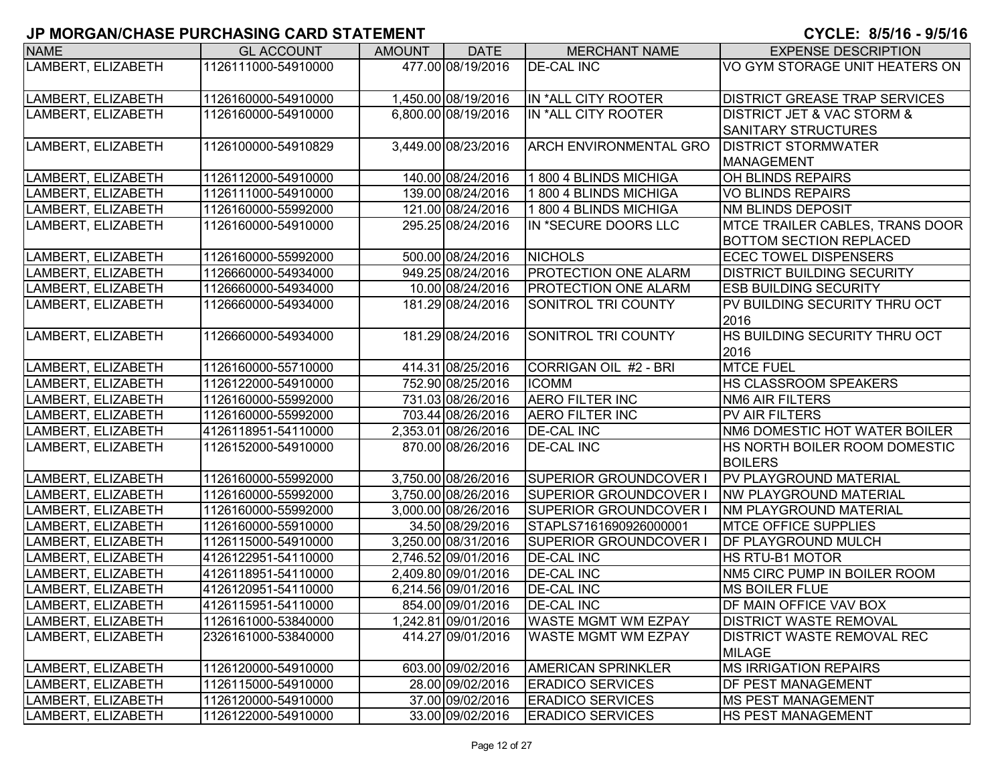| <b>NAME</b>        | <b>GL ACCOUNT</b>   | <b>AMOUNT</b> | <b>DATE</b>         | <b>MERCHANT NAME</b>          | <b>EXPENSE DESCRIPTION</b>                |
|--------------------|---------------------|---------------|---------------------|-------------------------------|-------------------------------------------|
| LAMBERT, ELIZABETH | 1126111000-54910000 |               | 477.00 08/19/2016   | <b>DE-CAL INC</b>             | VO GYM STORAGE UNIT HEATERS ON            |
|                    |                     |               |                     |                               |                                           |
| LAMBERT, ELIZABETH | 1126160000-54910000 |               | 1,450.00 08/19/2016 | IN *ALL CITY ROOTER           | <b>DISTRICT GREASE TRAP SERVICES</b>      |
| LAMBERT, ELIZABETH | 1126160000-54910000 |               | 6,800.00 08/19/2016 | IN *ALL CITY ROOTER           | <b>DISTRICT JET &amp; VAC STORM &amp;</b> |
|                    |                     |               |                     |                               | <b>SANITARY STRUCTURES</b>                |
| LAMBERT, ELIZABETH | 1126100000-54910829 |               | 3,449.00 08/23/2016 | <b>ARCH ENVIRONMENTAL GRO</b> | <b>DISTRICT STORMWATER</b>                |
|                    |                     |               |                     |                               | <b>MANAGEMENT</b>                         |
| LAMBERT, ELIZABETH | 1126112000-54910000 |               | 140.00 08/24/2016   | 1 800 4 BLINDS MICHIGA        | <b>OH BLINDS REPAIRS</b>                  |
| LAMBERT, ELIZABETH | 1126111000-54910000 |               | 139.00 08/24/2016   | 1800 4 BLINDS MICHIGA         | <b>VO BLINDS REPAIRS</b>                  |
| LAMBERT, ELIZABETH | 1126160000-55992000 |               | 121.00 08/24/2016   | 1800 4 BLINDS MICHIGA         | NM BLINDS DEPOSIT                         |
| LAMBERT, ELIZABETH | 1126160000-54910000 |               | 295.25 08/24/2016   | IN *SECURE DOORS LLC          | <b>MTCE TRAILER CABLES, TRANS DOOR</b>    |
|                    |                     |               |                     |                               | <b>BOTTOM SECTION REPLACED</b>            |
| LAMBERT, ELIZABETH | 1126160000-55992000 |               | 500.00 08/24/2016   | <b>NICHOLS</b>                | <b>ECEC TOWEL DISPENSERS</b>              |
| LAMBERT, ELIZABETH | 1126660000-54934000 |               | 949.25 08/24/2016   | <b>PROTECTION ONE ALARM</b>   | <b>DISTRICT BUILDING SECURITY</b>         |
| LAMBERT, ELIZABETH | 1126660000-54934000 |               | 10.00 08/24/2016    | <b>PROTECTION ONE ALARM</b>   | <b>ESB BUILDING SECURITY</b>              |
| LAMBERT, ELIZABETH | 1126660000-54934000 |               | 181.29 08/24/2016   | <b>SONITROL TRI COUNTY</b>    | PV BUILDING SECURITY THRU OCT             |
|                    |                     |               |                     |                               | 2016                                      |
| LAMBERT, ELIZABETH | 1126660000-54934000 |               | 181.29 08/24/2016   | SONITROL TRI COUNTY           | HS BUILDING SECURITY THRU OCT             |
|                    |                     |               |                     |                               | 2016                                      |
| LAMBERT, ELIZABETH | 1126160000-55710000 |               | 414.31 08/25/2016   | CORRIGAN OIL #2 - BRI         | <b>MTCE FUEL</b>                          |
| LAMBERT, ELIZABETH | 1126122000-54910000 |               | 752.90 08/25/2016   | <b>ICOMM</b>                  | <b>HS CLASSROOM SPEAKERS</b>              |
| LAMBERT, ELIZABETH | 1126160000-55992000 |               | 731.03 08/26/2016   | <b>AERO FILTER INC</b>        | <b>NM6 AIR FILTERS</b>                    |
| LAMBERT, ELIZABETH | 1126160000-55992000 |               | 703.44 08/26/2016   | <b>AERO FILTER INC</b>        | <b>PV AIR FILTERS</b>                     |
| LAMBERT, ELIZABETH | 4126118951-54110000 |               | 2,353.01 08/26/2016 | <b>DE-CAL INC</b>             | NM6 DOMESTIC HOT WATER BOILER             |
| LAMBERT, ELIZABETH | 1126152000-54910000 |               | 870.00 08/26/2016   | <b>DE-CAL INC</b>             | HS NORTH BOILER ROOM DOMESTIC             |
|                    |                     |               |                     |                               | <b>BOILERS</b>                            |
| LAMBERT, ELIZABETH | 1126160000-55992000 |               | 3,750.00 08/26/2016 | SUPERIOR GROUNDCOVER I        | <b>PV PLAYGROUND MATERIAL</b>             |
| LAMBERT, ELIZABETH | 1126160000-55992000 |               | 3,750.00 08/26/2016 | <b>SUPERIOR GROUNDCOVER I</b> | <b>NW PLAYGROUND MATERIAL</b>             |
| LAMBERT, ELIZABETH | 1126160000-55992000 |               | 3,000.00 08/26/2016 | <b>SUPERIOR GROUNDCOVER</b>   | <b>INM PLAYGROUND MATERIAL</b>            |
| LAMBERT, ELIZABETH | 1126160000-55910000 |               | 34.50 08/29/2016    | STAPLS7161690926000001        | <b>MTCE OFFICE SUPPLIES</b>               |
| LAMBERT, ELIZABETH | 1126115000-54910000 |               | 3,250.00 08/31/2016 | <b>SUPERIOR GROUNDCOVER</b>   | <b>DF PLAYGROUND MULCH</b>                |
| LAMBERT, ELIZABETH | 4126122951-54110000 |               | 2,746.52 09/01/2016 | <b>DE-CAL INC</b>             | <b>HS RTU-B1 MOTOR</b>                    |
| LAMBERT, ELIZABETH | 4126118951-54110000 |               | 2,409.80 09/01/2016 | <b>DE-CAL INC</b>             | NM5 CIRC PUMP IN BOILER ROOM              |
| LAMBERT, ELIZABETH | 4126120951-54110000 |               | 6,214.56 09/01/2016 | <b>DE-CAL INC</b>             | <b>MS BOILER FLUE</b>                     |
| LAMBERT, ELIZABETH | 4126115951-54110000 |               | 854.00 09/01/2016   | <b>IDE-CAL INC</b>            | <b>IDF MAIN OFFICE VAV BOX</b>            |
| LAMBERT, ELIZABETH | 1126161000-53840000 |               | 1,242.81 09/01/2016 | <b>WASTE MGMT WM EZPAY</b>    | <b>DISTRICT WASTE REMOVAL</b>             |
| LAMBERT, ELIZABETH | 2326161000-53840000 |               | 414.27 09/01/2016   | <b>WASTE MGMT WM EZPAY</b>    | <b>DISTRICT WASTE REMOVAL REC</b>         |
|                    |                     |               |                     |                               | <b>MILAGE</b>                             |
| LAMBERT, ELIZABETH | 1126120000-54910000 |               | 603.00 09/02/2016   | <b>AMERICAN SPRINKLER</b>     | <b>MS IRRIGATION REPAIRS</b>              |
| LAMBERT, ELIZABETH | 1126115000-54910000 |               | 28.00 09/02/2016    | <b>ERADICO SERVICES</b>       | <b>DF PEST MANAGEMENT</b>                 |
| LAMBERT, ELIZABETH | 1126120000-54910000 |               | 37.00 09/02/2016    | <b>ERADICO SERVICES</b>       | <b>MS PEST MANAGEMENT</b>                 |
| LAMBERT, ELIZABETH | 1126122000-54910000 |               | 33.00 09/02/2016    | <b>ERADICO SERVICES</b>       | <b>HS PEST MANAGEMENT</b>                 |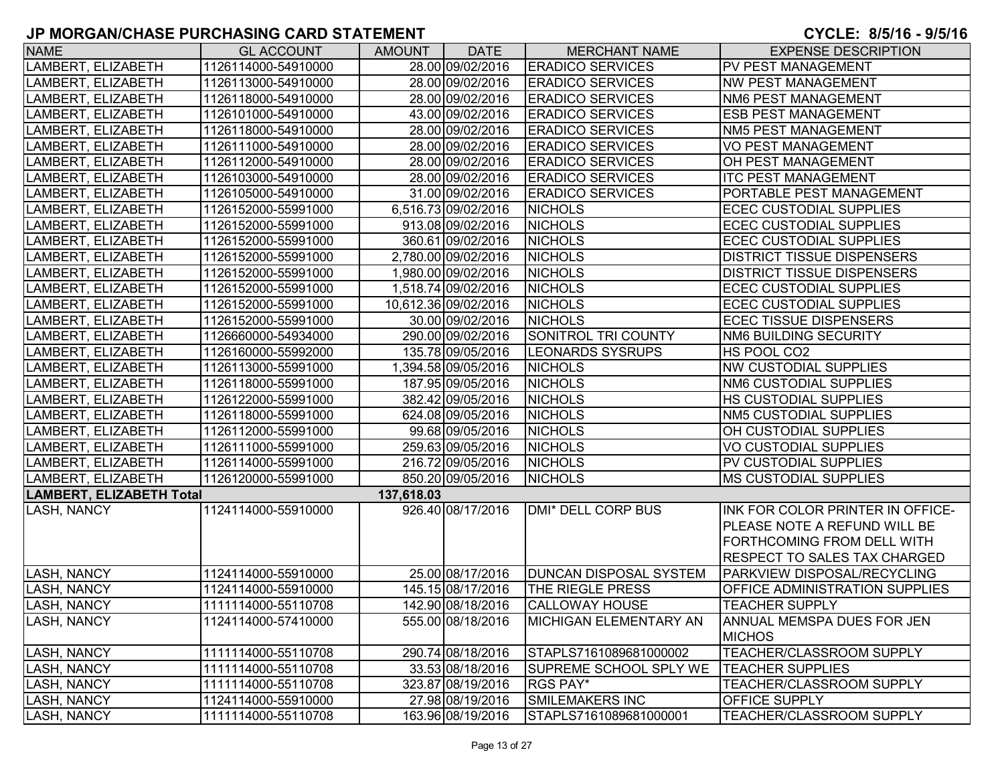| <b>NAME</b>              | <b>GL ACCOUNT</b>   | <b>AMOUNT</b> | <b>DATE</b>          | <b>MERCHANT NAME</b>          | <b>EXPENSE DESCRIPTION</b>                  |
|--------------------------|---------------------|---------------|----------------------|-------------------------------|---------------------------------------------|
| LAMBERT, ELIZABETH       | 1126114000-54910000 |               | 28.00 09/02/2016     | <b>ERADICO SERVICES</b>       | PV PEST MANAGEMENT                          |
| LAMBERT, ELIZABETH       | 1126113000-54910000 |               | 28.00 09/02/2016     | <b>ERADICO SERVICES</b>       | <b>NW PEST MANAGEMENT</b>                   |
| LAMBERT, ELIZABETH       | 1126118000-54910000 |               | 28.00 09/02/2016     | <b>ERADICO SERVICES</b>       | <b>NM6 PEST MANAGEMENT</b>                  |
| LAMBERT, ELIZABETH       | 1126101000-54910000 |               | 43.00 09/02/2016     | <b>ERADICO SERVICES</b>       | <b>ESB PEST MANAGEMENT</b>                  |
| LAMBERT, ELIZABETH       | 1126118000-54910000 |               | 28.00 09/02/2016     | <b>ERADICO SERVICES</b>       | NM5 PEST MANAGEMENT                         |
| LAMBERT, ELIZABETH       | 1126111000-54910000 |               | 28.00 09/02/2016     | <b>ERADICO SERVICES</b>       | <b>VO PEST MANAGEMENT</b>                   |
| LAMBERT, ELIZABETH       | 1126112000-54910000 |               | 28.00 09/02/2016     | <b>ERADICO SERVICES</b>       | <b>OH PEST MANAGEMENT</b>                   |
| LAMBERT, ELIZABETH       | 1126103000-54910000 |               | 28.00 09/02/2016     | <b>ERADICO SERVICES</b>       | <b>ITC PEST MANAGEMENT</b>                  |
| LAMBERT, ELIZABETH       | 1126105000-54910000 |               | 31.00 09/02/2016     | <b>ERADICO SERVICES</b>       | PORTABLE PEST MANAGEMENT                    |
| LAMBERT, ELIZABETH       | 1126152000-55991000 |               | 6,516.73 09/02/2016  | <b>NICHOLS</b>                | <b>ECEC CUSTODIAL SUPPLIES</b>              |
| LAMBERT, ELIZABETH       | 1126152000-55991000 |               | 913.08 09/02/2016    | <b>NICHOLS</b>                | <b>ECEC CUSTODIAL SUPPLIES</b>              |
| LAMBERT, ELIZABETH       | 1126152000-55991000 |               | 360.61 09/02/2016    | <b>NICHOLS</b>                | <b>ECEC CUSTODIAL SUPPLIES</b>              |
| LAMBERT, ELIZABETH       | 1126152000-55991000 |               | 2,780.00 09/02/2016  | <b>NICHOLS</b>                | <b>DISTRICT TISSUE DISPENSERS</b>           |
| LAMBERT, ELIZABETH       | 1126152000-55991000 |               | 1,980.00 09/02/2016  | <b>NICHOLS</b>                | <b>DISTRICT TISSUE DISPENSERS</b>           |
| LAMBERT, ELIZABETH       | 1126152000-55991000 |               | 1,518.74 09/02/2016  | <b>NICHOLS</b>                | <b>ECEC CUSTODIAL SUPPLIES</b>              |
| LAMBERT, ELIZABETH       | 1126152000-55991000 |               | 10,612.36 09/02/2016 | <b>NICHOLS</b>                | <b>ECEC CUSTODIAL SUPPLIES</b>              |
| LAMBERT, ELIZABETH       | 1126152000-55991000 |               | 30.00 09/02/2016     | <b>NICHOLS</b>                | <b>ECEC TISSUE DISPENSERS</b>               |
| LAMBERT, ELIZABETH       | 1126660000-54934000 |               | 290.00 09/02/2016    | SONITROL TRI COUNTY           | NM6 BUILDING SECURITY                       |
| LAMBERT, ELIZABETH       | 1126160000-55992000 |               | 135.78 09/05/2016    | <b>LEONARDS SYSRUPS</b>       | HS POOL CO2                                 |
| LAMBERT, ELIZABETH       | 1126113000-55991000 |               | 1,394.58 09/05/2016  | <b>NICHOLS</b>                | <b>NW CUSTODIAL SUPPLIES</b>                |
| LAMBERT, ELIZABETH       | 1126118000-55991000 |               | 187.95 09/05/2016    | <b>NICHOLS</b>                | <b>NM6 CUSTODIAL SUPPLIES</b>               |
| LAMBERT, ELIZABETH       | 1126122000-55991000 |               | 382.42 09/05/2016    | <b>NICHOLS</b>                | <b>HS CUSTODIAL SUPPLIES</b>                |
| LAMBERT, ELIZABETH       | 1126118000-55991000 |               | 624.08 09/05/2016    | <b>NICHOLS</b>                | <b>NM5 CUSTODIAL SUPPLIES</b>               |
| LAMBERT, ELIZABETH       | 1126112000-55991000 |               | 99.68 09/05/2016     | <b>NICHOLS</b>                | OH CUSTODIAL SUPPLIES                       |
| LAMBERT, ELIZABETH       | 1126111000-55991000 |               | 259.63 09/05/2016    | <b>NICHOLS</b>                | <b>VO CUSTODIAL SUPPLIES</b>                |
| LAMBERT, ELIZABETH       | 1126114000-55991000 |               | 216.72 09/05/2016    | <b>NICHOLS</b>                | PV CUSTODIAL SUPPLIES                       |
| LAMBERT, ELIZABETH       | 1126120000-55991000 |               | 850.20 09/05/2016    | <b>NICHOLS</b>                | <b>MS CUSTODIAL SUPPLIES</b>                |
| LAMBERT, ELIZABETH Total |                     | 137,618.03    |                      |                               |                                             |
| LASH, NANCY              | 1124114000-55910000 |               | 926.40 08/17/2016    | <b>DMI* DELL CORP BUS</b>     | INK FOR COLOR PRINTER IN OFFICE-            |
|                          |                     |               |                      |                               | <b>PLEASE NOTE A REFUND WILL BE</b>         |
|                          |                     |               |                      |                               | <b>FORTHCOMING FROM DELL WITH</b>           |
|                          |                     |               |                      |                               | <b>RESPECT TO SALES TAX CHARGED</b>         |
| <b>LASH, NANCY</b>       | 1124114000-55910000 |               | 25.00 08/17/2016     | <b>DUNCAN DISPOSAL SYSTEM</b> | <b>PARKVIEW DISPOSAL/RECYCLING</b>          |
| <b>LASH, NANCY</b>       | 1124114000-55910000 |               | 145.15 08/17/2016    | THE RIEGLE PRESS              | <b>OFFICE ADMINISTRATION SUPPLIES</b>       |
| <b>LASH, NANCY</b>       | 1111114000-55110708 |               | 142.90 08/18/2016    | <b>CALLOWAY HOUSE</b>         | <b>TEACHER SUPPLY</b>                       |
| <b>LASH, NANCY</b>       | 1124114000-57410000 |               | 555.00 08/18/2016    | <b>MICHIGAN ELEMENTARY AN</b> | ANNUAL MEMSPA DUES FOR JEN<br><b>MICHOS</b> |
| <b>LASH, NANCY</b>       | 1111114000-55110708 |               | 290.74 08/18/2016    | STAPLS7161089681000002        | TEACHER/CLASSROOM SUPPLY                    |
| <b>LASH, NANCY</b>       | 1111114000-55110708 |               | 33.53 08/18/2016     | SUPREME SCHOOL SPLY WE        | <b>TEACHER SUPPLIES</b>                     |
| LASH, NANCY              | 1111114000-55110708 |               | 323.87 08/19/2016    | RGS PAY*                      | TEACHER/CLASSROOM SUPPLY                    |
| <b>LASH, NANCY</b>       | 1124114000-55910000 |               | 27.98 08/19/2016     | SMILEMAKERS INC               | <b>OFFICE SUPPLY</b>                        |
| <b>LASH, NANCY</b>       | 1111114000-55110708 |               | 163.96 08/19/2016    | STAPLS7161089681000001        | TEACHER/CLASSROOM SUPPLY                    |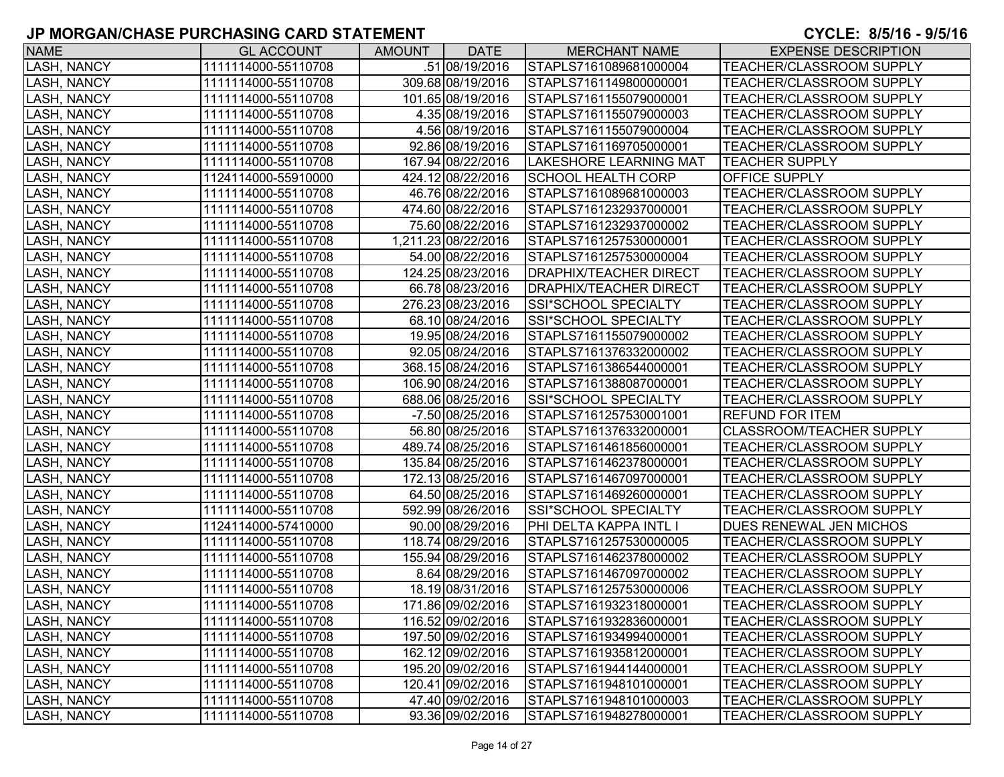| <b>NAME</b>        | <b>GL ACCOUNT</b>   | <b>AMOUNT</b> | <b>DATE</b>         | <b>MERCHANT NAME</b>          | <b>EXPENSE DESCRIPTION</b>      |
|--------------------|---------------------|---------------|---------------------|-------------------------------|---------------------------------|
| LASH, NANCY        | 1111114000-55110708 |               | .51 08/19/2016      | STAPLS7161089681000004        | TEACHER/CLASSROOM SUPPLY        |
| <b>LASH, NANCY</b> | 1111114000-55110708 |               | 309.68 08/19/2016   | STAPLS7161149800000001        | TEACHER/CLASSROOM SUPPLY        |
| LASH, NANCY        | 1111114000-55110708 |               | 101.65 08/19/2016   | STAPLS7161155079000001        | TEACHER/CLASSROOM SUPPLY        |
| LASH, NANCY        | 1111114000-55110708 |               | 4.35 08/19/2016     | STAPLS7161155079000003        | <b>TEACHER/CLASSROOM SUPPLY</b> |
| LASH, NANCY        | 1111114000-55110708 |               | 4.56 08/19/2016     | STAPLS7161155079000004        | TEACHER/CLASSROOM SUPPLY        |
| LASH, NANCY        | 1111114000-55110708 |               | 92.86 08/19/2016    | STAPLS7161169705000001        | TEACHER/CLASSROOM SUPPLY        |
| LASH, NANCY        | 1111114000-55110708 |               | 167.94 08/22/2016   | LAKESHORE LEARNING MAT        | <b>TEACHER SUPPLY</b>           |
| <b>LASH, NANCY</b> | 1124114000-55910000 |               | 424.12 08/22/2016   | <b>SCHOOL HEALTH CORP</b>     | OFFICE SUPPLY                   |
| <b>LASH, NANCY</b> | 1111114000-55110708 |               | 46.76 08/22/2016    | STAPLS7161089681000003        | TEACHER/CLASSROOM SUPPLY        |
| LASH, NANCY        | 1111114000-55110708 |               | 474.60 08/22/2016   | STAPLS7161232937000001        | TEACHER/CLASSROOM SUPPLY        |
| LASH, NANCY        | 1111114000-55110708 |               | 75.60 08/22/2016    | STAPLS7161232937000002        | TEACHER/CLASSROOM SUPPLY        |
| LASH, NANCY        | 1111114000-55110708 |               | 1,211.23 08/22/2016 | STAPLS7161257530000001        | TEACHER/CLASSROOM SUPPLY        |
| LASH, NANCY        | 1111114000-55110708 |               | 54.00 08/22/2016    | STAPLS7161257530000004        | TEACHER/CLASSROOM SUPPLY        |
| LASH, NANCY        | 1111114000-55110708 |               | 124.25 08/23/2016   | <b>DRAPHIX/TEACHER DIRECT</b> | <b>TEACHER/CLASSROOM SUPPLY</b> |
| LASH, NANCY        | 1111114000-55110708 |               | 66.78 08/23/2016    | DRAPHIX/TEACHER DIRECT        | TEACHER/CLASSROOM SUPPLY        |
| LASH, NANCY        | 1111114000-55110708 |               | 276.23 08/23/2016   | SSI*SCHOOL SPECIALTY          | TEACHER/CLASSROOM SUPPLY        |
| LASH, NANCY        | 1111114000-55110708 |               | 68.10 08/24/2016    | SSI*SCHOOL SPECIALTY          | TEACHER/CLASSROOM SUPPLY        |
| LASH, NANCY        | 1111114000-55110708 |               | 19.95 08/24/2016    | STAPLS7161155079000002        | TEACHER/CLASSROOM SUPPLY        |
| LASH, NANCY        | 1111114000-55110708 |               | 92.05 08/24/2016    | STAPLS7161376332000002        | TEACHER/CLASSROOM SUPPLY        |
| <b>LASH, NANCY</b> | 1111114000-55110708 |               | 368.15 08/24/2016   | STAPLS7161386544000001        | TEACHER/CLASSROOM SUPPLY        |
| <b>LASH, NANCY</b> | 1111114000-55110708 |               | 106.90 08/24/2016   | STAPLS7161388087000001        | TEACHER/CLASSROOM SUPPLY        |
| LASH, NANCY        | 1111114000-55110708 |               | 688.06 08/25/2016   | SSI*SCHOOL SPECIALTY          | TEACHER/CLASSROOM SUPPLY        |
| LASH, NANCY        | 1111114000-55110708 |               | -7.50 08/25/2016    | STAPLS7161257530001001        | <b>REFUND FOR ITEM</b>          |
| LASH, NANCY        | 1111114000-55110708 |               | 56.80 08/25/2016    | STAPLS7161376332000001        | CLASSROOM/TEACHER SUPPLY        |
| LASH, NANCY        | 1111114000-55110708 |               | 489.74 08/25/2016   | STAPLS7161461856000001        | <b>TEACHER/CLASSROOM SUPPLY</b> |
| LASH, NANCY        | 1111114000-55110708 |               | 135.84 08/25/2016   | STAPLS7161462378000001        | TEACHER/CLASSROOM SUPPLY        |
| LASH, NANCY        | 1111114000-55110708 |               | 172.13 08/25/2016   | STAPLS7161467097000001        | TEACHER/CLASSROOM SUPPLY        |
| LASH, NANCY        | 1111114000-55110708 |               | 64.50 08/25/2016    | STAPLS7161469260000001        | TEACHER/CLASSROOM SUPPLY        |
| LASH, NANCY        | 1111114000-55110708 |               | 592.99 08/26/2016   | SSI*SCHOOL SPECIALTY          | TEACHER/CLASSROOM SUPPLY        |
| LASH, NANCY        | 1124114000-57410000 |               | 90.00 08/29/2016    | PHI DELTA KAPPA INTL I        | DUES RENEWAL JEN MICHOS         |
| LASH, NANCY        | 1111114000-55110708 |               | 118.74 08/29/2016   | STAPLS7161257530000005        | TEACHER/CLASSROOM SUPPLY        |
| <b>LASH, NANCY</b> | 1111114000-55110708 |               | 155.94 08/29/2016   | STAPLS7161462378000002        | TEACHER/CLASSROOM SUPPLY        |
| <b>LASH, NANCY</b> | 1111114000-55110708 |               | 8.64 08/29/2016     | STAPLS7161467097000002        | TEACHER/CLASSROOM SUPPLY        |
| <b>LASH, NANCY</b> | 1111114000-55110708 |               | 18.19 08/31/2016    | STAPLS7161257530000006        | TEACHER/CLASSROOM SUPPLY        |
| <b>LASH, NANCY</b> | 1111114000-55110708 |               | 171.86 09/02/2016   | STAPLS7161932318000001        | <b>TEACHER/CLASSROOM SUPPLY</b> |
| <b>LASH, NANCY</b> | 1111114000-55110708 |               | 116.52 09/02/2016   | STAPLS7161932836000001        | <b>TEACHER/CLASSROOM SUPPLY</b> |
| <b>LASH, NANCY</b> | 1111114000-55110708 |               | 197.50 09/02/2016   | STAPLS7161934994000001        | TEACHER/CLASSROOM SUPPLY        |
| <b>LASH, NANCY</b> | 1111114000-55110708 |               | 162.12 09/02/2016   | STAPLS7161935812000001        | <b>TEACHER/CLASSROOM SUPPLY</b> |
| <b>LASH, NANCY</b> | 1111114000-55110708 |               | 195.20 09/02/2016   | STAPLS7161944144000001        | TEACHER/CLASSROOM SUPPLY        |
| <b>LASH, NANCY</b> | 1111114000-55110708 |               | 120.41 09/02/2016   | STAPLS7161948101000001        | <b>TEACHER/CLASSROOM SUPPLY</b> |
| <b>LASH, NANCY</b> | 1111114000-55110708 |               | 47.40 09/02/2016    | STAPLS7161948101000003        | <b>TEACHER/CLASSROOM SUPPLY</b> |
| LASH, NANCY        | 1111114000-55110708 |               | 93.36 09/02/2016    | STAPLS7161948278000001        | TEACHER/CLASSROOM SUPPLY        |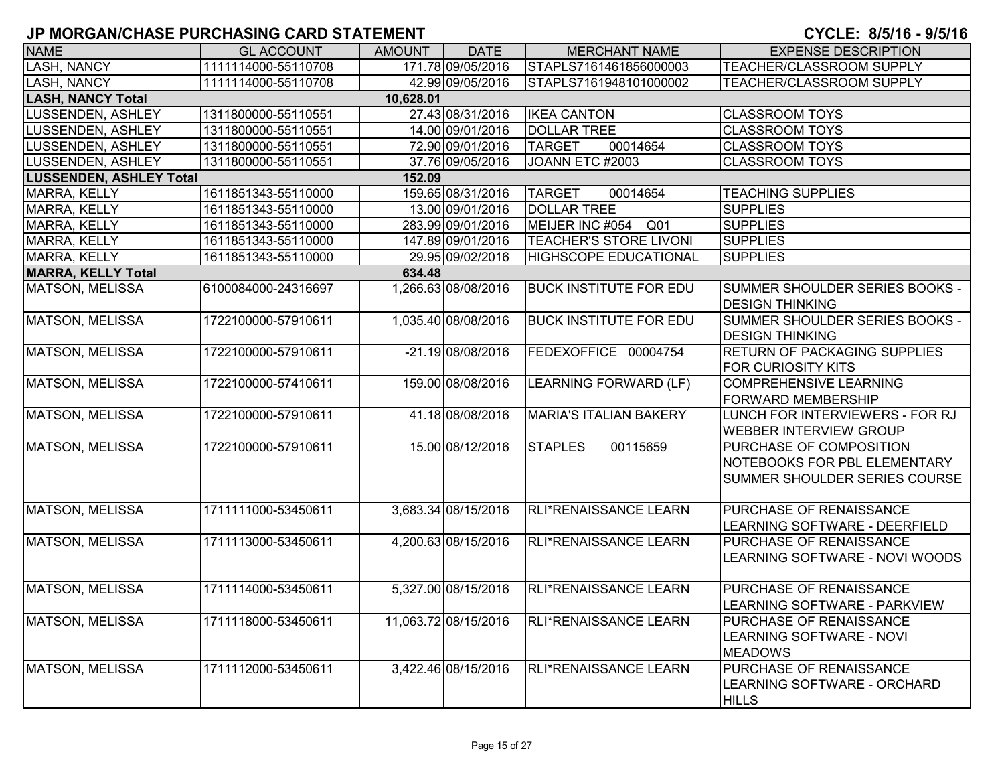| <b>NAME</b>                              | <b>GL ACCOUNT</b>   | AMOUNT | <b>DATE</b>          | <b>MERCHANT NAME</b>               | <b>EXPENSE DESCRIPTION</b>          |  |  |  |  |  |
|------------------------------------------|---------------------|--------|----------------------|------------------------------------|-------------------------------------|--|--|--|--|--|
| <b>LASH, NANCY</b>                       | 1111114000-55110708 |        | 171.78 09/05/2016    | STAPLS7161461856000003             | <b>TEACHER/CLASSROOM SUPPLY</b>     |  |  |  |  |  |
| <b>LASH, NANCY</b>                       | 1111114000-55110708 |        | 42.99 09/05/2016     | STAPLS7161948101000002             | TEACHER/CLASSROOM SUPPLY            |  |  |  |  |  |
| <b>LASH, NANCY Total</b><br>10,628.01    |                     |        |                      |                                    |                                     |  |  |  |  |  |
| LUSSENDEN, ASHLEY                        | 1311800000-55110551 |        | 27.43 08/31/2016     | <b>IKEA CANTON</b>                 | <b>CLASSROOM TOYS</b>               |  |  |  |  |  |
| LUSSENDEN, ASHLEY                        | 1311800000-55110551 |        | 14.00 09/01/2016     | <b>DOLLAR TREE</b>                 | <b>CLASSROOM TOYS</b>               |  |  |  |  |  |
| LUSSENDEN, ASHLEY                        | 1311800000-55110551 |        | 72.90 09/01/2016     | 00014654<br><b>TARGET</b>          | <b>CLASSROOM TOYS</b>               |  |  |  |  |  |
| LUSSENDEN, ASHLEY                        | 1311800000-55110551 |        | 37.76 09/05/2016     | JOANN ETC #2003                    | <b>CLASSROOM TOYS</b>               |  |  |  |  |  |
| <b>LUSSENDEN, ASHLEY Total</b><br>152.09 |                     |        |                      |                                    |                                     |  |  |  |  |  |
| MARRA, KELLY                             | 1611851343-55110000 |        | 159.65 08/31/2016    | <b>TARGET</b><br>00014654          | <b>TEACHING SUPPLIES</b>            |  |  |  |  |  |
| MARRA, KELLY                             | 1611851343-55110000 |        | 13.00 09/01/2016     | <b>DOLLAR TREE</b>                 | <b>SUPPLIES</b>                     |  |  |  |  |  |
| MARRA, KELLY                             | 1611851343-55110000 |        | 283.99 09/01/2016    | MEIJER INC #054<br>Q <sub>01</sub> | <b>SUPPLIES</b>                     |  |  |  |  |  |
| MARRA, KELLY                             | 1611851343-55110000 |        | 147.89 09/01/2016    | <b>TEACHER'S STORE LIVONI</b>      | <b>SUPPLIES</b>                     |  |  |  |  |  |
| <b>MARRA, KELLY</b>                      | 1611851343-55110000 |        | 29.95 09/02/2016     | <b>HIGHSCOPE EDUCATIONAL</b>       | <b>SUPPLIES</b>                     |  |  |  |  |  |
| <b>MARRA, KELLY Total</b>                |                     | 634.48 |                      |                                    |                                     |  |  |  |  |  |
| <b>MATSON, MELISSA</b>                   | 6100084000-24316697 |        | 1,266.63 08/08/2016  | <b>BUCK INSTITUTE FOR EDU</b>      | SUMMER SHOULDER SERIES BOOKS -      |  |  |  |  |  |
|                                          |                     |        |                      |                                    | <b>DESIGN THINKING</b>              |  |  |  |  |  |
| <b>MATSON, MELISSA</b>                   | 1722100000-57910611 |        | 1,035.40 08/08/2016  | <b>BUCK INSTITUTE FOR EDU</b>      | SUMMER SHOULDER SERIES BOOKS -      |  |  |  |  |  |
|                                          |                     |        |                      |                                    | <b>DESIGN THINKING</b>              |  |  |  |  |  |
| <b>MATSON, MELISSA</b>                   | 1722100000-57910611 |        | -21.19 08/08/2016    | FEDEXOFFICE 00004754               | <b>RETURN OF PACKAGING SUPPLIES</b> |  |  |  |  |  |
|                                          |                     |        |                      |                                    | <b>FOR CURIOSITY KITS</b>           |  |  |  |  |  |
| <b>MATSON, MELISSA</b>                   | 1722100000-57410611 |        | 159.00 08/08/2016    | <b>LEARNING FORWARD (LF)</b>       | <b>COMPREHENSIVE LEARNING</b>       |  |  |  |  |  |
|                                          |                     |        |                      |                                    | <b>FORWARD MEMBERSHIP</b>           |  |  |  |  |  |
| <b>MATSON, MELISSA</b>                   | 1722100000-57910611 |        | 41.18 08/08/2016     | <b>MARIA'S ITALIAN BAKERY</b>      | LUNCH FOR INTERVIEWERS - FOR RJ     |  |  |  |  |  |
|                                          |                     |        |                      |                                    | <b>WEBBER INTERVIEW GROUP</b>       |  |  |  |  |  |
| <b>MATSON, MELISSA</b>                   | 1722100000-57910611 |        | 15.00 08/12/2016     | <b>STAPLES</b><br>00115659         | PURCHASE OF COMPOSITION             |  |  |  |  |  |
|                                          |                     |        |                      |                                    | NOTEBOOKS FOR PBL ELEMENTARY        |  |  |  |  |  |
|                                          |                     |        |                      |                                    | SUMMER SHOULDER SERIES COURSE       |  |  |  |  |  |
|                                          |                     |        |                      |                                    |                                     |  |  |  |  |  |
| <b>MATSON, MELISSA</b>                   | 1711111000-53450611 |        | 3,683.34 08/15/2016  | RLI*RENAISSANCE LEARN              | PURCHASE OF RENAISSANCE             |  |  |  |  |  |
|                                          |                     |        |                      |                                    | LEARNING SOFTWARE - DEERFIELD       |  |  |  |  |  |
| <b>MATSON, MELISSA</b>                   | 1711113000-53450611 |        | 4,200.63 08/15/2016  | <b>RLI*RENAISSANCE LEARN</b>       | PURCHASE OF RENAISSANCE             |  |  |  |  |  |
|                                          |                     |        |                      |                                    | LEARNING SOFTWARE - NOVI WOODS      |  |  |  |  |  |
|                                          |                     |        |                      |                                    |                                     |  |  |  |  |  |
| <b>MATSON, MELISSA</b>                   | 1711114000-53450611 |        | 5,327.00 08/15/2016  | RLI*RENAISSANCE LEARN              | PURCHASE OF RENAISSANCE             |  |  |  |  |  |
|                                          |                     |        |                      |                                    | LEARNING SOFTWARE - PARKVIEW        |  |  |  |  |  |
| <b>MATSON, MELISSA</b>                   | 1711118000-53450611 |        | 11,063.72 08/15/2016 | RLI*RENAISSANCE LEARN              | PURCHASE OF RENAISSANCE             |  |  |  |  |  |
|                                          |                     |        |                      |                                    | LEARNING SOFTWARE - NOVI            |  |  |  |  |  |
|                                          |                     |        |                      |                                    | <b>MEADOWS</b>                      |  |  |  |  |  |
| <b>MATSON, MELISSA</b>                   | 1711112000-53450611 |        | 3,422.46 08/15/2016  | RLI*RENAISSANCE LEARN              | PURCHASE OF RENAISSANCE             |  |  |  |  |  |
|                                          |                     |        |                      |                                    | LEARNING SOFTWARE - ORCHARD         |  |  |  |  |  |
|                                          |                     |        |                      |                                    | <b>HILLS</b>                        |  |  |  |  |  |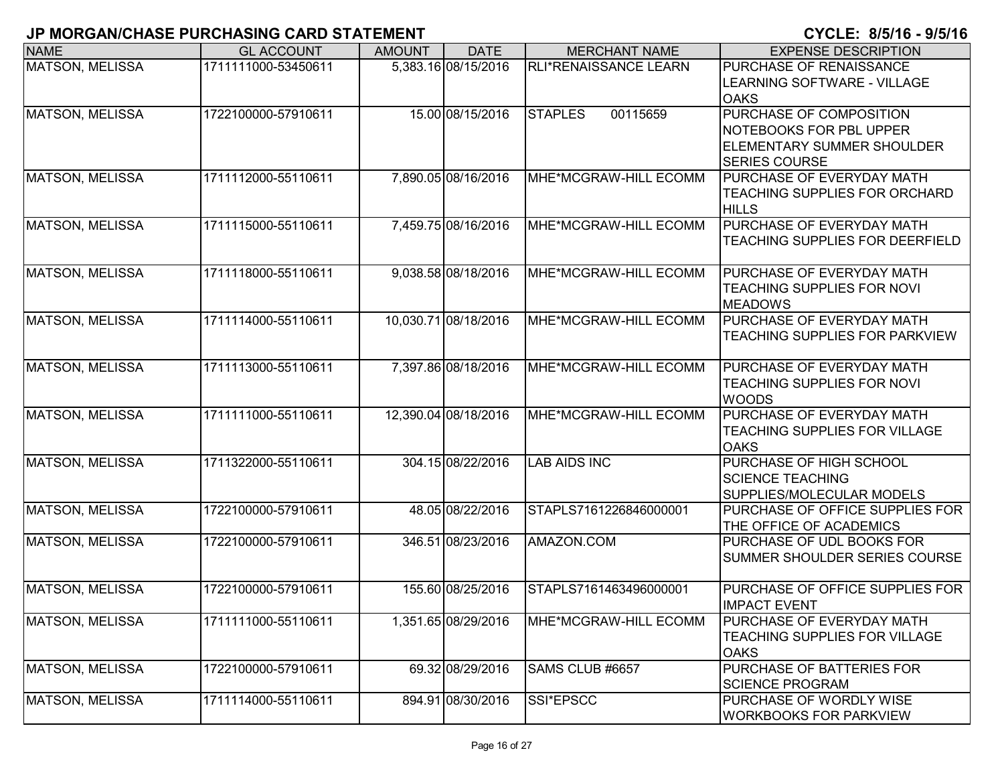| <b>NAME</b>            | <b>GL ACCOUNT</b>   | <b>AMOUNT</b> | <b>DATE</b>          | <b>MERCHANT NAME</b>         | <b>EXPENSE DESCRIPTION</b>                                                                                      |
|------------------------|---------------------|---------------|----------------------|------------------------------|-----------------------------------------------------------------------------------------------------------------|
| <b>MATSON, MELISSA</b> | 1711111000-53450611 |               | 5,383.16 08/15/2016  | <b>RLI*RENAISSANCE LEARN</b> | PURCHASE OF RENAISSANCE<br><b>LEARNING SOFTWARE - VILLAGE</b><br><b>OAKS</b>                                    |
| <b>MATSON, MELISSA</b> | 1722100000-57910611 |               | 15.00 08/15/2016     | 00115659<br><b>STAPLES</b>   | PURCHASE OF COMPOSITION<br>NOTEBOOKS FOR PBL UPPER<br><b>ELEMENTARY SUMMER SHOULDER</b><br><b>SERIES COURSE</b> |
| <b>MATSON, MELISSA</b> | 1711112000-55110611 |               | 7,890.05 08/16/2016  | MHE*MCGRAW-HILL ECOMM        | PURCHASE OF EVERYDAY MATH<br>TEACHING SUPPLIES FOR ORCHARD<br><b>HILLS</b>                                      |
| <b>MATSON, MELISSA</b> | 1711115000-55110611 |               | 7,459.75 08/16/2016  | MHE*MCGRAW-HILL ECOMM        | PURCHASE OF EVERYDAY MATH<br>TEACHING SUPPLIES FOR DEERFIELD                                                    |
| MATSON, MELISSA        | 1711118000-55110611 |               | 9,038.58 08/18/2016  | MHE*MCGRAW-HILL ECOMM        | PURCHASE OF EVERYDAY MATH<br>TEACHING SUPPLIES FOR NOVI<br><b>MEADOWS</b>                                       |
| <b>MATSON, MELISSA</b> | 1711114000-55110611 |               | 10,030.71 08/18/2016 | MHE*MCGRAW-HILL ECOMM        | <b>PURCHASE OF EVERYDAY MATH</b><br>TEACHING SUPPLIES FOR PARKVIEW                                              |
| <b>MATSON, MELISSA</b> | 1711113000-55110611 |               | 7,397.86 08/18/2016  | MHE*MCGRAW-HILL ECOMM        | PURCHASE OF EVERYDAY MATH<br>TEACHING SUPPLIES FOR NOVI<br><b>WOODS</b>                                         |
| <b>MATSON, MELISSA</b> | 1711111000-55110611 |               | 12,390.04 08/18/2016 | MHE*MCGRAW-HILL ECOMM        | PURCHASE OF EVERYDAY MATH<br><b>TEACHING SUPPLIES FOR VILLAGE</b><br><b>OAKS</b>                                |
| <b>MATSON, MELISSA</b> | 1711322000-55110611 |               | 304.15 08/22/2016    | <b>LAB AIDS INC</b>          | PURCHASE OF HIGH SCHOOL<br><b>SCIENCE TEACHING</b><br>SUPPLIES/MOLECULAR MODELS                                 |
| <b>MATSON, MELISSA</b> | 1722100000-57910611 |               | 48.05 08/22/2016     | STAPLS7161226846000001       | PURCHASE OF OFFICE SUPPLIES FOR<br>THE OFFICE OF ACADEMICS                                                      |
| <b>MATSON, MELISSA</b> | 1722100000-57910611 |               | 346.51 08/23/2016    | AMAZON.COM                   | PURCHASE OF UDL BOOKS FOR<br>SUMMER SHOULDER SERIES COURSE                                                      |
| MATSON, MELISSA        | 1722100000-57910611 |               | 155.60 08/25/2016    | STAPLS7161463496000001       | PURCHASE OF OFFICE SUPPLIES FOR<br><b>IIMPACT EVENT</b>                                                         |
| <b>MATSON, MELISSA</b> | 1711111000-55110611 |               | 1,351.65 08/29/2016  | MHE*MCGRAW-HILL ECOMM        | <b>PURCHASE OF EVERYDAY MATH</b><br>TEACHING SUPPLIES FOR VILLAGE<br><b>OAKS</b>                                |
| <b>MATSON, MELISSA</b> | 1722100000-57910611 |               | 69.32 08/29/2016     | SAMS CLUB #6657              | PURCHASE OF BATTERIES FOR<br><b>SCIENCE PROGRAM</b>                                                             |
| <b>MATSON, MELISSA</b> | 1711114000-55110611 |               | 894.91 08/30/2016    | SSI*EPSCC                    | PURCHASE OF WORDLY WISE<br><b>WORKBOOKS FOR PARKVIEW</b>                                                        |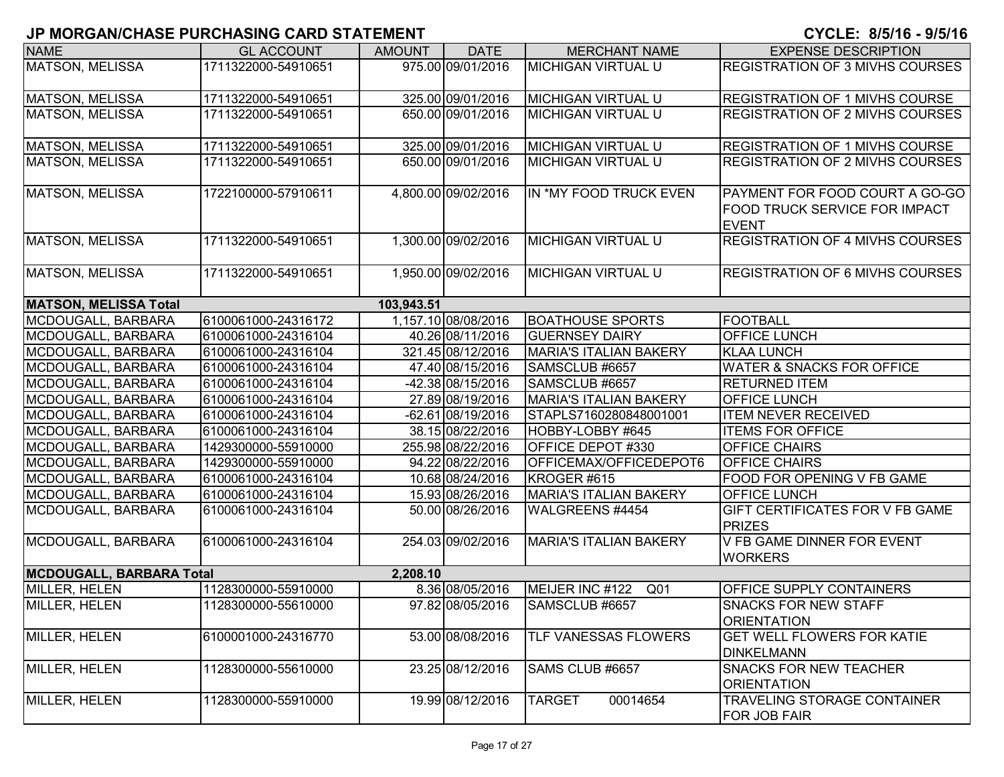| <b>NAME</b>                     | <b>GL ACCOUNT</b>   | <b>AMOUNT</b> | <b>DATE</b>                             | <b>MERCHANT NAME</b>               | <b>EXPENSE DESCRIPTION</b>                        |
|---------------------------------|---------------------|---------------|-----------------------------------------|------------------------------------|---------------------------------------------------|
| MATSON, MELISSA                 | 1711322000-54910651 |               | 975.00 09/01/2016                       | <b>MICHIGAN VIRTUAL U</b>          | <b>REGISTRATION OF 3 MIVHS COURSES</b>            |
|                                 |                     |               |                                         |                                    |                                                   |
| <b>MATSON, MELISSA</b>          | 1711322000-54910651 |               | 325.00 09/01/2016                       | <b>MICHIGAN VIRTUAL U</b>          | <b>REGISTRATION OF 1 MIVHS COURSE</b>             |
| <b>MATSON, MELISSA</b>          | 1711322000-54910651 |               | 650.00 09/01/2016                       | <b>MICHIGAN VIRTUAL U</b>          | <b>REGISTRATION OF 2 MIVHS COURSES</b>            |
| <b>MATSON, MELISSA</b>          | 1711322000-54910651 |               | 325.00 09/01/2016                       | MICHIGAN VIRTUAL U                 | <b>REGISTRATION OF 1 MIVHS COURSE</b>             |
| <b>MATSON, MELISSA</b>          | 1711322000-54910651 |               | 650.00 09/01/2016                       | <b>MICHIGAN VIRTUAL U</b>          | <b>REGISTRATION OF 2 MIVHS COURSES</b>            |
|                                 |                     |               |                                         |                                    |                                                   |
| <b>MATSON, MELISSA</b>          | 1722100000-57910611 |               | 4,800.00 09/02/2016                     | IN *MY FOOD TRUCK EVEN             | PAYMENT FOR FOOD COURT A GO-GO                    |
|                                 |                     |               |                                         |                                    | FOOD TRUCK SERVICE FOR IMPACT<br><b>EVENT</b>     |
| <b>MATSON, MELISSA</b>          | 1711322000-54910651 |               | 1,300.00 09/02/2016                     | <b>MICHIGAN VIRTUAL U</b>          | <b>REGISTRATION OF 4 MIVHS COURSES</b>            |
|                                 |                     |               |                                         |                                    |                                                   |
| <b>MATSON, MELISSA</b>          | 1711322000-54910651 |               | 1,950.00 09/02/2016                     | <b>MICHIGAN VIRTUAL U</b>          | REGISTRATION OF 6 MIVHS COURSES                   |
|                                 |                     |               |                                         |                                    |                                                   |
| <b>MATSON, MELISSA Total</b>    |                     | 103,943.51    |                                         |                                    |                                                   |
| MCDOUGALL, BARBARA              | 6100061000-24316172 |               | 1,157.10 08/08/2016<br>40.26 08/11/2016 | <b>BOATHOUSE SPORTS</b>            | <b>FOOTBALL</b>                                   |
| MCDOUGALL, BARBARA              | 6100061000-24316104 |               |                                         | <b>GUERNSEY DAIRY</b>              | <b>OFFICE LUNCH</b>                               |
| MCDOUGALL, BARBARA              | 6100061000-24316104 |               | 321.45 08/12/2016                       | <b>MARIA'S ITALIAN BAKERY</b>      | <b>KLAA LUNCH</b>                                 |
| MCDOUGALL, BARBARA              | 6100061000-24316104 |               | 47.40 08/15/2016                        | SAMSCLUB #6657                     | <b>WATER &amp; SNACKS FOR OFFICE</b>              |
| MCDOUGALL, BARBARA              | 6100061000-24316104 |               | $-42.38$ 08/15/2016                     | SAMSCLUB #6657                     | <b>RETURNED ITEM</b>                              |
| MCDOUGALL, BARBARA              | 6100061000-24316104 |               | 27.89 08/19/2016                        | <b>MARIA'S ITALIAN BAKERY</b>      | <b>OFFICE LUNCH</b>                               |
| MCDOUGALL, BARBARA              | 6100061000-24316104 |               | -62.61 08/19/2016                       | STAPLS7160280848001001             | <b>ITEM NEVER RECEIVED</b>                        |
| MCDOUGALL, BARBARA              | 6100061000-24316104 |               | 38.15 08/22/2016                        | HOBBY-LOBBY #645                   | <b>ITEMS FOR OFFICE</b>                           |
| MCDOUGALL, BARBARA              | 1429300000-55910000 |               | 255.98 08/22/2016                       | OFFICE DEPOT #330                  | OFFICE CHAIRS                                     |
| MCDOUGALL, BARBARA              | 1429300000-55910000 |               | 94.22 08/22/2016                        | OFFICEMAX/OFFICEDEPOT6             | OFFICE CHAIRS                                     |
| MCDOUGALL, BARBARA              | 6100061000-24316104 |               | 10.68 08/24/2016                        | KROGER #615                        | FOOD FOR OPENING V FB GAME                        |
| MCDOUGALL, BARBARA              | 6100061000-24316104 |               | 15.93 08/26/2016                        | <b>MARIA'S ITALIAN BAKERY</b>      | OFFICE LUNCH                                      |
| MCDOUGALL, BARBARA              | 6100061000-24316104 |               | 50.00 08/26/2016                        | WALGREENS #4454                    | GIFT CERTIFICATES FOR V FB GAME<br><b>PRIZES</b>  |
| MCDOUGALL, BARBARA              | 6100061000-24316104 |               | 254.03 09/02/2016                       | <b>MARIA'S ITALIAN BAKERY</b>      | V FB GAME DINNER FOR EVENT                        |
|                                 |                     |               |                                         |                                    | <b>WORKERS</b>                                    |
| <b>MCDOUGALL, BARBARA Total</b> |                     | 2,208.10      |                                         |                                    |                                                   |
| MILLER, HELEN                   | 1128300000-55910000 |               | 8.36 08/05/2016                         | MEIJER INC #122<br>Q <sub>01</sub> | OFFICE SUPPLY CONTAINERS                          |
| MILLER, HELEN                   | 1128300000-55610000 |               | 97.82 08/05/2016                        | SAMSCLUB #6657                     | <b>SNACKS FOR NEW STAFF</b><br><b>ORIENTATION</b> |
| MILLER, HELEN                   | 6100001000-24316770 |               | 53.00 08/08/2016                        | <b>TLF VANESSAS FLOWERS</b>        | GET WELL FLOWERS FOR KATIE                        |
|                                 |                     |               |                                         |                                    | <b>DINKELMANN</b>                                 |
| MILLER, HELEN                   | 1128300000-55610000 |               | 23.25 08/12/2016                        | SAMS CLUB #6657                    | SNACKS FOR NEW TEACHER                            |
|                                 |                     |               |                                         |                                    | <b>ORIENTATION</b>                                |
| MILLER, HELEN                   | 1128300000-55910000 |               | 19.99 08/12/2016                        | <b>TARGET</b><br>00014654          | TRAVELING STORAGE CONTAINER                       |
|                                 |                     |               |                                         |                                    | <b>FOR JOB FAIR</b>                               |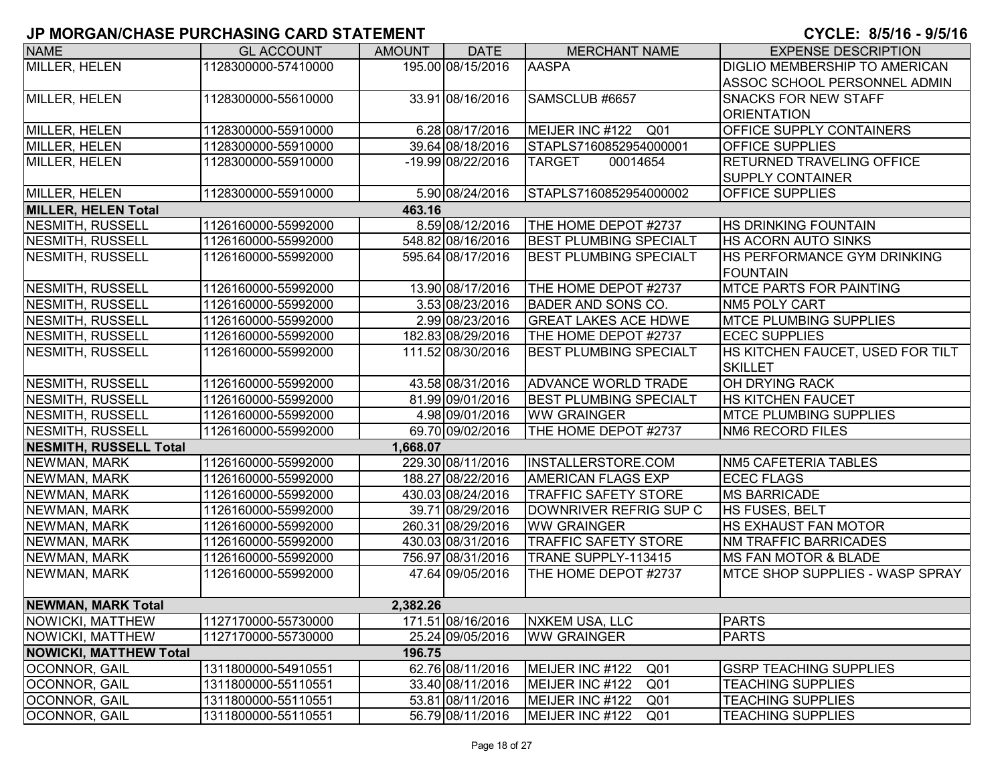| <b>NAME</b>                   | <b>GL ACCOUNT</b>   | <b>AMOUNT</b> | <b>DATE</b>       | <b>MERCHANT NAME</b>               | <b>EXPENSE DESCRIPTION</b>           |
|-------------------------------|---------------------|---------------|-------------------|------------------------------------|--------------------------------------|
| MILLER, HELEN                 | 1128300000-57410000 |               | 195.00 08/15/2016 | <b>AASPA</b>                       | <b>DIGLIO MEMBERSHIP TO AMERICAN</b> |
|                               |                     |               |                   |                                    | ASSOC SCHOOL PERSONNEL ADMIN         |
| MILLER, HELEN                 | 1128300000-55610000 |               | 33.91 08/16/2016  | SAMSCLUB #6657                     | <b>SNACKS FOR NEW STAFF</b>          |
|                               |                     |               |                   |                                    | <b>ORIENTATION</b>                   |
| MILLER, HELEN                 | 1128300000-55910000 |               | 6.28 08/17/2016   | MEIJER INC #122 Q01                | <b>OFFICE SUPPLY CONTAINERS</b>      |
| MILLER, HELEN                 | 1128300000-55910000 |               | 39.64 08/18/2016  | STAPLS7160852954000001             | <b>OFFICE SUPPLIES</b>               |
| MILLER, HELEN                 | 1128300000-55910000 |               | -19.99 08/22/2016 | <b>TARGET</b><br>00014654          | <b>RETURNED TRAVELING OFFICE</b>     |
|                               |                     |               |                   |                                    | <b>SUPPLY CONTAINER</b>              |
| MILLER, HELEN                 | 1128300000-55910000 |               | 5.90 08/24/2016   | STAPLS7160852954000002             | <b>OFFICE SUPPLIES</b>               |
| <b>MILLER, HELEN Total</b>    |                     | 463.16        |                   |                                    |                                      |
| <b>NESMITH, RUSSELL</b>       | 1126160000-55992000 |               | 8.59 08/12/2016   | THE HOME DEPOT #2737               | <b>HS DRINKING FOUNTAIN</b>          |
| <b>NESMITH, RUSSELL</b>       | 1126160000-55992000 |               | 548.82 08/16/2016 | <b>BEST PLUMBING SPECIALT</b>      | <b>HS ACORN AUTO SINKS</b>           |
| <b>NESMITH, RUSSELL</b>       | 1126160000-55992000 |               | 595.64 08/17/2016 | <b>BEST PLUMBING SPECIALT</b>      | HS PERFORMANCE GYM DRINKING          |
|                               |                     |               |                   |                                    | <b>IFOUNTAIN</b>                     |
| NESMITH, RUSSELL              | 1126160000-55992000 |               | 13.90 08/17/2016  | THE HOME DEPOT #2737               | <b>IMTCE PARTS FOR PAINTING</b>      |
| NESMITH, RUSSELL              | 1126160000-55992000 |               | 3.53 08/23/2016   | <b>BADER AND SONS CO.</b>          | NM5 POLY CART                        |
| NESMITH, RUSSELL              | 1126160000-55992000 |               | 2.99 08/23/2016   | <b>GREAT LAKES ACE HDWE</b>        | <b>MTCE PLUMBING SUPPLIES</b>        |
| NESMITH, RUSSELL              | 1126160000-55992000 |               | 182.83 08/29/2016 | THE HOME DEPOT #2737               | <b>ECEC SUPPLIES</b>                 |
| NESMITH, RUSSELL              | 1126160000-55992000 |               | 111.52 08/30/2016 | <b>BEST PLUMBING SPECIALT</b>      | HS KITCHEN FAUCET, USED FOR TILT     |
|                               |                     |               |                   |                                    | <b>SKILLET</b>                       |
| NESMITH, RUSSELL              | 1126160000-55992000 |               | 43.58 08/31/2016  | <b>ADVANCE WORLD TRADE</b>         | <b>OH DRYING RACK</b>                |
| <b>NESMITH, RUSSELL</b>       | 1126160000-55992000 |               | 81.99 09/01/2016  | <b>BEST PLUMBING SPECIALT</b>      | <b>HS KITCHEN FAUCET</b>             |
| <b>NESMITH, RUSSELL</b>       | 1126160000-55992000 |               | 4.98 09/01/2016   | <b>WW GRAINGER</b>                 | <b>IMTCE PLUMBING SUPPLIES</b>       |
| NESMITH, RUSSELL              | 1126160000-55992000 |               | 69.70 09/02/2016  | THE HOME DEPOT #2737               | <b>NM6 RECORD FILES</b>              |
| <b>NESMITH, RUSSELL Total</b> |                     | 1,668.07      |                   |                                    |                                      |
| NEWMAN, MARK                  | 1126160000-55992000 |               | 229.30 08/11/2016 | INSTALLERSTORE.COM                 | NM5 CAFETERIA TABLES                 |
| NEWMAN, MARK                  | 1126160000-55992000 |               | 188.27 08/22/2016 | <b>AMERICAN FLAGS EXP</b>          | <b>ECEC FLAGS</b>                    |
| NEWMAN, MARK                  | 1126160000-55992000 |               | 430.03 08/24/2016 | <b>TRAFFIC SAFETY STORE</b>        | <b>MS BARRICADE</b>                  |
| NEWMAN, MARK                  | 1126160000-55992000 |               | 39.71 08/29/2016  | DOWNRIVER REFRIG SUP C             | HS FUSES, BELT                       |
| NEWMAN, MARK                  | 1126160000-55992000 |               | 260.31 08/29/2016 | <b>WW GRAINGER</b>                 | <b>HS EXHAUST FAN MOTOR</b>          |
| NEWMAN, MARK                  | 1126160000-55992000 |               | 430.03 08/31/2016 | <b>TRAFFIC SAFETY STORE</b>        | <b>NM TRAFFIC BARRICADES</b>         |
| NEWMAN, MARK                  | 1126160000-55992000 |               | 756.97 08/31/2016 | TRANE SUPPLY-113415                | <b>IMS FAN MOTOR &amp; BLADE</b>     |
| NEWMAN, MARK                  | 1126160000-55992000 |               | 47.64 09/05/2016  | THE HOME DEPOT #2737               | IMTCE SHOP SUPPLIES - WASP SPRAY     |
|                               |                     |               |                   |                                    |                                      |
| <b>NEWMAN, MARK Total</b>     |                     | 2,382.26      |                   |                                    |                                      |
| NOWICKI, MATTHEW              | 1127170000-55730000 |               | 171.51 08/16/2016 | <b>NXKEM USA, LLC</b>              | <b>PARTS</b>                         |
| NOWICKI, MATTHEW              | 1127170000-55730000 |               | 25.24 09/05/2016  | <b>WW GRAINGER</b>                 | <b>PARTS</b>                         |
| <b>NOWICKI, MATTHEW Total</b> |                     | 196.75        |                   |                                    |                                      |
| <b>OCONNOR, GAIL</b>          | 1311800000-54910551 |               | 62.76 08/11/2016  | MEIJER INC #122<br>Q <sub>01</sub> | <b>GSRP TEACHING SUPPLIES</b>        |
| OCONNOR, GAIL                 | 1311800000-55110551 |               | 33.40 08/11/2016  | MEIJER INC #122<br>Q <sub>01</sub> | <b>TEACHING SUPPLIES</b>             |
| OCONNOR, GAIL                 | 1311800000-55110551 |               | 53.81 08/11/2016  | MEIJER INC #122<br>Q <sub>01</sub> | <b>TEACHING SUPPLIES</b>             |
| OCONNOR, GAIL                 | 1311800000-55110551 |               | 56.79 08/11/2016  | MEIJER INC #122<br>Q <sub>01</sub> | <b>TEACHING SUPPLIES</b>             |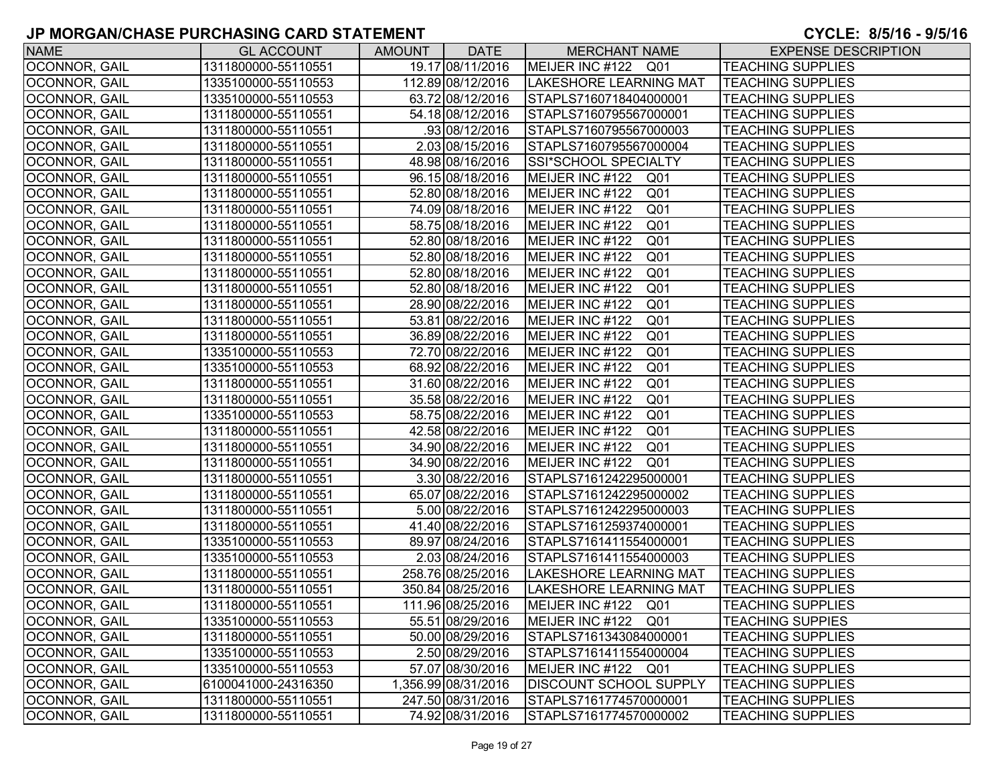| <b>NAME</b>          | <b>GL ACCOUNT</b>   | <b>AMOUNT</b> | <b>DATE</b>         | <b>MERCHANT NAME</b>               | <b>EXPENSE DESCRIPTION</b> |
|----------------------|---------------------|---------------|---------------------|------------------------------------|----------------------------|
| OCONNOR, GAIL        | 1311800000-55110551 |               | 19.17 08/11/2016    | MEIJER INC #122 Q01                | <b>TEACHING SUPPLIES</b>   |
| OCONNOR, GAIL        | 1335100000-55110553 |               | 112.89 08/12/2016   | <b>LAKESHORE LEARNING MAT</b>      | <b>TEACHING SUPPLIES</b>   |
| OCONNOR, GAIL        | 1335100000-55110553 |               | 63.72 08/12/2016    | STAPLS7160718404000001             | <b>TEACHING SUPPLIES</b>   |
| <b>OCONNOR, GAIL</b> | 1311800000-55110551 |               | 54.18 08/12/2016    | STAPLS7160795567000001             | <b>TEACHING SUPPLIES</b>   |
| OCONNOR, GAIL        | 1311800000-55110551 |               | 93 08/12/2016       | STAPLS7160795567000003             | <b>TEACHING SUPPLIES</b>   |
| <b>OCONNOR, GAIL</b> | 1311800000-55110551 |               | 2.03 08/15/2016     | STAPLS7160795567000004             | <b>TEACHING SUPPLIES</b>   |
| <b>OCONNOR, GAIL</b> | 1311800000-55110551 |               | 48.98 08/16/2016    | SSI*SCHOOL SPECIALTY               | <b>TEACHING SUPPLIES</b>   |
| <b>OCONNOR, GAIL</b> | 1311800000-55110551 |               | 96.15 08/18/2016    | MEIJER INC #122 Q01                | <b>TEACHING SUPPLIES</b>   |
| <b>OCONNOR, GAIL</b> | 1311800000-55110551 |               | 52.80 08/18/2016    | MEIJER INC #122<br>Q01             | <b>TEACHING SUPPLIES</b>   |
| <b>OCONNOR, GAIL</b> | 1311800000-55110551 |               | 74.09 08/18/2016    | MEIJER INC #122<br>Q <sub>01</sub> | <b>TEACHING SUPPLIES</b>   |
| <b>OCONNOR, GAIL</b> | 1311800000-55110551 |               | 58.75 08/18/2016    | MEIJER INC #122<br>Q <sub>01</sub> | <b>TEACHING SUPPLIES</b>   |
| <b>OCONNOR, GAIL</b> | 1311800000-55110551 |               | 52.80 08/18/2016    | MEIJER INC #122<br>Q <sub>01</sub> | <b>TEACHING SUPPLIES</b>   |
| <b>OCONNOR, GAIL</b> | 1311800000-55110551 |               | 52.80 08/18/2016    | MEIJER INC #122<br>Q <sub>01</sub> | <b>TEACHING SUPPLIES</b>   |
| OCONNOR, GAIL        | 1311800000-55110551 |               | 52.80 08/18/2016    | MEIJER INC #122<br>Q <sub>01</sub> | <b>TEACHING SUPPLIES</b>   |
| OCONNOR, GAIL        | 1311800000-55110551 |               | 52.80 08/18/2016    | Q <sub>01</sub><br>MEIJER INC #122 | <b>TEACHING SUPPLIES</b>   |
| OCONNOR, GAIL        | 1311800000-55110551 |               | 28.90 08/22/2016    | MEIJER INC #122<br>Q <sub>01</sub> | <b>TEACHING SUPPLIES</b>   |
| <b>OCONNOR, GAIL</b> | 1311800000-55110551 |               | 53.81 08/22/2016    | MEIJER INC #122<br>Q <sub>01</sub> | <b>TEACHING SUPPLIES</b>   |
| <b>OCONNOR, GAIL</b> | 1311800000-55110551 |               | 36.89 08/22/2016    | MEIJER INC #122<br>Q <sub>01</sub> | <b>TEACHING SUPPLIES</b>   |
| OCONNOR, GAIL        | 1335100000-55110553 |               | 72.70 08/22/2016    | MEIJER INC #122<br>Q <sub>01</sub> | <b>TEACHING SUPPLIES</b>   |
| <b>OCONNOR, GAIL</b> | 1335100000-55110553 |               | 68.92 08/22/2016    | MEIJER INC #122<br>Q <sub>01</sub> | <b>TEACHING SUPPLIES</b>   |
| <b>OCONNOR, GAIL</b> | 1311800000-55110551 |               | 31.60 08/22/2016    | MEIJER INC #122<br>Q <sub>01</sub> | <b>TEACHING SUPPLIES</b>   |
| <b>OCONNOR, GAIL</b> | 1311800000-55110551 |               | 35.58 08/22/2016    | MEIJER INC #122<br>Q <sub>01</sub> | <b>TEACHING SUPPLIES</b>   |
| <b>OCONNOR, GAIL</b> | 1335100000-55110553 |               | 58.75 08/22/2016    | MEIJER INC #122<br>Q01             | <b>TEACHING SUPPLIES</b>   |
| <b>OCONNOR, GAIL</b> | 1311800000-55110551 |               | 42.58 08/22/2016    | MEIJER INC #122<br>Q <sub>01</sub> | <b>TEACHING SUPPLIES</b>   |
| <b>OCONNOR, GAIL</b> | 1311800000-55110551 |               | 34.90 08/22/2016    | MEIJER INC #122<br>Q <sub>01</sub> | <b>TEACHING SUPPLIES</b>   |
| <b>OCONNOR, GAIL</b> | 1311800000-55110551 |               | 34.90 08/22/2016    | MEIJER INC #122<br>Q01             | <b>TEACHING SUPPLIES</b>   |
| OCONNOR, GAIL        | 1311800000-55110551 |               | 3.30 08/22/2016     | STAPLS7161242295000001             | <b>TEACHING SUPPLIES</b>   |
| OCONNOR, GAIL        | 1311800000-55110551 |               | 65.07 08/22/2016    | STAPLS7161242295000002             | <b>TEACHING SUPPLIES</b>   |
| OCONNOR, GAIL        | 1311800000-55110551 |               | 5.00 08/22/2016     | STAPLS7161242295000003             | <b>TEACHING SUPPLIES</b>   |
| OCONNOR, GAIL        | 1311800000-55110551 |               | 41.40 08/22/2016    | STAPLS7161259374000001             | <b>TEACHING SUPPLIES</b>   |
| <b>OCONNOR, GAIL</b> | 1335100000-55110553 |               | 89.97 08/24/2016    | STAPLS7161411554000001             | <b>TEACHING SUPPLIES</b>   |
| <b>OCONNOR, GAIL</b> | 1335100000-55110553 |               | 2.03 08/24/2016     | STAPLS7161411554000003             | <b>TEACHING SUPPLIES</b>   |
| OCONNOR, GAIL        | 1311800000-55110551 |               | 258.76 08/25/2016   | <b>LAKESHORE LEARNING MAT</b>      | <b>TEACHING SUPPLIES</b>   |
| <b>OCONNOR, GAIL</b> | 1311800000-55110551 |               | 350.84 08/25/2016   | LAKESHORE LEARNING MAT             | <b>TEACHING SUPPLIES</b>   |
| OCONNOR, GAIL        | 1311800000-55110551 |               | 111.96 08/25/2016   | MEIJER INC #122 Q01                | <b>TEACHING SUPPLIES</b>   |
| OCONNOR, GAIL        | 1335100000-55110553 |               | 55.51 08/29/2016    | MEIJER INC #122 Q01                | <b>TEACHING SUPPIES</b>    |
| OCONNOR, GAIL        | 1311800000-55110551 |               | 50.00 08/29/2016    | STAPLS7161343084000001             | <b>TEACHING SUPPLIES</b>   |
| <b>OCONNOR, GAIL</b> | 1335100000-55110553 |               | 2.50 08/29/2016     | STAPLS7161411554000004             | <b>TEACHING SUPPLIES</b>   |
| OCONNOR, GAIL        | 1335100000-55110553 |               | 57.07 08/30/2016    | MEIJER INC #122 Q01                | <b>TEACHING SUPPLIES</b>   |
| <b>OCONNOR, GAIL</b> | 6100041000-24316350 |               | 1,356.99 08/31/2016 | <b>DISCOUNT SCHOOL SUPPLY</b>      | <b>TEACHING SUPPLIES</b>   |
| OCONNOR, GAIL        | 1311800000-55110551 |               | 247.50 08/31/2016   | STAPLS7161774570000001             | <b>TEACHING SUPPLIES</b>   |
| OCONNOR, GAIL        | 1311800000-55110551 |               | 74.92 08/31/2016    | STAPLS7161774570000002             | <b>TEACHING SUPPLIES</b>   |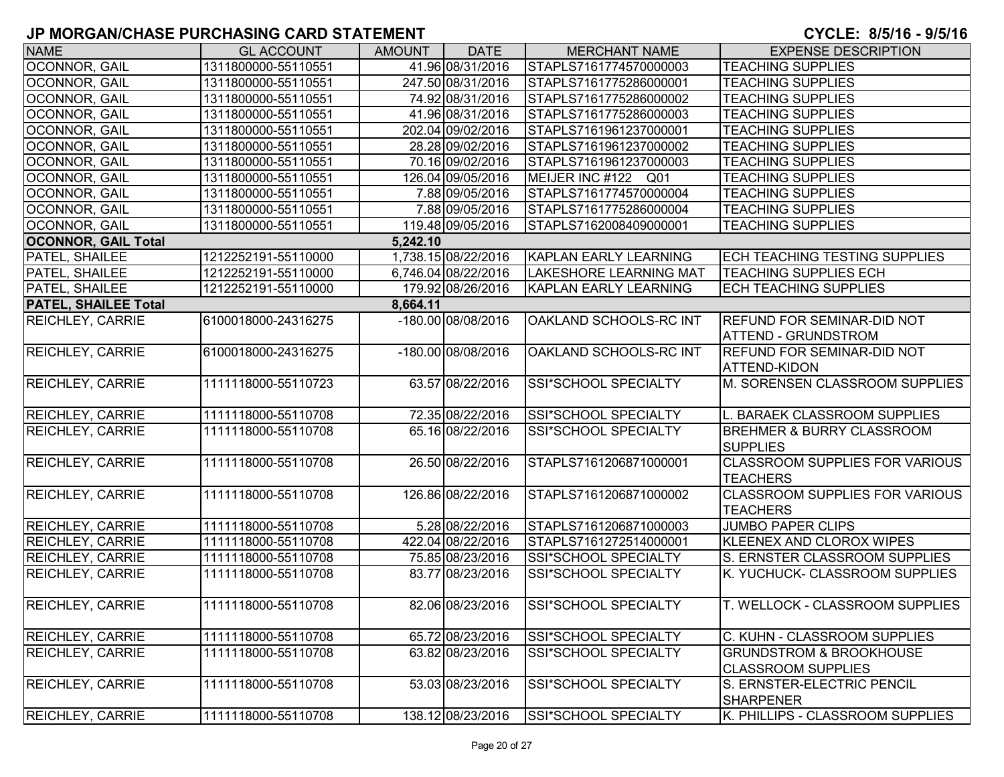| <b>NAME</b>                 | <b>GL ACCOUNT</b>   | <b>AMOUNT</b> | <b>DATE</b>         | <b>MERCHANT NAME</b>          | <b>EXPENSE DESCRIPTION</b>             |
|-----------------------------|---------------------|---------------|---------------------|-------------------------------|----------------------------------------|
| OCONNOR, GAIL               | 1311800000-55110551 |               | 41.96 08/31/2016    | STAPLS7161774570000003        | <b>TEACHING SUPPLIES</b>               |
| OCONNOR, GAIL               | 1311800000-55110551 |               | 247.50 08/31/2016   | STAPLS7161775286000001        | <b>TEACHING SUPPLIES</b>               |
| <b>OCONNOR, GAIL</b>        | 1311800000-55110551 |               | 74.92 08/31/2016    | STAPLS7161775286000002        | <b>TEACHING SUPPLIES</b>               |
| <b>OCONNOR, GAIL</b>        | 1311800000-55110551 |               | 41.96 08/31/2016    | STAPLS7161775286000003        | <b>TEACHING SUPPLIES</b>               |
| OCONNOR, GAIL               | 1311800000-55110551 |               | 202.04 09/02/2016   | STAPLS7161961237000001        | <b>TEACHING SUPPLIES</b>               |
| OCONNOR, GAIL               | 1311800000-55110551 |               | 28.28 09/02/2016    | STAPLS7161961237000002        | <b>TEACHING SUPPLIES</b>               |
| OCONNOR, GAIL               | 1311800000-55110551 |               | 70.16 09/02/2016    | STAPLS7161961237000003        | <b>TEACHING SUPPLIES</b>               |
| OCONNOR, GAIL               | 1311800000-55110551 |               | 126.04 09/05/2016   | MEIJER INC #122 Q01           | <b>TEACHING SUPPLIES</b>               |
| OCONNOR, GAIL               | 1311800000-55110551 |               | 7.88 09/05/2016     | STAPLS7161774570000004        | <b>TEACHING SUPPLIES</b>               |
| OCONNOR, GAIL               | 1311800000-55110551 |               | 7.88 09/05/2016     | STAPLS7161775286000004        | <b>TEACHING SUPPLIES</b>               |
| <b>OCONNOR, GAIL</b>        | 1311800000-55110551 |               | 119.48 09/05/2016   | STAPLS7162008409000001        | <b>TEACHING SUPPLIES</b>               |
| <b>OCONNOR, GAIL Total</b>  |                     | 5,242.10      |                     |                               |                                        |
| <b>PATEL, SHAILEE</b>       | 1212252191-55110000 |               | 1,738.15 08/22/2016 | KAPLAN EARLY LEARNING         | <b>ECH TEACHING TESTING SUPPLIES</b>   |
| PATEL, SHAILEE              | 1212252191-55110000 |               | 6,746.04 08/22/2016 | <b>LAKESHORE LEARNING MAT</b> | <b>TEACHING SUPPLIES ECH</b>           |
| PATEL, SHAILEE              | 1212252191-55110000 |               | 179.92 08/26/2016   | <b>KAPLAN EARLY LEARNING</b>  | <b>ECH TEACHING SUPPLIES</b>           |
| <b>PATEL, SHAILEE Total</b> |                     | 8,664.11      |                     |                               |                                        |
| <b>REICHLEY, CARRIE</b>     | 6100018000-24316275 |               | -180.00 08/08/2016  | OAKLAND SCHOOLS-RC INT        | <b>REFUND FOR SEMINAR-DID NOT</b>      |
|                             |                     |               |                     |                               | <b>ATTEND - GRUNDSTROM</b>             |
| <b>REICHLEY, CARRIE</b>     | 6100018000-24316275 |               | -180.00 08/08/2016  | OAKLAND SCHOOLS-RC INT        | <b>REFUND FOR SEMINAR-DID NOT</b>      |
|                             |                     |               |                     |                               | <b>ATTEND-KIDON</b>                    |
| <b>REICHLEY, CARRIE</b>     | 1111118000-55110723 |               | 63.57 08/22/2016    | SSI*SCHOOL SPECIALTY          | M. SORENSEN CLASSROOM SUPPLIES         |
|                             |                     |               |                     |                               |                                        |
| <b>REICHLEY, CARRIE</b>     | 1111118000-55110708 |               | 72.35 08/22/2016    | SSI*SCHOOL SPECIALTY          | L. BARAEK CLASSROOM SUPPLIES           |
| <b>REICHLEY, CARRIE</b>     | 1111118000-55110708 |               | 65.16 08/22/2016    | SSI*SCHOOL SPECIALTY          | <b>BREHMER &amp; BURRY CLASSROOM</b>   |
|                             |                     |               |                     |                               | <b>SUPPLIES</b>                        |
| <b>REICHLEY, CARRIE</b>     | 1111118000-55110708 |               | 26.50 08/22/2016    | STAPLS7161206871000001        | <b>CLASSROOM SUPPLIES FOR VARIOUS</b>  |
|                             |                     |               |                     |                               | <b>TEACHERS</b>                        |
| <b>REICHLEY, CARRIE</b>     | 1111118000-55110708 |               | 126.86 08/22/2016   | STAPLS7161206871000002        | <b>CLASSROOM SUPPLIES FOR VARIOUS</b>  |
|                             |                     |               |                     |                               | <b>TEACHERS</b>                        |
| <b>REICHLEY, CARRIE</b>     | 1111118000-55110708 |               | 5.28 08/22/2016     | STAPLS7161206871000003        | <b>JUMBO PAPER CLIPS</b>               |
| <b>REICHLEY, CARRIE</b>     | 1111118000-55110708 |               | 422.04 08/22/2016   | STAPLS7161272514000001        | KLEENEX AND CLOROX WIPES               |
| <b>REICHLEY, CARRIE</b>     | 1111118000-55110708 |               | 75.85 08/23/2016    | SSI*SCHOOL SPECIALTY          | S. ERNSTER CLASSROOM SUPPLIES          |
| <b>REICHLEY, CARRIE</b>     | 1111118000-55110708 |               | 83.77 08/23/2016    | SSI*SCHOOL SPECIALTY          | K. YUCHUCK- CLASSROOM SUPPLIES         |
|                             |                     |               |                     |                               |                                        |
| <b>REICHLEY, CARRIE</b>     | 1111118000-55110708 |               | 82.06 08/23/2016    | SSI*SCHOOL SPECIALTY          | <b>T. WELLOCK - CLASSROOM SUPPLIES</b> |
|                             |                     |               |                     |                               |                                        |
| <b>REICHLEY, CARRIE</b>     | 1111118000-55110708 |               | 65.72 08/23/2016    | <b>SSI*SCHOOL SPECIALTY</b>   | C. KUHN - CLASSROOM SUPPLIES           |
| <b>REICHLEY, CARRIE</b>     | 1111118000-55110708 |               | 63.82 08/23/2016    | SSI*SCHOOL SPECIALTY          | <b>GRUNDSTROM &amp; BROOKHOUSE</b>     |
|                             |                     |               |                     |                               | <b>CLASSROOM SUPPLIES</b>              |
| <b>REICHLEY, CARRIE</b>     | 1111118000-55110708 |               | 53.03 08/23/2016    | SSI*SCHOOL SPECIALTY          | S. ERNSTER-ELECTRIC PENCIL             |
|                             |                     |               |                     |                               | <b>SHARPENER</b>                       |
| <b>REICHLEY, CARRIE</b>     | 1111118000-55110708 |               | 138.12 08/23/2016   | SSI*SCHOOL SPECIALTY          | K. PHILLIPS - CLASSROOM SUPPLIES       |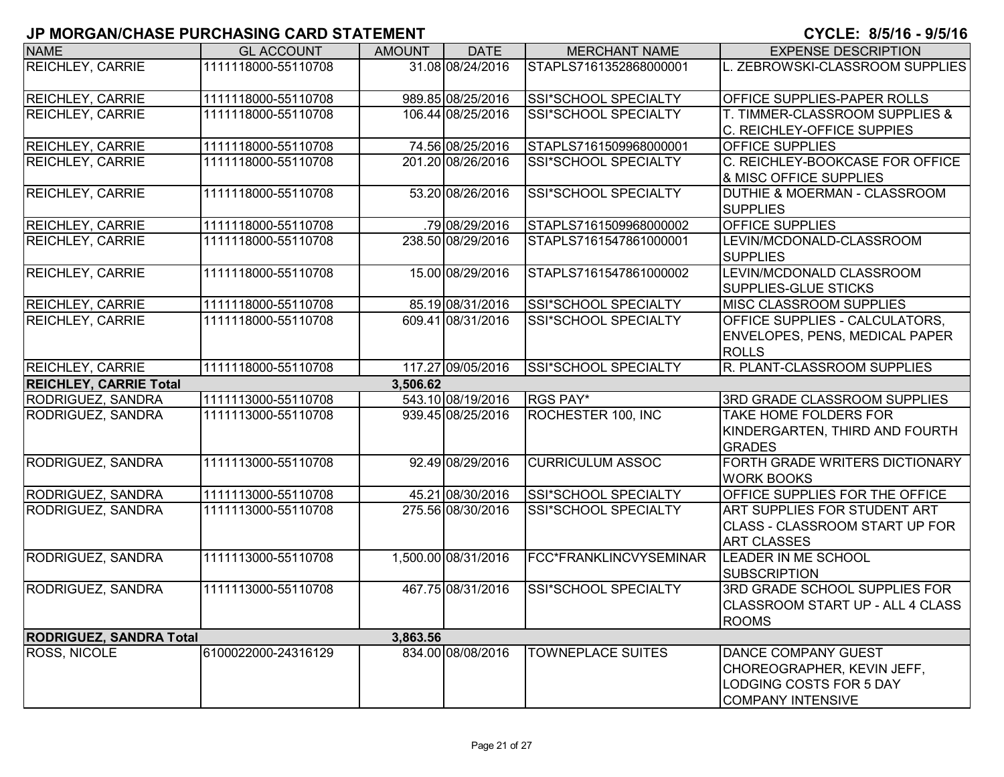| ישי זו יי זו זער שווי וט       |                     |               |                     |                             |                                                                                                                        |
|--------------------------------|---------------------|---------------|---------------------|-----------------------------|------------------------------------------------------------------------------------------------------------------------|
| <b>NAME</b>                    | <b>GL ACCOUNT</b>   | <b>AMOUNT</b> | <b>DATE</b>         | <b>MERCHANT NAME</b>        | <b>EXPENSE DESCRIPTION</b>                                                                                             |
| <b>REICHLEY, CARRIE</b>        | 1111118000-55110708 |               | 31.08 08/24/2016    | STAPLS7161352868000001      | L. ZEBROWSKI-CLASSROOM SUPPLIES                                                                                        |
| <b>REICHLEY, CARRIE</b>        | 1111118000-55110708 |               | 989.85 08/25/2016   | SSI*SCHOOL SPECIALTY        | <b>OFFICE SUPPLIES-PAPER ROLLS</b>                                                                                     |
| <b>REICHLEY, CARRIE</b>        | 1111118000-55110708 |               | 106.44 08/25/2016   | SSI*SCHOOL SPECIALTY        | T. TIMMER-CLASSROOM SUPPLIES &<br>C. REICHLEY-OFFICE SUPPIES                                                           |
| <b>REICHLEY, CARRIE</b>        | 1111118000-55110708 |               | 74.56 08/25/2016    | STAPLS7161509968000001      | <b>OFFICE SUPPLIES</b>                                                                                                 |
| <b>REICHLEY, CARRIE</b>        | 1111118000-55110708 |               | 201.20 08/26/2016   | <b>SSI*SCHOOL SPECIALTY</b> | C. REICHLEY-BOOKCASE FOR OFFICE<br><b>&amp; MISC OFFICE SUPPLIES</b>                                                   |
| <b>REICHLEY, CARRIE</b>        | 1111118000-55110708 |               | 53.20 08/26/2016    | SSI*SCHOOL SPECIALTY        | <b>DUTHIE &amp; MOERMAN - CLASSROOM</b><br><b>SUPPLIES</b>                                                             |
| <b>REICHLEY, CARRIE</b>        | 1111118000-55110708 |               | .79 08/29/2016      | STAPLS7161509968000002      | <b>OFFICE SUPPLIES</b>                                                                                                 |
| <b>REICHLEY, CARRIE</b>        | 1111118000-55110708 |               | 238.50 08/29/2016   | STAPLS7161547861000001      | LEVIN/MCDONALD-CLASSROOM<br><b>SUPPLIES</b>                                                                            |
| <b>REICHLEY, CARRIE</b>        | 1111118000-55110708 |               | 15.00 08/29/2016    | STAPLS7161547861000002      | LEVIN/MCDONALD CLASSROOM<br><b>SUPPLIES-GLUE STICKS</b>                                                                |
| <b>REICHLEY, CARRIE</b>        | 1111118000-55110708 |               | 85.19 08/31/2016    | SSI*SCHOOL SPECIALTY        | <b>MISC CLASSROOM SUPPLIES</b>                                                                                         |
| <b>REICHLEY, CARRIE</b>        | 1111118000-55110708 |               | 609.41 08/31/2016   | SSI*SCHOOL SPECIALTY        | <b>OFFICE SUPPLIES - CALCULATORS,</b><br><b>ENVELOPES, PENS, MEDICAL PAPER</b><br><b>ROLLS</b>                         |
| <b>REICHLEY, CARRIE</b>        | 1111118000-55110708 |               | 117.27 09/05/2016   | SSI*SCHOOL SPECIALTY        | R. PLANT-CLASSROOM SUPPLIES                                                                                            |
| <b>REICHLEY, CARRIE Total</b>  |                     | 3,506.62      |                     |                             |                                                                                                                        |
| RODRIGUEZ, SANDRA              | 1111113000-55110708 |               | 543.10 08/19/2016   | <b>RGS PAY*</b>             | <b>3RD GRADE CLASSROOM SUPPLIES</b>                                                                                    |
| RODRIGUEZ, SANDRA              | 1111113000-55110708 |               | 939.45 08/25/2016   | ROCHESTER 100, INC          | <b>TAKE HOME FOLDERS FOR</b><br>KINDERGARTEN, THIRD AND FOURTH<br><b>GRADES</b>                                        |
| RODRIGUEZ, SANDRA              | 1111113000-55110708 |               | 92.49 08/29/2016    | <b>CURRICULUM ASSOC</b>     | FORTH GRADE WRITERS DICTIONARY<br><b>WORK BOOKS</b>                                                                    |
| RODRIGUEZ, SANDRA              | 1111113000-55110708 |               | 45.21 08/30/2016    | SSI*SCHOOL SPECIALTY        | <b>OFFICE SUPPLIES FOR THE OFFICE</b>                                                                                  |
| RODRIGUEZ, SANDRA              | 1111113000-55110708 |               | 275.56 08/30/2016   | SSI*SCHOOL SPECIALTY        | <b>ART SUPPLIES FOR STUDENT ART</b><br><b>CLASS - CLASSROOM START UP FOR</b><br><b>ART CLASSES</b>                     |
| RODRIGUEZ, SANDRA              | 1111113000-55110708 |               | 1,500.00 08/31/2016 | FCC*FRANKLINCVYSEMINAR      | <b>LEADER IN ME SCHOOL</b><br>SUBSCRIPTION                                                                             |
| RODRIGUEZ, SANDRA              | 1111113000-55110708 |               | 467.75 08/31/2016   | SSI*SCHOOL SPECIALTY        | 3RD GRADE SCHOOL SUPPLIES FOR<br>CLASSROOM START UP - ALL 4 CLASS<br><b>ROOMS</b>                                      |
| <b>RODRIGUEZ, SANDRA Total</b> |                     | 3,863.56      |                     |                             |                                                                                                                        |
| <b>ROSS, NICOLE</b>            | 6100022000-24316129 |               | 834.00 08/08/2016   | <b>TOWNEPLACE SUITES</b>    | <b>DANCE COMPANY GUEST</b><br>CHOREOGRAPHER, KEVIN JEFF,<br><b>LODGING COSTS FOR 5 DAY</b><br><b>COMPANY INTENSIVE</b> |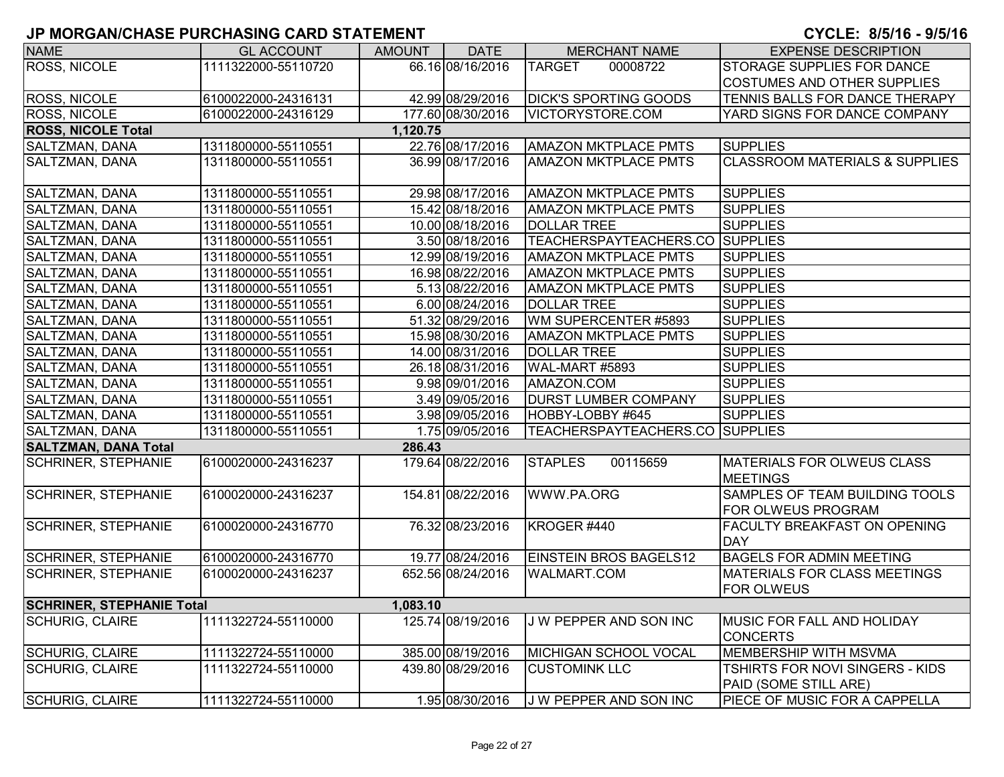| <b>NAME</b>                      | <b>GL ACCOUNT</b>   | AMOUNT   | <b>DATE</b>       | <b>MERCHANT NAME</b>                   | <b>EXPENSE DESCRIPTION</b>                                      |
|----------------------------------|---------------------|----------|-------------------|----------------------------------------|-----------------------------------------------------------------|
| <b>ROSS, NICOLE</b>              | 1111322000-55110720 |          | 66.16 08/16/2016  | <b>TARGET</b><br>00008722              | STORAGE SUPPLIES FOR DANCE                                      |
|                                  |                     |          |                   |                                        | COSTUMES AND OTHER SUPPLIES                                     |
| <b>ROSS, NICOLE</b>              | 6100022000-24316131 |          | 42.99 08/29/2016  | <b>DICK'S SPORTING GOODS</b>           | TENNIS BALLS FOR DANCE THERAPY                                  |
| <b>ROSS, NICOLE</b>              | 6100022000-24316129 |          | 177.60 08/30/2016 | VICTORYSTORE.COM                       | YARD SIGNS FOR DANCE COMPANY                                    |
| <b>ROSS, NICOLE Total</b>        |                     | 1,120.75 |                   |                                        |                                                                 |
| SALTZMAN, DANA                   | 1311800000-55110551 |          | 22.76 08/17/2016  | <b>AMAZON MKTPLACE PMTS</b>            | <b>SUPPLIES</b>                                                 |
| SALTZMAN, DANA                   | 1311800000-55110551 |          | 36.99 08/17/2016  | <b>AMAZON MKTPLACE PMTS</b>            | <b>CLASSROOM MATERIALS &amp; SUPPLIES</b>                       |
| SALTZMAN, DANA                   | 1311800000-55110551 |          | 29.98 08/17/2016  | <b>AMAZON MKTPLACE PMTS</b>            | <b>SUPPLIES</b>                                                 |
| SALTZMAN, DANA                   | 1311800000-55110551 |          | 15.42 08/18/2016  | <b>AMAZON MKTPLACE PMTS</b>            | <b>SUPPLIES</b>                                                 |
| SALTZMAN, DANA                   | 1311800000-55110551 |          | 10.00 08/18/2016  | <b>DOLLAR TREE</b>                     | <b>SUPPLIES</b>                                                 |
| SALTZMAN, DANA                   | 1311800000-55110551 |          | 3.50 08/18/2016   | <b>TEACHERSPAYTEACHERS.CO SUPPLIES</b> |                                                                 |
| SALTZMAN, DANA                   | 1311800000-55110551 |          | 12.99 08/19/2016  | <b>AMAZON MKTPLACE PMTS</b>            | <b>SUPPLIES</b>                                                 |
| SALTZMAN, DANA                   | 1311800000-55110551 |          | 16.98 08/22/2016  | <b>AMAZON MKTPLACE PMTS</b>            | <b>SUPPLIES</b>                                                 |
| SALTZMAN, DANA                   | 1311800000-55110551 |          | 5.13 08/22/2016   | <b>AMAZON MKTPLACE PMTS</b>            | <b>SUPPLIES</b>                                                 |
| SALTZMAN, DANA                   | 1311800000-55110551 |          | 6.00 08/24/2016   | <b>DOLLAR TREE</b>                     | <b>SUPPLIES</b>                                                 |
| SALTZMAN, DANA                   | 1311800000-55110551 |          | 51.32 08/29/2016  | WM SUPERCENTER #5893                   | <b>SUPPLIES</b>                                                 |
| SALTZMAN, DANA                   | 1311800000-55110551 |          | 15.98 08/30/2016  | <b>AMAZON MKTPLACE PMTS</b>            | <b>SUPPLIES</b>                                                 |
| SALTZMAN, DANA                   | 1311800000-55110551 |          | 14.00 08/31/2016  | <b>DOLLAR TREE</b>                     | <b>SUPPLIES</b>                                                 |
| SALTZMAN, DANA                   | 1311800000-55110551 |          | 26.18 08/31/2016  | WAL-MART #5893                         | <b>SUPPLIES</b>                                                 |
| <b>SALTZMAN, DANA</b>            | 1311800000-55110551 |          | 9.98 09/01/2016   | AMAZON.COM                             | <b>SUPPLIES</b>                                                 |
| SALTZMAN, DANA                   | 1311800000-55110551 |          | 3.49 09/05/2016   | <b>DURST LUMBER COMPANY</b>            | <b>SUPPLIES</b>                                                 |
| SALTZMAN, DANA                   | 1311800000-55110551 |          | 3.98 09/05/2016   | HOBBY-LOBBY #645                       | <b>SUPPLIES</b>                                                 |
| SALTZMAN, DANA                   | 1311800000-55110551 |          | 1.75 09/05/2016   | TEACHERSPAYTEACHERS.CO SUPPLIES        |                                                                 |
| <b>SALTZMAN, DANA Total</b>      |                     | 286.43   |                   |                                        |                                                                 |
| <b>SCHRINER, STEPHANIE</b>       | 6100020000-24316237 |          | 179.64 08/22/2016 | <b>STAPLES</b><br>00115659             | <b>MATERIALS FOR OLWEUS CLASS</b><br><b>MEETINGS</b>            |
| <b>SCHRINER, STEPHANIE</b>       | 6100020000-24316237 |          | 154.81 08/22/2016 | WWW.PA.ORG                             | SAMPLES OF TEAM BUILDING TOOLS<br>FOR OLWEUS PROGRAM            |
| <b>SCHRINER, STEPHANIE</b>       | 6100020000-24316770 |          | 76.32 08/23/2016  | KROGER #440                            | <b>FACULTY BREAKFAST ON OPENING</b><br><b>DAY</b>               |
| <b>SCHRINER, STEPHANIE</b>       | 6100020000-24316770 |          | 19.77 08/24/2016  | <b>EINSTEIN BROS BAGELS12</b>          | <b>BAGELS FOR ADMIN MEETING</b>                                 |
| <b>SCHRINER, STEPHANIE</b>       | 6100020000-24316237 |          | 652.56 08/24/2016 | <b>WALMART.COM</b>                     | <b>MATERIALS FOR CLASS MEETINGS</b><br><b>FOR OLWEUS</b>        |
| <b>SCHRINER, STEPHANIE Total</b> |                     | 1,083.10 |                   |                                        |                                                                 |
| <b>SCHURIG, CLAIRE</b>           | 1111322724-55110000 |          | 125.74 08/19/2016 | J W PEPPER AND SON INC                 | MUSIC FOR FALL AND HOLIDAY<br><b>CONCERTS</b>                   |
| <b>SCHURIG, CLAIRE</b>           | 1111322724-55110000 |          | 385.00 08/19/2016 | MICHIGAN SCHOOL VOCAL                  | MEMBERSHIP WITH MSVMA                                           |
| <b>SCHURIG, CLAIRE</b>           | 1111322724-55110000 |          | 439.80 08/29/2016 | <b>CUSTOMINK LLC</b>                   | <b>TSHIRTS FOR NOVI SINGERS - KIDS</b><br>PAID (SOME STILL ARE) |
| SCHURIG, CLAIRE                  | 1111322724-55110000 |          | 1.95 08/30/2016   | J W PEPPER AND SON INC                 | <b>PIECE OF MUSIC FOR A CAPPELLA</b>                            |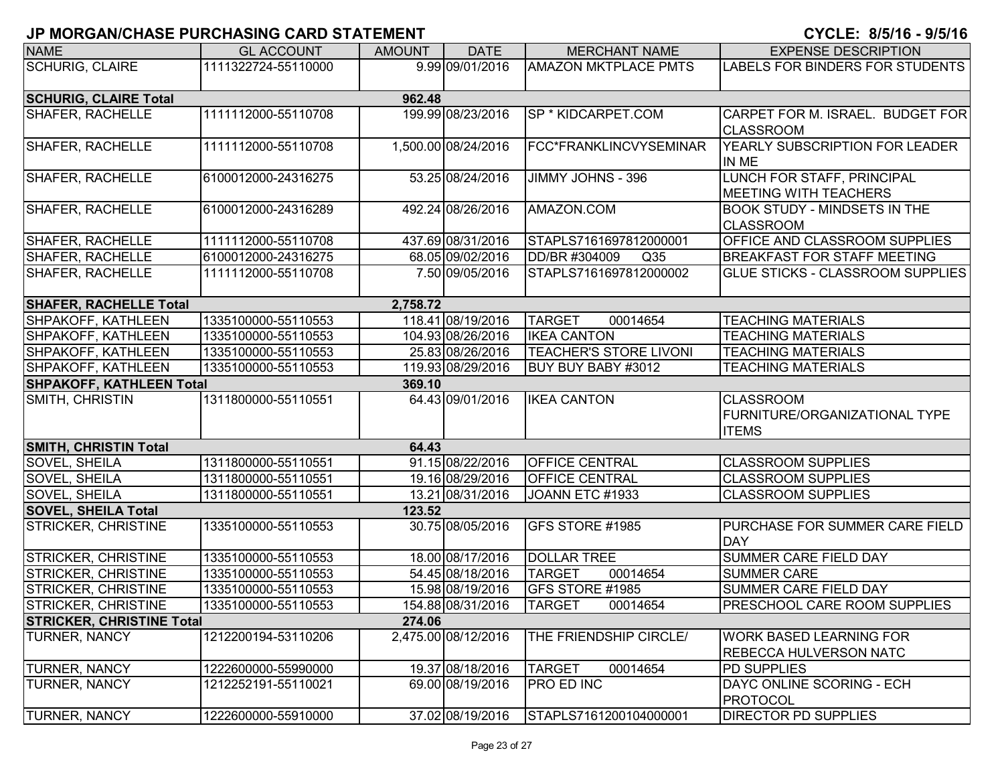#### **6**

| <b>NAME</b>                      | <b>GL ACCOUNT</b>   | <b>AMOUNT</b> | <b>DATE</b>         | <b>MERCHANT NAME</b>             | <b>EXPENSE DESCRIPTION</b>              |
|----------------------------------|---------------------|---------------|---------------------|----------------------------------|-----------------------------------------|
| <b>SCHURIG, CLAIRE</b>           | 1111322724-55110000 |               | 9.99 09/01/2016     | <b>AMAZON MKTPLACE PMTS</b>      | LABELS FOR BINDERS FOR STUDENTS         |
|                                  |                     |               |                     |                                  |                                         |
| <b>SCHURIG, CLAIRE Total</b>     |                     | 962.48        |                     |                                  |                                         |
| <b>SHAFER, RACHELLE</b>          | 1111112000-55110708 |               | 199.99 08/23/2016   | SP * KIDCARPET.COM               | CARPET FOR M. ISRAEL. BUDGET FOR        |
|                                  |                     |               |                     |                                  | <b>CLASSROOM</b>                        |
| <b>SHAFER, RACHELLE</b>          | 1111112000-55110708 |               | 1,500.00 08/24/2016 | FCC*FRANKLINCVYSEMINAR           | YEARLY SUBSCRIPTION FOR LEADER          |
|                                  |                     |               |                     |                                  | IN ME                                   |
| <b>SHAFER, RACHELLE</b>          | 6100012000-24316275 |               | 53.25 08/24/2016    | JIMMY JOHNS - 396                | LUNCH FOR STAFF, PRINCIPAL              |
|                                  |                     |               |                     |                                  | <b>MEETING WITH TEACHERS</b>            |
| <b>SHAFER, RACHELLE</b>          | 6100012000-24316289 |               | 492.24 08/26/2016   | AMAZON.COM                       | <b>BOOK STUDY - MINDSETS IN THE</b>     |
|                                  |                     |               |                     |                                  | <b>CLASSROOM</b>                        |
| <b>SHAFER, RACHELLE</b>          | 1111112000-55110708 |               | 437.69 08/31/2016   | STAPLS7161697812000001           | OFFICE AND CLASSROOM SUPPLIES           |
| <b>SHAFER, RACHELLE</b>          | 6100012000-24316275 |               | 68.05 09/02/2016    | DD/BR #304009<br>Q <sub>35</sub> | <b>BREAKFAST FOR STAFF MEETING</b>      |
| <b>SHAFER, RACHELLE</b>          | 1111112000-55110708 |               | 7.50 09/05/2016     | STAPLS7161697812000002           | <b>GLUE STICKS - CLASSROOM SUPPLIES</b> |
|                                  |                     |               |                     |                                  |                                         |
| <b>SHAFER, RACHELLE Total</b>    |                     | 2,758.72      |                     |                                  |                                         |
| SHPAKOFF, KATHLEEN               | 1335100000-55110553 |               | 118.41 08/19/2016   | <b>TARGET</b><br>00014654        | <b>TEACHING MATERIALS</b>               |
| SHPAKOFF, KATHLEEN               | 1335100000-55110553 |               | 104.93 08/26/2016   | <b>IKEA CANTON</b>               | <b>TEACHING MATERIALS</b>               |
| SHPAKOFF, KATHLEEN               | 1335100000-55110553 |               | 25.83 08/26/2016    | <b>TEACHER'S STORE LIVONI</b>    | <b>TEACHING MATERIALS</b>               |
| <b>SHPAKOFF, KATHLEEN</b>        | 1335100000-55110553 |               | 119.93 08/29/2016   | BUY BUY BABY #3012               | <b>TEACHING MATERIALS</b>               |
| <b>SHPAKOFF, KATHLEEN Total</b>  |                     | 369.10        |                     |                                  |                                         |
| SMITH, CHRISTIN                  | 1311800000-55110551 |               | 64.43 09/01/2016    | <b>IKEA CANTON</b>               | <b>CLASSROOM</b>                        |
|                                  |                     |               |                     |                                  | FURNITURE/ORGANIZATIONAL TYPE           |
|                                  |                     |               |                     |                                  | <b>ITEMS</b>                            |
| <b>SMITH, CHRISTIN Total</b>     |                     | 64.43         |                     |                                  |                                         |
| SOVEL, SHEILA                    | 1311800000-55110551 |               | 91.15 08/22/2016    | <b>OFFICE CENTRAL</b>            | <b>CLASSROOM SUPPLIES</b>               |
| SOVEL, SHEILA                    | 1311800000-55110551 |               | 19.16 08/29/2016    | <b>OFFICE CENTRAL</b>            | <b>CLASSROOM SUPPLIES</b>               |
| SOVEL, SHEILA                    | 1311800000-55110551 |               | 13.21 08/31/2016    | JOANN ETC #1933                  | <b>CLASSROOM SUPPLIES</b>               |
| <b>SOVEL, SHEILA Total</b>       |                     | 123.52        |                     |                                  |                                         |
| <b>STRICKER, CHRISTINE</b>       | 1335100000-55110553 |               | 30.75 08/05/2016    | GFS STORE #1985                  | PURCHASE FOR SUMMER CARE FIELD          |
|                                  |                     |               |                     |                                  | <b>DAY</b>                              |
| <b>STRICKER, CHRISTINE</b>       | 1335100000-55110553 |               | 18.00 08/17/2016    | <b>DOLLAR TREE</b>               | SUMMER CARE FIELD DAY                   |
| <b>STRICKER, CHRISTINE</b>       | 1335100000-55110553 |               | 54.45 08/18/2016    | <b>TARGET</b><br>00014654        | <b>SUMMER CARE</b>                      |
| <b>STRICKER, CHRISTINE</b>       | 1335100000-55110553 |               | 15.98 08/19/2016    | GFS STORE #1985                  | SUMMER CARE FIELD DAY                   |
| <b>STRICKER, CHRISTINE</b>       | 1335100000-55110553 |               | 154.88 08/31/2016   | <b>TARGET</b><br>00014654        | <b>PRESCHOOL CARE ROOM SUPPLIES</b>     |
| <b>STRICKER, CHRISTINE Total</b> |                     | 274.06        |                     |                                  |                                         |
| <b>TURNER, NANCY</b>             | 1212200194-53110206 |               | 2,475.00 08/12/2016 | THE FRIENDSHIP CIRCLE/           | <b>WORK BASED LEARNING FOR</b>          |
|                                  |                     |               |                     |                                  | <b>REBECCA HULVERSON NATC</b>           |
| <b>TURNER, NANCY</b>             | 1222600000-55990000 |               | 19.37 08/18/2016    | 00014654<br><b>TARGET</b>        | <b>PD SUPPLIES</b>                      |
| <b>TURNER, NANCY</b>             | 1212252191-55110021 |               | 69.00 08/19/2016    | <b>PRO ED INC</b>                | DAYC ONLINE SCORING - ECH               |
|                                  |                     |               |                     |                                  | <b>PROTOCOL</b>                         |
| <b>TURNER, NANCY</b>             | 1222600000-55910000 |               | 37.02 08/19/2016    | STAPLS7161200104000001           | <b>DIRECTOR PD SUPPLIES</b>             |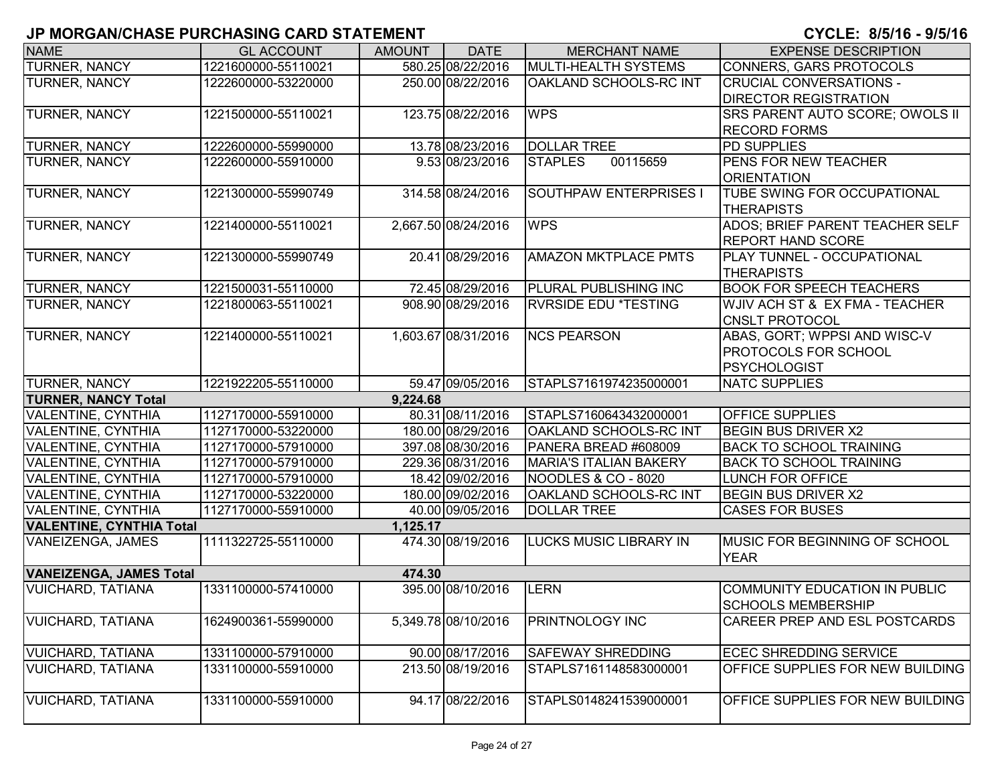| <b>NAME</b>                                            | <b>GL ACCOUNT</b>                          | <b>AMOUNT</b> | <b>DATE</b>                           | <b>MERCHANT NAME</b>                          | <b>EXPENSE DESCRIPTION</b>                            |
|--------------------------------------------------------|--------------------------------------------|---------------|---------------------------------------|-----------------------------------------------|-------------------------------------------------------|
| <b>TURNER, NANCY</b>                                   | 1221600000-55110021                        |               | 580.25 08/22/2016                     | MULTI-HEALTH SYSTEMS                          | <b>CONNERS, GARS PROTOCOLS</b>                        |
| TURNER, NANCY                                          | 1222600000-53220000                        |               | 250.00 08/22/2016                     | OAKLAND SCHOOLS-RC INT                        | <b>CRUCIAL CONVERSATIONS -</b>                        |
|                                                        |                                            |               |                                       |                                               | <b>DIRECTOR REGISTRATION</b>                          |
| TURNER, NANCY                                          | 1221500000-55110021                        |               | 123.75 08/22/2016                     | <b>WPS</b>                                    | SRS PARENT AUTO SCORE; OWOLS II                       |
|                                                        |                                            |               |                                       |                                               | <b>RECORD FORMS</b>                                   |
| <b>TURNER, NANCY</b>                                   | 1222600000-55990000                        |               | 13.78 08/23/2016                      | <b>DOLLAR TREE</b>                            | <b>PD SUPPLIES</b>                                    |
| <b>TURNER, NANCY</b>                                   | 1222600000-55910000                        |               | 9.53 08/23/2016                       | 00115659<br><b>STAPLES</b>                    | PENS FOR NEW TEACHER                                  |
|                                                        |                                            |               |                                       |                                               | <b>ORIENTATION</b>                                    |
| TURNER, NANCY                                          | 1221300000-55990749                        |               | 314.58 08/24/2016                     | <b>SOUTHPAW ENTERPRISES I</b>                 | TUBE SWING FOR OCCUPATIONAL                           |
|                                                        |                                            |               |                                       |                                               | <b>THERAPISTS</b>                                     |
| TURNER, NANCY                                          | 1221400000-55110021                        |               | 2,667.50 08/24/2016                   | <b>WPS</b>                                    | ADOS; BRIEF PARENT TEACHER SELF                       |
|                                                        |                                            |               |                                       |                                               | <b>REPORT HAND SCORE</b>                              |
| TURNER, NANCY                                          | 1221300000-55990749                        |               | 20.41 08/29/2016                      | <b>AMAZON MKTPLACE PMTS</b>                   | PLAY TUNNEL - OCCUPATIONAL                            |
|                                                        |                                            |               |                                       |                                               | <b>THERAPISTS</b>                                     |
| <b>TURNER, NANCY</b>                                   | 1221500031-55110000                        |               | 72.45 08/29/2016                      | <b>PLURAL PUBLISHING INC</b>                  | <b>BOOK FOR SPEECH TEACHERS</b>                       |
| TURNER, NANCY                                          | 1221800063-55110021                        |               | 908.90 08/29/2016                     | <b>RVRSIDE EDU *TESTING</b>                   | WJIV ACH ST & EX FMA - TEACHER                        |
|                                                        |                                            |               |                                       |                                               | <b>CNSLT PROTOCOL</b>                                 |
| <b>TURNER, NANCY</b>                                   | 1221400000-55110021                        |               | 1,603.67 08/31/2016                   | <b>NCS PEARSON</b>                            | ABAS, GORT; WPPSI AND WISC-V                          |
|                                                        |                                            |               |                                       |                                               | PROTOCOLS FOR SCHOOL                                  |
|                                                        |                                            |               |                                       |                                               | <b>PSYCHOLOGIST</b>                                   |
| TURNER, NANCY                                          | 1221922205-55110000                        |               | 59.47 09/05/2016                      | STAPLS7161974235000001                        | <b>NATC SUPPLIES</b>                                  |
| <b>TURNER, NANCY Total</b>                             |                                            | 9.224.68      |                                       |                                               |                                                       |
| <b>VALENTINE, CYNTHIA</b>                              | 1127170000-55910000                        |               | 80.31 08/11/2016                      | STAPLS7160643432000001                        | OFFICE SUPPLIES                                       |
| <b>VALENTINE, CYNTHIA</b>                              | 1127170000-53220000                        |               | 180.00 08/29/2016                     | <b>OAKLAND SCHOOLS-RC INT</b>                 | <b>BEGIN BUS DRIVER X2</b>                            |
| <b>VALENTINE, CYNTHIA</b>                              | 1127170000-57910000                        |               | 397.08 08/30/2016                     | PANERA BREAD #608009                          | <b>BACK TO SCHOOL TRAINING</b>                        |
| <b>VALENTINE, CYNTHIA</b>                              | 1127170000-57910000                        |               | 229.36 08/31/2016<br>18.42 09/02/2016 | <b>MARIA'S ITALIAN BAKERY</b>                 | <b>BACK TO SCHOOL TRAINING</b>                        |
| <b>VALENTINE, CYNTHIA</b><br><b>VALENTINE, CYNTHIA</b> | 1127170000-57910000<br>1127170000-53220000 |               | 180.00 09/02/2016                     | NOODLES & CO - 8020<br>OAKLAND SCHOOLS-RC INT | <b>LUNCH FOR OFFICE</b><br><b>BEGIN BUS DRIVER X2</b> |
| <b>VALENTINE, CYNTHIA</b>                              | 1127170000-55910000                        |               | 40.00 09/05/2016                      | <b>DOLLAR TREE</b>                            | <b>CASES FOR BUSES</b>                                |
| <b>VALENTINE, CYNTHIA Total</b>                        |                                            | 1,125.17      |                                       |                                               |                                                       |
| VANEIZENGA, JAMES                                      | 1111322725-55110000                        |               | 474.30 08/19/2016                     | <b>LUCKS MUSIC LIBRARY IN</b>                 | <b>MUSIC FOR BEGINNING OF SCHOOL</b>                  |
|                                                        |                                            |               |                                       |                                               | <b>YEAR</b>                                           |
| <b>VANEIZENGA, JAMES Total</b>                         |                                            | 474.30        |                                       |                                               |                                                       |
| <b>VUICHARD, TATIANA</b>                               | 1331100000-57410000                        |               | 395.00 08/10/2016                     | <b>LERN</b>                                   | COMMUNITY EDUCATION IN PUBLIC                         |
|                                                        |                                            |               |                                       |                                               | <b>SCHOOLS MEMBERSHIP</b>                             |
| <b>VUICHARD, TATIANA</b>                               | 1624900361-55990000                        |               | 5,349.78 08/10/2016                   | <b>PRINTNOLOGY INC</b>                        | CAREER PREP AND ESL POSTCARDS                         |
|                                                        |                                            |               |                                       |                                               |                                                       |
| <b>VUICHARD, TATIANA</b>                               | 1331100000-57910000                        |               | 90.00 08/17/2016                      | <b>SAFEWAY SHREDDING</b>                      | <b>ECEC SHREDDING SERVICE</b>                         |
| <b>VUICHARD, TATIANA</b>                               | 1331100000-55910000                        |               | 213.50 08/19/2016                     | STAPLS7161148583000001                        | OFFICE SUPPLIES FOR NEW BUILDING                      |
|                                                        |                                            |               |                                       |                                               |                                                       |
| <b>VUICHARD, TATIANA</b>                               | 1331100000-55910000                        |               | 94.17 08/22/2016                      | STAPLS0148241539000001                        | OFFICE SUPPLIES FOR NEW BUILDING                      |
|                                                        |                                            |               |                                       |                                               |                                                       |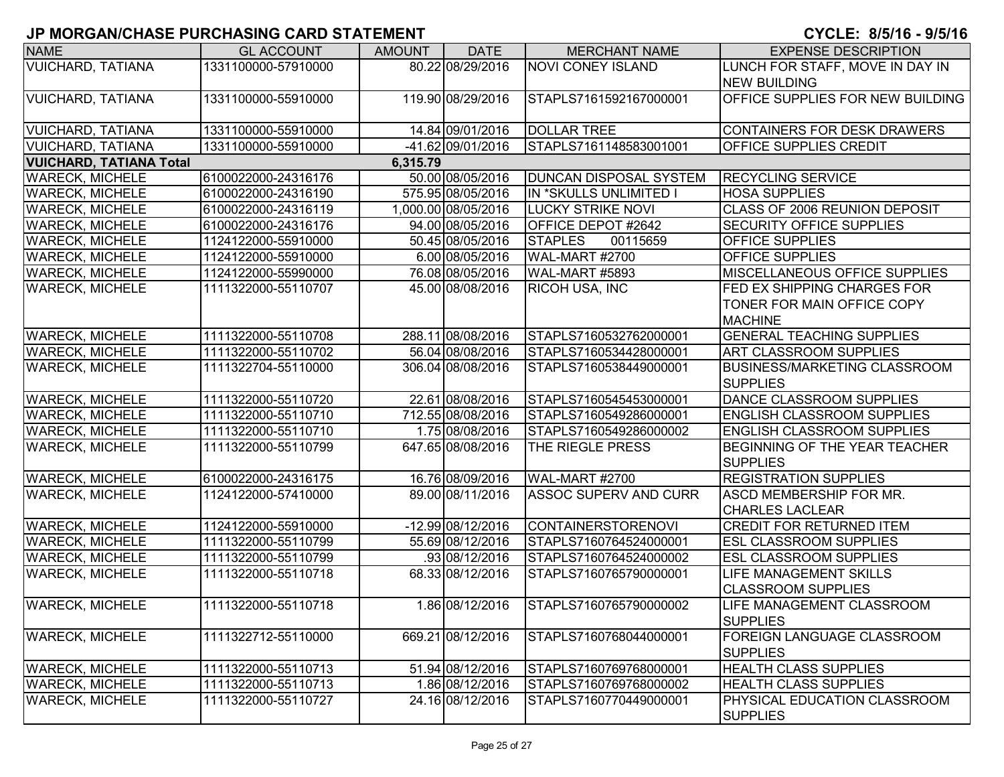| <b>NAME</b>                    | <b>GL ACCOUNT</b>   | <b>AMOUNT</b> | <b>DATE</b>         | <b>MERCHANT NAME</b>          | <b>EXPENSE DESCRIPTION</b>              |
|--------------------------------|---------------------|---------------|---------------------|-------------------------------|-----------------------------------------|
| <b>VUICHARD, TATIANA</b>       | 1331100000-57910000 |               | 80.22 08/29/2016    | <b>NOVI CONEY ISLAND</b>      | LUNCH FOR STAFF, MOVE IN DAY IN         |
|                                |                     |               |                     |                               | <b>NEW BUILDING</b>                     |
| <b>VUICHARD, TATIANA</b>       | 1331100000-55910000 |               | 119.90 08/29/2016   | STAPLS7161592167000001        | <b>OFFICE SUPPLIES FOR NEW BUILDING</b> |
|                                |                     |               |                     |                               |                                         |
| <b>VUICHARD, TATIANA</b>       | 1331100000-55910000 |               | 14.84 09/01/2016    | <b>DOLLAR TREE</b>            | CONTAINERS FOR DESK DRAWERS             |
| <b>VUICHARD, TATIANA</b>       | 1331100000-55910000 |               | -41.62 09/01/2016   | STAPLS7161148583001001        | <b>OFFICE SUPPLIES CREDIT</b>           |
| <b>VUICHARD, TATIANA Total</b> |                     | 6,315.79      |                     |                               |                                         |
| <b>WARECK, MICHELE</b>         | 6100022000-24316176 |               | 50.00 08/05/2016    | <b>DUNCAN DISPOSAL SYSTEM</b> | <b>RECYCLING SERVICE</b>                |
| <b>WARECK, MICHELE</b>         | 6100022000-24316190 |               | 575.95 08/05/2016   | IN *SKULLS UNLIMITED I        | <b>HOSA SUPPLIES</b>                    |
| <b>WARECK, MICHELE</b>         | 6100022000-24316119 |               | 1,000.00 08/05/2016 | <b>LUCKY STRIKE NOVI</b>      | CLASS OF 2006 REUNION DEPOSIT           |
| <b>WARECK, MICHELE</b>         | 6100022000-24316176 |               | 94.00 08/05/2016    | OFFICE DEPOT #2642            | <b>SECURITY OFFICE SUPPLIES</b>         |
| <b>WARECK, MICHELE</b>         | 1124122000-55910000 |               | 50.45 08/05/2016    | <b>STAPLES</b><br>00115659    | <b>OFFICE SUPPLIES</b>                  |
| <b>WARECK, MICHELE</b>         | 1124122000-55910000 |               | 6.00 08/05/2016     | WAL-MART #2700                | <b>OFFICE SUPPLIES</b>                  |
| <b>WARECK, MICHELE</b>         | 1124122000-55990000 |               | 76.08 08/05/2016    | WAL-MART #5893                | <b>MISCELLANEOUS OFFICE SUPPLIES</b>    |
| <b>WARECK, MICHELE</b>         | 1111322000-55110707 |               | 45.00 08/08/2016    | <b>RICOH USA, INC</b>         | <b>FED EX SHIPPING CHARGES FOR</b>      |
|                                |                     |               |                     |                               | TONER FOR MAIN OFFICE COPY              |
|                                |                     |               |                     |                               | <b>MACHINE</b>                          |
| <b>WARECK, MICHELE</b>         | 1111322000-55110708 |               | 288.11 08/08/2016   | STAPLS7160532762000001        | <b>GENERAL TEACHING SUPPLIES</b>        |
| <b>WARECK, MICHELE</b>         | 1111322000-55110702 |               | 56.04 08/08/2016    | STAPLS7160534428000001        | <b>ART CLASSROOM SUPPLIES</b>           |
| <b>WARECK, MICHELE</b>         | 1111322704-55110000 |               | 306.04 08/08/2016   | STAPLS7160538449000001        | <b>BUSINESS/MARKETING CLASSROOM</b>     |
|                                |                     |               |                     |                               | <b>SUPPLIES</b>                         |
| <b>WARECK, MICHELE</b>         | 1111322000-55110720 |               | 22.61 08/08/2016    | STAPLS7160545453000001        | DANCE CLASSROOM SUPPLIES                |
| <b>WARECK, MICHELE</b>         | 1111322000-55110710 |               | 712.55 08/08/2016   | STAPLS7160549286000001        | <b>ENGLISH CLASSROOM SUPPLIES</b>       |
| <b>WARECK, MICHELE</b>         | 1111322000-55110710 |               | 1.75 08/08/2016     | STAPLS7160549286000002        | <b>ENGLISH CLASSROOM SUPPLIES</b>       |
| <b>WARECK, MICHELE</b>         | 1111322000-55110799 |               | 647.65 08/08/2016   | THE RIEGLE PRESS              | <b>BEGINNING OF THE YEAR TEACHER</b>    |
|                                |                     |               |                     |                               | <b>SUPPLIES</b>                         |
| <b>WARECK, MICHELE</b>         | 6100022000-24316175 |               | 16.76 08/09/2016    | WAL-MART #2700                | <b>REGISTRATION SUPPLIES</b>            |
| <b>WARECK, MICHELE</b>         | 1124122000-57410000 |               | 89.00 08/11/2016    | <b>ASSOC SUPERV AND CURR</b>  | <b>ASCD MEMBERSHIP FOR MR.</b>          |
|                                |                     |               |                     |                               | <b>CHARLES LACLEAR</b>                  |
| <b>WARECK, MICHELE</b>         | 1124122000-55910000 |               | -12.99 08/12/2016   | <b>CONTAINERSTORENOVI</b>     | <b>CREDIT FOR RETURNED ITEM</b>         |
| <b>WARECK, MICHELE</b>         | 1111322000-55110799 |               | 55.69 08/12/2016    | STAPLS7160764524000001        | <b>ESL CLASSROOM SUPPLIES</b>           |
| <b>WARECK, MICHELE</b>         | 1111322000-55110799 |               | 93 08/12/2016       | STAPLS7160764524000002        | <b>ESL CLASSROOM SUPPLIES</b>           |
| <b>WARECK, MICHELE</b>         | 1111322000-55110718 |               | 68.33 08/12/2016    | STAPLS7160765790000001        | <b>LIFE MANAGEMENT SKILLS</b>           |
|                                |                     |               |                     |                               | <b>CLASSROOM SUPPLIES</b>               |
| <b>WARECK, MICHELE</b>         | 1111322000-55110718 |               | 1.86 08/12/2016     | STAPLS7160765790000002        | LIFE MANAGEMENT CLASSROOM               |
|                                |                     |               |                     |                               | <b>SUPPLIES</b>                         |
| <b>WARECK, MICHELE</b>         | 1111322712-55110000 |               | 669.21 08/12/2016   | STAPLS7160768044000001        | FOREIGN LANGUAGE CLASSROOM              |
|                                |                     |               |                     |                               | <b>SUPPLIES</b>                         |
| <b>WARECK, MICHELE</b>         | 1111322000-55110713 |               | 51.94 08/12/2016    | STAPLS7160769768000001        | <b>HEALTH CLASS SUPPLIES</b>            |
| <b>WARECK, MICHELE</b>         | 1111322000-55110713 |               | 1.86 08/12/2016     | STAPLS7160769768000002        | <b>HEALTH CLASS SUPPLIES</b>            |
| <b>WARECK, MICHELE</b>         | 1111322000-55110727 |               | 24.16 08/12/2016    | STAPLS7160770449000001        | <b>PHYSICAL EDUCATION CLASSROOM</b>     |
|                                |                     |               |                     |                               | <b>SUPPLIES</b>                         |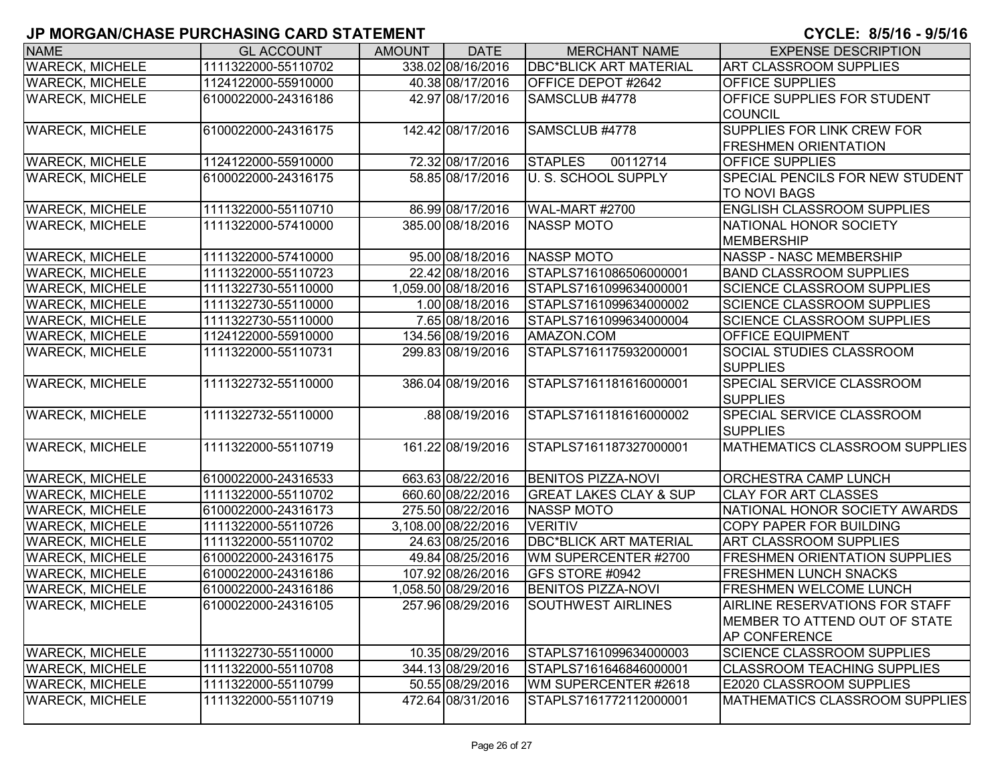| <b>NAME</b>                                      | <b>GL ACCOUNT</b>                          | <b>AMOUNT</b> | <b>DATE</b>                            | <b>MERCHANT NAME</b>                                           | <b>EXPENSE DESCRIPTION</b>                                 |
|--------------------------------------------------|--------------------------------------------|---------------|----------------------------------------|----------------------------------------------------------------|------------------------------------------------------------|
| <b>WARECK, MICHELE</b>                           | 1111322000-55110702                        |               | 338.02 08/16/2016                      | <b>DBC*BLICK ART MATERIAL</b>                                  | <b>ART CLASSROOM SUPPLIES</b>                              |
| <b>WARECK, MICHELE</b>                           | 1124122000-55910000                        |               | 40.38 08/17/2016                       | <b>OFFICE DEPOT #2642</b>                                      | <b>OFFICE SUPPLIES</b>                                     |
| <b>WARECK, MICHELE</b>                           | 6100022000-24316186                        |               | 42.97 08/17/2016                       | SAMSCLUB #4778                                                 | <b>OFFICE SUPPLIES FOR STUDENT</b>                         |
|                                                  |                                            |               |                                        |                                                                | <b>COUNCIL</b>                                             |
| <b>WARECK, MICHELE</b>                           | 6100022000-24316175                        |               | 142.42 08/17/2016                      | SAMSCLUB #4778                                                 | <b>SUPPLIES FOR LINK CREW FOR</b>                          |
|                                                  |                                            |               |                                        |                                                                | <b>FRESHMEN ORIENTATION</b>                                |
| <b>WARECK, MICHELE</b>                           | 1124122000-55910000                        |               | 72.32 08/17/2016                       | <b>STAPLES</b><br>00112714                                     | OFFICE SUPPLIES                                            |
| <b>WARECK, MICHELE</b>                           | 6100022000-24316175                        |               | 58.85 08/17/2016                       | <b>U. S. SCHOOL SUPPLY</b>                                     | <b>SPECIAL PENCILS FOR NEW STUDENT</b>                     |
|                                                  |                                            |               |                                        |                                                                | <b>TO NOVI BAGS</b>                                        |
| <b>WARECK, MICHELE</b>                           | 1111322000-55110710                        |               | 86.99 08/17/2016                       | <b>WAL-MART #2700</b>                                          | <b>ENGLISH CLASSROOM SUPPLIES</b>                          |
| <b>WARECK, MICHELE</b>                           | 1111322000-57410000                        |               | 385.00 08/18/2016                      | <b>NASSP MOTO</b>                                              | NATIONAL HONOR SOCIETY                                     |
|                                                  |                                            |               |                                        |                                                                | MEMBERSHIP                                                 |
| <b>WARECK, MICHELE</b>                           | 1111322000-57410000                        |               | 95.00 08/18/2016                       | <b>NASSP MOTO</b>                                              | NASSP - NASC MEMBERSHIP                                    |
| <b>WARECK, MICHELE</b>                           | 1111322000-55110723                        |               | 22.42 08/18/2016                       | STAPLS7161086506000001                                         | <b>BAND CLASSROOM SUPPLIES</b>                             |
| <b>WARECK, MICHELE</b>                           | 1111322730-55110000                        |               | 1,059.00 08/18/2016                    | STAPLS7161099634000001                                         | <b>SCIENCE CLASSROOM SUPPLIES</b>                          |
| <b>WARECK, MICHELE</b>                           | 1111322730-55110000                        |               | 1.00 08/18/2016                        | STAPLS7161099634000002                                         | <b>SCIENCE CLASSROOM SUPPLIES</b>                          |
| <b>WARECK, MICHELE</b>                           | 1111322730-55110000                        |               | 7.65 08/18/2016                        | STAPLS7161099634000004                                         | <b>SCIENCE CLASSROOM SUPPLIES</b>                          |
| <b>WARECK, MICHELE</b>                           | 1124122000-55910000                        |               | 134.56 08/19/2016                      | AMAZON.COM                                                     | <b>OFFICE EQUIPMENT</b>                                    |
| <b>WARECK, MICHELE</b>                           | 1111322000-55110731                        |               | 299.83 08/19/2016                      | STAPLS7161175932000001                                         | <b>SOCIAL STUDIES CLASSROOM</b>                            |
|                                                  |                                            |               |                                        |                                                                | <b>SUPPLIES</b>                                            |
| <b>WARECK, MICHELE</b>                           | 1111322732-55110000                        |               | 386.04 08/19/2016                      | STAPLS7161181616000001                                         | <b>SPECIAL SERVICE CLASSROOM</b>                           |
|                                                  |                                            |               |                                        |                                                                | <b>I</b> SUPPLIES                                          |
| <b>WARECK, MICHELE</b>                           | 1111322732-55110000                        |               | 88 08/19/2016                          | STAPLS7161181616000002                                         | <b>SPECIAL SERVICE CLASSROOM</b>                           |
|                                                  |                                            |               |                                        |                                                                | <b>SUPPLIES</b>                                            |
| <b>WARECK, MICHELE</b>                           | 1111322000-55110719                        |               | 161.22 08/19/2016                      | STAPLS7161187327000001                                         | <b>MATHEMATICS CLASSROOM SUPPLIES</b>                      |
|                                                  |                                            |               |                                        |                                                                |                                                            |
| <b>WARECK, MICHELE</b><br><b>WARECK, MICHELE</b> | 6100022000-24316533<br>1111322000-55110702 |               | 663.63 08/22/2016<br>660.60 08/22/2016 | <b>BENITOS PIZZA-NOVI</b><br><b>GREAT LAKES CLAY &amp; SUP</b> | <b>ORCHESTRA CAMP LUNCH</b><br><b>CLAY FOR ART CLASSES</b> |
|                                                  | 6100022000-24316173                        |               | 275.50 08/22/2016                      | <b>NASSP MOTO</b>                                              | NATIONAL HONOR SOCIETY AWARDS                              |
| <b>WARECK, MICHELE</b><br><b>WARECK, MICHELE</b> | 1111322000-55110726                        |               | 3,108.00 08/22/2016                    | <b>VERITIV</b>                                                 | <b>COPY PAPER FOR BUILDING</b>                             |
| <b>WARECK, MICHELE</b>                           | 1111322000-55110702                        |               | 24.63 08/25/2016                       | <b>DBC*BLICK ART MATERIAL</b>                                  | <b>ART CLASSROOM SUPPLIES</b>                              |
| <b>WARECK, MICHELE</b>                           | 6100022000-24316175                        |               | 49.84 08/25/2016                       | WM SUPERCENTER #2700                                           | <b>FRESHMEN ORIENTATION SUPPLIES</b>                       |
| <b>WARECK, MICHELE</b>                           | 6100022000-24316186                        |               | 107.92 08/26/2016                      | GFS STORE #0942                                                | <b>FRESHMEN LUNCH SNACKS</b>                               |
| <b>WARECK, MICHELE</b>                           | 6100022000-24316186                        |               | 1,058.50 08/29/2016                    | <b>BENITOS PIZZA-NOVI</b>                                      | <b>FRESHMEN WELCOME LUNCH</b>                              |
| <b>WARECK, MICHELE</b>                           | 6100022000-24316105                        |               | 257.96 08/29/2016                      | SOUTHWEST AIRLINES                                             | IAIRLINE RESERVATIONS FOR STAFF                            |
|                                                  |                                            |               |                                        |                                                                | MEMBER TO ATTEND OUT OF STATE                              |
|                                                  |                                            |               |                                        |                                                                | <b>AP CONFERENCE</b>                                       |
| <b>WARECK, MICHELE</b>                           | 1111322730-55110000                        |               | 10.35 08/29/2016                       | STAPLS7161099634000003                                         | <b>SCIENCE CLASSROOM SUPPLIES</b>                          |
| <b>WARECK, MICHELE</b>                           | 1111322000-55110708                        |               | 344.13 08/29/2016                      | STAPLS7161646846000001                                         | <b>CLASSROOM TEACHING SUPPLIES</b>                         |
| <b>WARECK, MICHELE</b>                           | 1111322000-55110799                        |               | 50.55 08/29/2016                       | WM SUPERCENTER #2618                                           | E2020 CLASSROOM SUPPLIES                                   |
| <b>WARECK, MICHELE</b>                           | 1111322000-55110719                        |               | 472.64 08/31/2016                      | STAPLS7161772112000001                                         | MATHEMATICS CLASSROOM SUPPLIES                             |
|                                                  |                                            |               |                                        |                                                                |                                                            |